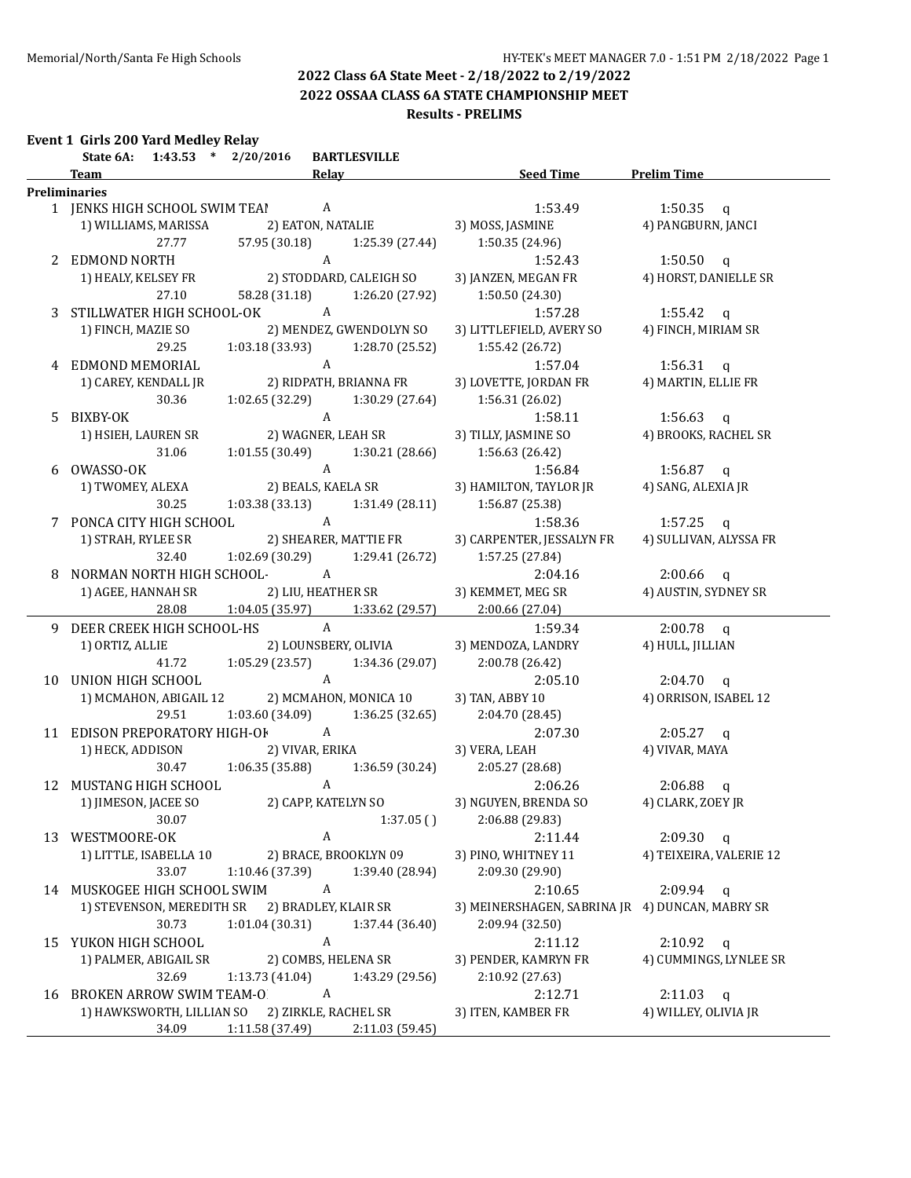**2022 OSSAA CLASS 6A STATE CHAMPIONSHIP MEET**

#### **Results - PRELIMS**

| Event 1 Girls 200 Yard Medlev Relav |  |  |
|-------------------------------------|--|--|
|                                     |  |  |

|    | $1:43.53$ * $2/20/2016$<br>State 6A: | <b>BARTLESVILLE</b>             |                 |                                                 |                         |
|----|--------------------------------------|---------------------------------|-----------------|-------------------------------------------------|-------------------------|
|    | <b>Team</b>                          | Relay                           |                 | <b>Seed Time</b>                                | <b>Prelim Time</b>      |
|    | <b>Preliminaries</b>                 |                                 |                 |                                                 |                         |
|    | 1 JENKS HIGH SCHOOL SWIM TEAI A      |                                 |                 | 1:53.49                                         | 1:50.35 $q$             |
|    | 1) WILLIAMS, MARISSA                 | 2) EATON, NATALIE               |                 | 3) MOSS, JASMINE                                | 4) PANGBURN, JANCI      |
|    | 27.77                                | 57.95 (30.18)                   | 1:25.39 (27.44) | 1:50.35 (24.96)                                 |                         |
|    | 2 EDMOND NORTH                       | $\mathbf{A}$                    |                 | 1:52.43                                         | $1:50.50$ q             |
|    | 1) HEALY, KELSEY FR                  | 2) STODDARD, CALEIGH SO         |                 | 3) JANZEN, MEGAN FR                             | 4) HORST, DANIELLE SR   |
|    | 27.10                                | 58.28 (31.18)                   | 1:26.20 (27.92) | 1:50.50 (24.30)                                 |                         |
|    | 3 STILLWATER HIGH SCHOOL-OK A        |                                 |                 | 1:57.28                                         | 1:55.42 $q$             |
|    | 1) FINCH, MAZIE SO                   | 2) MENDEZ, GWENDOLYN SO         |                 | 3) LITTLEFIELD, AVERY SO                        | 4) FINCH, MIRIAM SR     |
|    | 29.25                                | 1:03.18 (33.93)                 | 1:28.70 (25.52) | 1:55.42 (26.72)                                 |                         |
|    | 4 EDMOND MEMORIAL                    | $\mathbf{A}$                    |                 | 1:57.04                                         | 1:56.31 $q$             |
|    | 1) CAREY, KENDALL JR                 | 2) RIDPATH, BRIANNA FR          |                 | 3) LOVETTE, JORDAN FR                           | 4) MARTIN, ELLIE FR     |
|    | 30.36                                | 1:02.65 (32.29)                 | 1:30.29 (27.64) | 1:56.31 (26.02)                                 |                         |
|    |                                      | $\mathbf{A}$                    |                 |                                                 |                         |
|    | 5 BIXBY-OK                           |                                 |                 | 1:58.11                                         | 1:56.63 $q$             |
|    | 1) HSIEH, LAUREN SR                  | 2) WAGNER, LEAH SR              |                 | 3) TILLY, JASMINE SO                            | 4) BROOKS, RACHEL SR    |
|    | 31.06                                | 1:01.55(30.49)                  | 1:30.21(28.66)  | 1:56.63 (26.42)                                 |                         |
| 6  | OWASSO-OK                            | $\mathbf{A}$                    |                 | 1:56.84                                         | 1:56.87 $q$             |
|    | 1) TWOMEY, ALEXA                     | 2) BEALS, KAELA SR              |                 | 3) HAMILTON, TAYLOR JR                          | 4) SANG, ALEXIA JR      |
|    | 30.25                                | 1:03.38 (33.13)                 | 1:31.49 (28.11) | 1:56.87 (25.38)                                 |                         |
|    | 7 PONCA CITY HIGH SCHOOL             | A                               |                 | 1:58.36                                         | 1:57.25 $q$             |
|    | 1) STRAH, RYLEE SR                   | 2) SHEARER, MATTIE FR           |                 | 3) CARPENTER, JESSALYN FR                       | 4) SULLIVAN, ALYSSA FR  |
|    | 32.40                                | 1:02.69 (30.29)                 | 1:29.41 (26.72) | 1:57.25 (27.84)                                 |                         |
|    | NORMAN NORTH HIGH SCHOOL-            | A                               |                 | 2:04.16                                         | $2:00.66$ q             |
|    | 1) AGEE, HANNAH SR                   | 2) LIU, HEATHER SR              |                 | 3) KEMMET, MEG SR                               | 4) AUSTIN, SYDNEY SR    |
|    | 28.08                                | 1:04.05(35.97)                  | 1:33.62 (29.57) | 2:00.66 (27.04)                                 |                         |
| 9. | DEER CREEK HIGH SCHOOL-HS            | $\mathbf{A}$                    |                 | 1:59.34                                         | $2:00.78$ q             |
|    | 1) ORTIZ, ALLIE                      | 2) LOUNSBERY, OLIVIA            |                 | 3) MENDOZA, LANDRY                              | 4) HULL, JILLIAN        |
|    | 41.72                                | 1:05.29(23.57)                  | 1:34.36 (29.07) | 2:00.78 (26.42)                                 |                         |
|    | 10 UNION HIGH SCHOOL                 | $\mathbf{A}$                    |                 | 2:05.10                                         | $2:04.70$ q             |
|    | 1) MCMAHON, ABIGAIL 12               | 2) MCMAHON, MONICA 10           |                 | 3) TAN, ABBY 10                                 | 4) ORRISON, ISABEL 12   |
|    | 29.51                                | 1:03.60 (34.09)                 | 1:36.25 (32.65) | 2:04.70 (28.45)                                 |                         |
|    | 11 EDISON PREPORATORY HIGH-OF        | $\overline{A}$                  |                 | 2:07.30                                         |                         |
|    |                                      |                                 |                 |                                                 | $2:05.27$ q             |
|    | 1) HECK, ADDISON                     | 2) VIVAR, ERIKA                 |                 | 3) VERA, LEAH                                   | 4) VIVAR, MAYA          |
|    | 30.47                                | 1:06.35(35.88)                  | 1:36.59 (30.24) | 2:05.27 (28.68)                                 |                         |
|    | 12 MUSTANG HIGH SCHOOL               | $\mathbf{A}$                    |                 | 2:06.26                                         | $2:06.88$ q             |
|    | 1) JIMESON, JACEE SO                 | 2) CAPP, KATELYN SO             |                 | 3) NGUYEN, BRENDA SO                            | 4) CLARK, ZOEY JR       |
|    | 30.07                                | $1:37.05$ ( ) $2:06.88$ (29.83) |                 |                                                 |                         |
|    | 13 WESTMOORE-OK                      | A                               |                 | 2:11.44                                         | $2:09.30$ q             |
|    | 1) LITTLE, ISABELLA 10               | 2) BRACE, BROOKLYN 09           |                 | 3) PINO, WHITNEY 11                             | 4) TEIXEIRA, VALERIE 12 |
|    | 33.07                                | 1:10.46 (37.39)                 | 1:39.40 (28.94) | 2:09.30 (29.90)                                 |                         |
|    | 14 MUSKOGEE HIGH SCHOOL SWIM         | A                               |                 | 2:10.65                                         | $2:09.94$ q             |
|    | 1) STEVENSON, MEREDITH SR            | 2) BRADLEY, KLAIR SR            |                 | 3) MEINERSHAGEN, SABRINA JR 4) DUNCAN, MABRY SR |                         |
|    | 30.73                                | 1:01.04 (30.31)                 | 1:37.44 (36.40) | 2:09.94 (32.50)                                 |                         |
|    | 15 YUKON HIGH SCHOOL                 | A                               |                 | 2:11.12                                         | $2:10.92$ q             |
|    | 1) PALMER, ABIGAIL SR                | 2) COMBS, HELENA SR             |                 | 3) PENDER, KAMRYN FR                            | 4) CUMMINGS, LYNLEE SR  |
|    | 32.69                                | 1:13.73 (41.04)                 | 1:43.29 (29.56) | 2:10.92 (27.63)                                 |                         |
| 16 | <b>BROKEN ARROW SWIM TEAM-O</b>      | A                               |                 | 2:12.71                                         | $2:11.03$ q             |
|    | 1) HAWKSWORTH, LILLIAN SO            | 2) ZIRKLE, RACHEL SR            |                 | 3) ITEN, KAMBER FR                              | 4) WILLEY, OLIVIA JR    |
|    | 34.09                                | 1:11.58 (37.49)                 | 2:11.03 (59.45) |                                                 |                         |
|    |                                      |                                 |                 |                                                 |                         |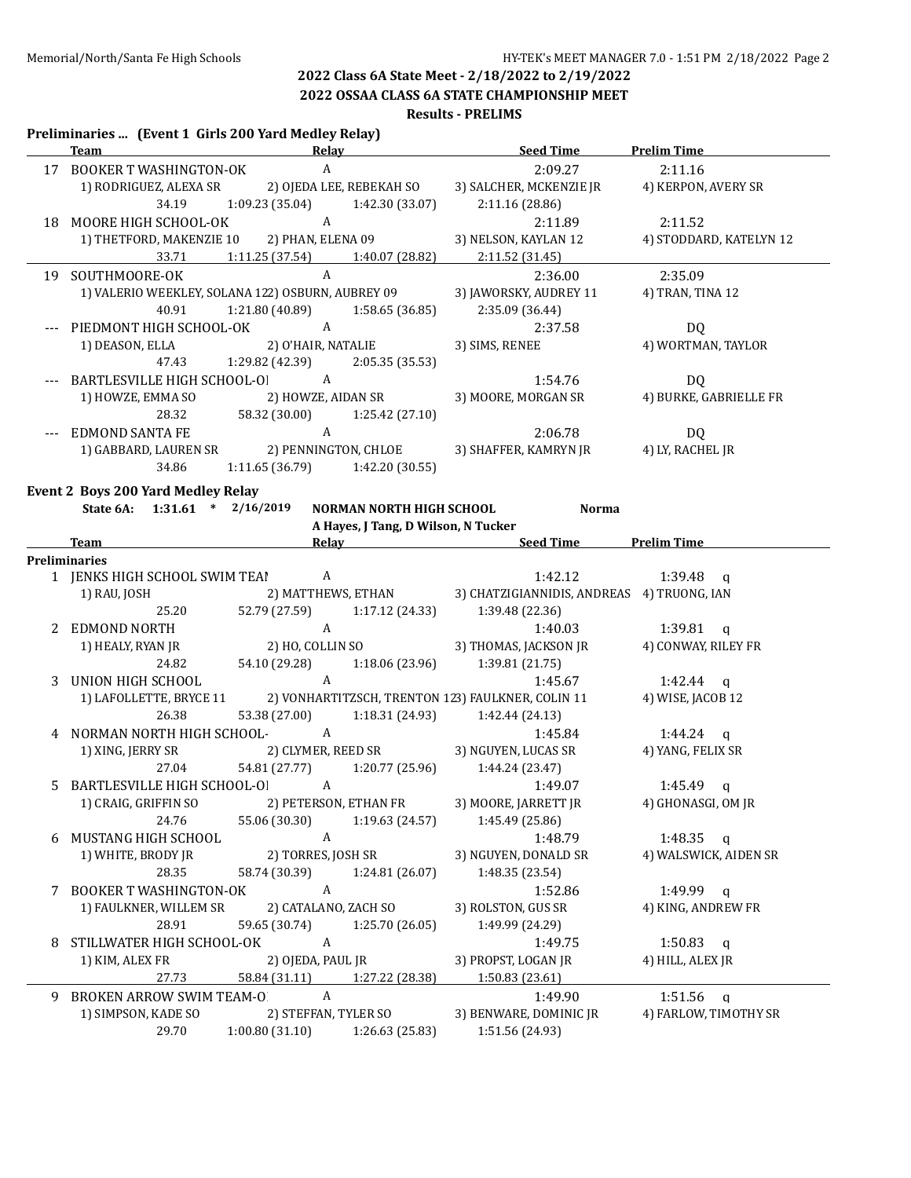**2022 OSSAA CLASS 6A STATE CHAMPIONSHIP MEET**

#### **Results - PRELIMS**

#### **Preliminaries ... (Event 1 Girls 200 Yard Medley Relay)**

|    | <b>Team</b>                               | <b>Relay</b>                                                                                 | <b>Seed Time</b>                           | <b>Prelim Time</b>      |
|----|-------------------------------------------|----------------------------------------------------------------------------------------------|--------------------------------------------|-------------------------|
|    | 17 BOOKER T WASHINGTON-OK                 | $\mathbf{A}$                                                                                 | 2:09.27                                    | 2:11.16                 |
|    | 1) RODRIGUEZ, ALEXA SR                    | 2) OJEDA LEE, REBEKAH SO                                                                     | 3) SALCHER, MCKENZIE JR                    | 4) KERPON, AVERY SR     |
|    | 34.19                                     | 1:09.23 (35.04)<br>1:42.30 (33.07)                                                           | 2:11.16 (28.86)                            |                         |
|    | 18 MOORE HIGH SCHOOL-OK                   | $\mathbf{A}$                                                                                 | 2:11.89                                    | 2:11.52                 |
|    |                                           | 1) THETFORD, MAKENZIE 10 2) PHAN, ELENA 09                                                   | 3) NELSON, KAYLAN 12                       | 4) STODDARD, KATELYN 12 |
|    | 33.71                                     | 1:11.25 (37.54) 1:40.07 (28.82)                                                              | 2:11.52 (31.45)                            |                         |
|    | 19 SOUTHMOORE-OK                          | $\mathbf{A}$                                                                                 | 2:36.00                                    | 2:35.09                 |
|    |                                           | 1) VALERIO WEEKLEY, SOLANA 122) OSBURN, AUBREY 09                                            | 3) JAWORSKY, AUDREY 11                     | 4) TRAN, TINA 12        |
|    | 40.91                                     | 1:21.80 (40.89)<br>1:58.65(36.85)                                                            | 2:35.09 (36.44)                            |                         |
|    | --- PIEDMONT HIGH SCHOOL-OK               | $\overline{A}$                                                                               | 2:37.58                                    | <b>DQ</b>               |
|    | 1) DEASON, ELLA                           | 2) O'HAIR, NATALIE                                                                           | 3) SIMS, RENEE                             | 4) WORTMAN, TAYLOR      |
|    | 47.43                                     | 1:29.82 (42.39)<br>2:05.35(35.53)                                                            |                                            |                         |
|    |                                           |                                                                                              |                                            |                         |
|    | BARTLESVILLE HIGH SCHOOL-OI A             |                                                                                              | 1:54.76                                    | DQ                      |
|    | 1) HOWZE, EMMA SO                         | 2) HOWZE, AIDAN SR                                                                           | 3) MOORE, MORGAN SR                        | 4) BURKE, GABRIELLE FR  |
|    | 28.32                                     | 58.32 (30.00) 1:25.42 (27.10)                                                                |                                            |                         |
|    | EDMOND SANTA FE                           |                                                                                              | 2:06.78                                    | DQ                      |
|    |                                           |                                                                                              | 3) SHAFFER, KAMRYN JR                      | 4) LY, RACHEL JR        |
|    | 34.86                                     | $1:11.65(36.79)$ $1:42.20(30.55)$                                                            |                                            |                         |
|    | <b>Event 2 Boys 200 Yard Medley Relay</b> |                                                                                              |                                            |                         |
|    | State 6A: 1:31.61 * 2/16/2019             | NORMAN NORTH HIGH SCHOOL                                                                     | <b>Norma</b>                               |                         |
|    |                                           | A Hayes, J Tang, D Wilson, N Tucker                                                          |                                            |                         |
|    | Team                                      | <b>Example 20 Seed Time 20 Seed Time 20 Seed Time 20 Seed Time 20 Seed Time 20 Seed Time</b> |                                            |                         |
|    | <b>Preliminaries</b>                      |                                                                                              |                                            |                         |
|    | 1 JENKS HIGH SCHOOL SWIM TEA! A           |                                                                                              | 1:42.12                                    | $1:39.48$ q             |
|    | 1) RAU, JOSH                              | 2) MATTHEWS, ETHAN                                                                           | 3) CHATZIGIANNIDIS, ANDREAS 4) TRUONG, IAN |                         |
|    | 25.20                                     | 52.79 (27.59) 1:17.12 (24.33)                                                                | 1:39.48 (22.36)                            |                         |
|    | 2 EDMOND NORTH                            | A                                                                                            | 1:40.03                                    | 1:39.81 $q$             |
|    | 1) HEALY, RYAN JR                         | 2) HO, COLLIN SO                                                                             | 3) THOMAS, JACKSON JR                      | 4) CONWAY, RILEY FR     |
|    | 24.82                                     | 54.10 (29.28) 1:18.06 (23.96)                                                                | 1:39.81 (21.75)                            |                         |
|    | 3 UNION HIGH SCHOOL                       | A                                                                                            | 1:45.67                                    | 1:42.44 $q$             |
|    |                                           | 1) LAFOLLETTE, BRYCE 11 2) VONHARTITZSCH, TRENTON 123) FAULKNER, COLIN 11                    |                                            | 4) WISE, JACOB 12       |
|    | 26.38                                     | 53.38 (27.00)                                                                                | $1:18.31(24.93)$ $1:42.44(24.13)$          |                         |
|    | 4 NORMAN NORTH HIGH SCHOOL- A             |                                                                                              | 1:45.84                                    | 1:44.24 $q$             |
|    |                                           | 1) XING, JERRY SR 2) CLYMER, REED SR                                                         | 3) NGUYEN, LUCAS SR                        | 4) YANG, FELIX SR       |
|    | 27.04                                     | 54.81 (27.77) 1:20.77 (25.96)                                                                | 1:44.24(23.47)                             |                         |
| 5. | BARTLESVILLE HIGH SCHOOL-OI               | $\mathbf{A}$                                                                                 | 1:49.07                                    | 1:45.49 $q$             |
|    | 1) CRAIG, GRIFFIN SO                      | 2) PETERSON, ETHAN FR                                                                        | 3) MOORE, JARRETT JR                       | 4) GHONASGI, OM JR      |
|    | 24.76                                     | 55.06 (30.30)<br>1:19.63 (24.57)                                                             | 1:45.49 (25.86)                            |                         |
| 6  | MUSTANG HIGH SCHOOL                       | A                                                                                            | 1:48.79                                    | 1:48.35 q               |
|    | 1) WHITE, BRODY JR                        |                                                                                              |                                            |                         |
|    | 28.35                                     | 2) TORRES, JOSH SR<br>58.74 (30.39)                                                          | 3) NGUYEN, DONALD SR                       | 4) WALSWICK, AIDEN SR   |
|    |                                           | 1:24.81 (26.07)                                                                              | 1:48.35 (23.54)                            |                         |
|    | 7 BOOKER T WASHINGTON-OK                  | $\mathbf{A}$                                                                                 | 1:52.86                                    | 1:49.99 $q$             |
|    | 1) FAULKNER, WILLEM SR                    | 2) CATALANO, ZACH SO                                                                         | 3) ROLSTON, GUS SR                         | 4) KING, ANDREW FR      |
|    | 28.91                                     | 59.65 (30.74)<br>1:25.70 (26.05)                                                             | 1:49.99 (24.29)                            |                         |
| 8  | STILLWATER HIGH SCHOOL-OK                 | A                                                                                            | 1:49.75                                    | 1:50.83 q               |
|    | 1) KIM, ALEX FR                           | 2) OJEDA, PAUL JR                                                                            | 3) PROPST, LOGAN JR                        | 4) HILL, ALEX JR        |
|    | 27.73                                     | 58.84 (31.11)<br>1:27.22 (28.38)                                                             | 1:50.83 (23.61)                            |                         |
|    | 9 BROKEN ARROW SWIM TEAM-O                | A                                                                                            | 1:49.90                                    | 1:51.56<br>$\mathbf{q}$ |
|    | 1) SIMPSON, KADE SO                       | 2) STEFFAN, TYLER SO                                                                         | 3) BENWARE, DOMINIC JR                     | 4) FARLOW, TIMOTHY SR   |
|    | 29.70                                     | $1:00.80(31.10)$ $1:26.63(25.83)$                                                            | 1:51.56 (24.93)                            |                         |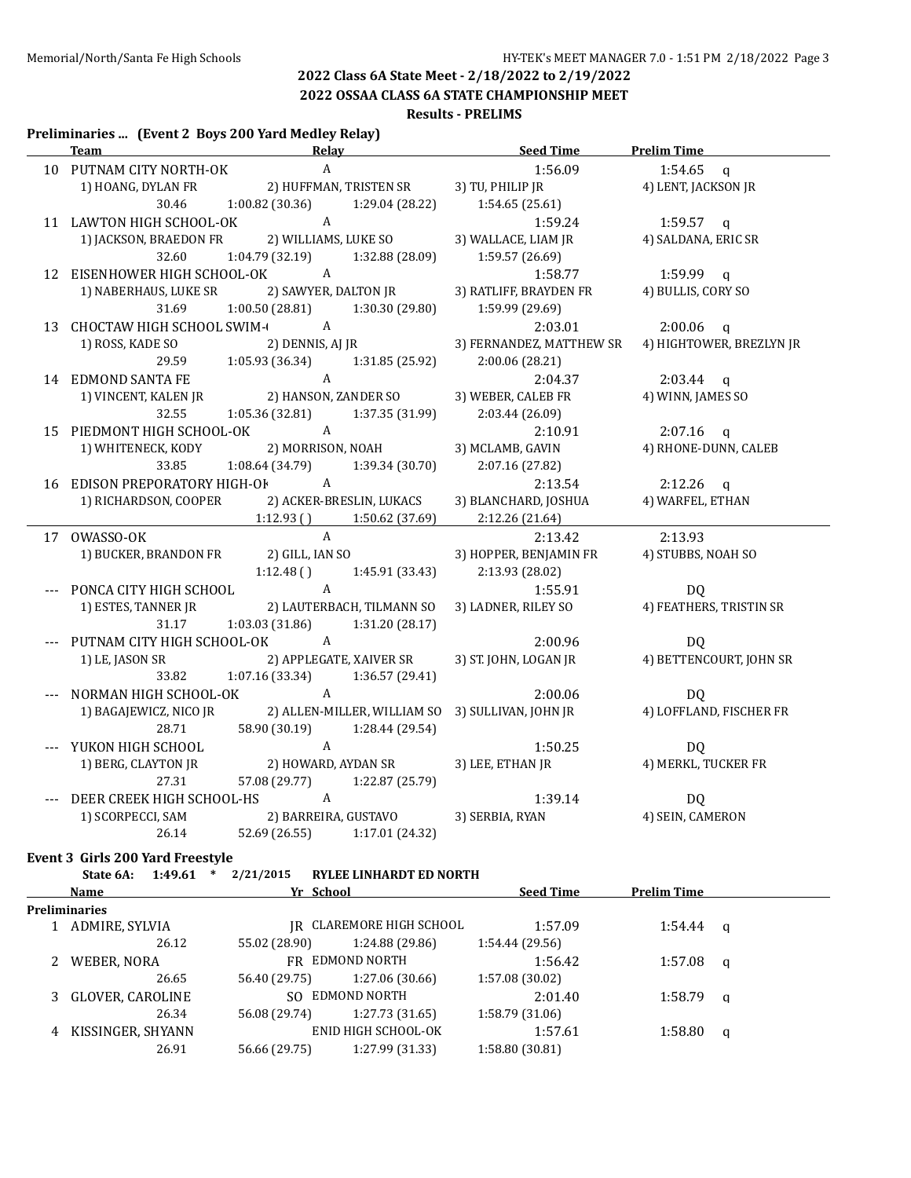**2022 OSSAA CLASS 6A STATE CHAMPIONSHIP MEET**

#### **Results - PRELIMS**

#### **Preliminaries ... (Event 2 Boys 200 Yard Medley Relay)**

| A<br>1:56.09<br>$1:54.65$ q<br>10 PUTNAM CITY NORTH-OK<br>1) HOANG, DYLAN FR<br>2) HUFFMAN, TRISTEN SR<br>3) TU, PHILIP JR<br>4) LENT, JACKSON JR<br>$1:00.82(30.36)$ $1:29.04(28.22)$<br>30.46<br>1:54.65(25.61)<br>11 LAWTON HIGH SCHOOL-OK A<br>$1:59.57$ q<br>1:59.24<br>1) JACKSON, BRAEDON FR 2) WILLIAMS, LUKE SO<br>3) WALLACE, LIAM JR<br>4) SALDANA, ERIC SR<br>1:04.79 (32.19)<br>32.60<br>1:32.88 (28.09)<br>1:59.57 (26.69)<br>12 EISENHOWER HIGH SCHOOL-OK A<br>$1:59.99$ q<br>1:58.77<br>2) SAWYER, DALTON JR<br>3) RATLIFF, BRAYDEN FR<br>1) NABERHAUS, LUKE SR<br>4) BULLIS, CORY SO<br>31.69<br>1:00.50 (28.81)<br>1:30.30 (29.80)<br>1:59.99 (29.69)<br>13 CHOCTAW HIGH SCHOOL SWIM-<br>2:03.01<br>$2:00.06$ q<br>1) ROSS, KADE SO 2) DENNIS, AJ JR<br>3) FERNANDEZ, MATTHEW SR<br>4) HIGHTOWER, BREZLYN JR<br>29.59<br>$1:05.93(36.34)$ $1:31.85(25.92)$<br>2:00.06(28.21)<br>$\mathbf{A}$<br>14 EDMOND SANTA FE<br>2:04.37<br>$2:03.44$ q<br>2) HANSON, ZANDER SO<br>4) WINN, JAMES SO<br>1) VINCENT, KALEN JR<br>3) WEBER, CALEB FR<br>32.55<br>$1:05.36(32.81)$ $1:37.35(31.99)$<br>2:03.44 (26.09)<br>15 PIEDMONT HIGH SCHOOL-OK A<br>2:10.91<br>$2:07.16$ q<br>2) MORRISON, NOAH<br>4) RHONE-DUNN, CALEB<br>1) WHITENECK, KODY<br>3) MCLAMB, GAVIN<br>33.85<br>1:08.64 (34.79)<br>1:39.34 (30.70)<br>2:07.16 (27.82)<br>16 EDISON PREPORATORY HIGH-OF A<br>2:13.54<br>$2:12.26$ q<br>1) RICHARDSON, COOPER 2) ACKER-BRESLIN, LUKACS<br>4) WARFEL, ETHAN<br>3) BLANCHARD, JOSHUA<br>$1:12.93$ () $1:50.62$ (37.69)<br>2:12.26 (21.64)<br>$\mathbf{A}$<br>17 OWASSO-OK<br>2:13.42<br>2:13.93<br>1) BUCKER, BRANDON FR 2) GILL, IAN SO<br>3) HOPPER, BENJAMIN FR<br>4) STUBBS, NOAH SO<br>$1:12.48$ () $1:45.91$ (33.43)<br>2:13.93 (28.02)<br>$\overline{A}$<br>PONCA CITY HIGH SCHOOL<br>1:55.91<br>DQ<br>4) FEATHERS, TRISTIN SR<br>1) ESTES, TANNER JR<br>2) LAUTERBACH, TILMANN SO<br>3) LADNER, RILEY SO<br>31.17<br>1:03.03(31.86)<br>1:31.20(28.17)<br>PUTNAM CITY HIGH SCHOOL-OK A<br>2:00.96<br>DQ<br>3) ST. JOHN, LOGAN JR<br>4) BETTENCOURT, JOHN SR<br>1) LE, JASON SR<br>2) APPLEGATE, XAIVER SR<br>1:07.16 (33.34)<br>33.82<br>1:36.57 (29.41)<br>A<br>--- NORMAN HIGH SCHOOL-OK<br>2:00.06<br>DQ.<br>4) LOFFLAND, FISCHER FR<br>1) BAGAJEWICZ, NICO JR<br>2) ALLEN-MILLER, WILLIAM SO<br>3) SULLIVAN, JOHN JR<br>58.90 (30.19) 1:28.44 (29.54)<br>28.71<br>$\mathbf{A}$<br>YUKON HIGH SCHOOL<br>1:50.25<br>DQ<br>1) BERG, CLAYTON JR<br>2) HOWARD, AYDAN SR<br>3) LEE, ETHAN JR<br>4) MERKL, TUCKER FR<br>57.08 (29.77) 1:22.87 (25.79)<br>27.31<br>DEER CREEK HIGH SCHOOL-HS A<br>1:39.14<br>DQ<br>3) SERBIA, RYAN<br>1) SCORPECCI, SAM<br>2) BARREIRA, GUSTAVO<br>4) SEIN, CAMERON<br>26.14<br>52.69 (26.55) 1:17.01 (24.32)<br>Event 3 Girls 200 Yard Freestyle | Team and the state of the state of the state of the state of the state of the state of the state of the state | <b>Relay</b> | <u>Seed Time</u> | <b>Prelim Time</b> |
|----------------------------------------------------------------------------------------------------------------------------------------------------------------------------------------------------------------------------------------------------------------------------------------------------------------------------------------------------------------------------------------------------------------------------------------------------------------------------------------------------------------------------------------------------------------------------------------------------------------------------------------------------------------------------------------------------------------------------------------------------------------------------------------------------------------------------------------------------------------------------------------------------------------------------------------------------------------------------------------------------------------------------------------------------------------------------------------------------------------------------------------------------------------------------------------------------------------------------------------------------------------------------------------------------------------------------------------------------------------------------------------------------------------------------------------------------------------------------------------------------------------------------------------------------------------------------------------------------------------------------------------------------------------------------------------------------------------------------------------------------------------------------------------------------------------------------------------------------------------------------------------------------------------------------------------------------------------------------------------------------------------------------------------------------------------------------------------------------------------------------------------------------------------------------------------------------------------------------------------------------------------------------------------------------------------------------------------------------------------------------------------------------------------------------------------------------------------------------------------------------------------------------------------------------------------------------------------------------------------------------------------------------------------------------------------------------------------------------------------------------------------------------------------------------------|---------------------------------------------------------------------------------------------------------------|--------------|------------------|--------------------|
|                                                                                                                                                                                                                                                                                                                                                                                                                                                                                                                                                                                                                                                                                                                                                                                                                                                                                                                                                                                                                                                                                                                                                                                                                                                                                                                                                                                                                                                                                                                                                                                                                                                                                                                                                                                                                                                                                                                                                                                                                                                                                                                                                                                                                                                                                                                                                                                                                                                                                                                                                                                                                                                                                                                                                                                                          |                                                                                                               |              |                  |                    |
|                                                                                                                                                                                                                                                                                                                                                                                                                                                                                                                                                                                                                                                                                                                                                                                                                                                                                                                                                                                                                                                                                                                                                                                                                                                                                                                                                                                                                                                                                                                                                                                                                                                                                                                                                                                                                                                                                                                                                                                                                                                                                                                                                                                                                                                                                                                                                                                                                                                                                                                                                                                                                                                                                                                                                                                                          |                                                                                                               |              |                  |                    |
|                                                                                                                                                                                                                                                                                                                                                                                                                                                                                                                                                                                                                                                                                                                                                                                                                                                                                                                                                                                                                                                                                                                                                                                                                                                                                                                                                                                                                                                                                                                                                                                                                                                                                                                                                                                                                                                                                                                                                                                                                                                                                                                                                                                                                                                                                                                                                                                                                                                                                                                                                                                                                                                                                                                                                                                                          |                                                                                                               |              |                  |                    |
|                                                                                                                                                                                                                                                                                                                                                                                                                                                                                                                                                                                                                                                                                                                                                                                                                                                                                                                                                                                                                                                                                                                                                                                                                                                                                                                                                                                                                                                                                                                                                                                                                                                                                                                                                                                                                                                                                                                                                                                                                                                                                                                                                                                                                                                                                                                                                                                                                                                                                                                                                                                                                                                                                                                                                                                                          |                                                                                                               |              |                  |                    |
|                                                                                                                                                                                                                                                                                                                                                                                                                                                                                                                                                                                                                                                                                                                                                                                                                                                                                                                                                                                                                                                                                                                                                                                                                                                                                                                                                                                                                                                                                                                                                                                                                                                                                                                                                                                                                                                                                                                                                                                                                                                                                                                                                                                                                                                                                                                                                                                                                                                                                                                                                                                                                                                                                                                                                                                                          |                                                                                                               |              |                  |                    |
|                                                                                                                                                                                                                                                                                                                                                                                                                                                                                                                                                                                                                                                                                                                                                                                                                                                                                                                                                                                                                                                                                                                                                                                                                                                                                                                                                                                                                                                                                                                                                                                                                                                                                                                                                                                                                                                                                                                                                                                                                                                                                                                                                                                                                                                                                                                                                                                                                                                                                                                                                                                                                                                                                                                                                                                                          |                                                                                                               |              |                  |                    |
|                                                                                                                                                                                                                                                                                                                                                                                                                                                                                                                                                                                                                                                                                                                                                                                                                                                                                                                                                                                                                                                                                                                                                                                                                                                                                                                                                                                                                                                                                                                                                                                                                                                                                                                                                                                                                                                                                                                                                                                                                                                                                                                                                                                                                                                                                                                                                                                                                                                                                                                                                                                                                                                                                                                                                                                                          |                                                                                                               |              |                  |                    |
|                                                                                                                                                                                                                                                                                                                                                                                                                                                                                                                                                                                                                                                                                                                                                                                                                                                                                                                                                                                                                                                                                                                                                                                                                                                                                                                                                                                                                                                                                                                                                                                                                                                                                                                                                                                                                                                                                                                                                                                                                                                                                                                                                                                                                                                                                                                                                                                                                                                                                                                                                                                                                                                                                                                                                                                                          |                                                                                                               |              |                  |                    |
|                                                                                                                                                                                                                                                                                                                                                                                                                                                                                                                                                                                                                                                                                                                                                                                                                                                                                                                                                                                                                                                                                                                                                                                                                                                                                                                                                                                                                                                                                                                                                                                                                                                                                                                                                                                                                                                                                                                                                                                                                                                                                                                                                                                                                                                                                                                                                                                                                                                                                                                                                                                                                                                                                                                                                                                                          |                                                                                                               |              |                  |                    |
|                                                                                                                                                                                                                                                                                                                                                                                                                                                                                                                                                                                                                                                                                                                                                                                                                                                                                                                                                                                                                                                                                                                                                                                                                                                                                                                                                                                                                                                                                                                                                                                                                                                                                                                                                                                                                                                                                                                                                                                                                                                                                                                                                                                                                                                                                                                                                                                                                                                                                                                                                                                                                                                                                                                                                                                                          |                                                                                                               |              |                  |                    |
|                                                                                                                                                                                                                                                                                                                                                                                                                                                                                                                                                                                                                                                                                                                                                                                                                                                                                                                                                                                                                                                                                                                                                                                                                                                                                                                                                                                                                                                                                                                                                                                                                                                                                                                                                                                                                                                                                                                                                                                                                                                                                                                                                                                                                                                                                                                                                                                                                                                                                                                                                                                                                                                                                                                                                                                                          |                                                                                                               |              |                  |                    |
|                                                                                                                                                                                                                                                                                                                                                                                                                                                                                                                                                                                                                                                                                                                                                                                                                                                                                                                                                                                                                                                                                                                                                                                                                                                                                                                                                                                                                                                                                                                                                                                                                                                                                                                                                                                                                                                                                                                                                                                                                                                                                                                                                                                                                                                                                                                                                                                                                                                                                                                                                                                                                                                                                                                                                                                                          |                                                                                                               |              |                  |                    |
|                                                                                                                                                                                                                                                                                                                                                                                                                                                                                                                                                                                                                                                                                                                                                                                                                                                                                                                                                                                                                                                                                                                                                                                                                                                                                                                                                                                                                                                                                                                                                                                                                                                                                                                                                                                                                                                                                                                                                                                                                                                                                                                                                                                                                                                                                                                                                                                                                                                                                                                                                                                                                                                                                                                                                                                                          |                                                                                                               |              |                  |                    |
|                                                                                                                                                                                                                                                                                                                                                                                                                                                                                                                                                                                                                                                                                                                                                                                                                                                                                                                                                                                                                                                                                                                                                                                                                                                                                                                                                                                                                                                                                                                                                                                                                                                                                                                                                                                                                                                                                                                                                                                                                                                                                                                                                                                                                                                                                                                                                                                                                                                                                                                                                                                                                                                                                                                                                                                                          |                                                                                                               |              |                  |                    |
|                                                                                                                                                                                                                                                                                                                                                                                                                                                                                                                                                                                                                                                                                                                                                                                                                                                                                                                                                                                                                                                                                                                                                                                                                                                                                                                                                                                                                                                                                                                                                                                                                                                                                                                                                                                                                                                                                                                                                                                                                                                                                                                                                                                                                                                                                                                                                                                                                                                                                                                                                                                                                                                                                                                                                                                                          |                                                                                                               |              |                  |                    |
|                                                                                                                                                                                                                                                                                                                                                                                                                                                                                                                                                                                                                                                                                                                                                                                                                                                                                                                                                                                                                                                                                                                                                                                                                                                                                                                                                                                                                                                                                                                                                                                                                                                                                                                                                                                                                                                                                                                                                                                                                                                                                                                                                                                                                                                                                                                                                                                                                                                                                                                                                                                                                                                                                                                                                                                                          |                                                                                                               |              |                  |                    |
|                                                                                                                                                                                                                                                                                                                                                                                                                                                                                                                                                                                                                                                                                                                                                                                                                                                                                                                                                                                                                                                                                                                                                                                                                                                                                                                                                                                                                                                                                                                                                                                                                                                                                                                                                                                                                                                                                                                                                                                                                                                                                                                                                                                                                                                                                                                                                                                                                                                                                                                                                                                                                                                                                                                                                                                                          |                                                                                                               |              |                  |                    |
|                                                                                                                                                                                                                                                                                                                                                                                                                                                                                                                                                                                                                                                                                                                                                                                                                                                                                                                                                                                                                                                                                                                                                                                                                                                                                                                                                                                                                                                                                                                                                                                                                                                                                                                                                                                                                                                                                                                                                                                                                                                                                                                                                                                                                                                                                                                                                                                                                                                                                                                                                                                                                                                                                                                                                                                                          |                                                                                                               |              |                  |                    |
|                                                                                                                                                                                                                                                                                                                                                                                                                                                                                                                                                                                                                                                                                                                                                                                                                                                                                                                                                                                                                                                                                                                                                                                                                                                                                                                                                                                                                                                                                                                                                                                                                                                                                                                                                                                                                                                                                                                                                                                                                                                                                                                                                                                                                                                                                                                                                                                                                                                                                                                                                                                                                                                                                                                                                                                                          |                                                                                                               |              |                  |                    |
|                                                                                                                                                                                                                                                                                                                                                                                                                                                                                                                                                                                                                                                                                                                                                                                                                                                                                                                                                                                                                                                                                                                                                                                                                                                                                                                                                                                                                                                                                                                                                                                                                                                                                                                                                                                                                                                                                                                                                                                                                                                                                                                                                                                                                                                                                                                                                                                                                                                                                                                                                                                                                                                                                                                                                                                                          |                                                                                                               |              |                  |                    |
|                                                                                                                                                                                                                                                                                                                                                                                                                                                                                                                                                                                                                                                                                                                                                                                                                                                                                                                                                                                                                                                                                                                                                                                                                                                                                                                                                                                                                                                                                                                                                                                                                                                                                                                                                                                                                                                                                                                                                                                                                                                                                                                                                                                                                                                                                                                                                                                                                                                                                                                                                                                                                                                                                                                                                                                                          |                                                                                                               |              |                  |                    |
|                                                                                                                                                                                                                                                                                                                                                                                                                                                                                                                                                                                                                                                                                                                                                                                                                                                                                                                                                                                                                                                                                                                                                                                                                                                                                                                                                                                                                                                                                                                                                                                                                                                                                                                                                                                                                                                                                                                                                                                                                                                                                                                                                                                                                                                                                                                                                                                                                                                                                                                                                                                                                                                                                                                                                                                                          |                                                                                                               |              |                  |                    |
|                                                                                                                                                                                                                                                                                                                                                                                                                                                                                                                                                                                                                                                                                                                                                                                                                                                                                                                                                                                                                                                                                                                                                                                                                                                                                                                                                                                                                                                                                                                                                                                                                                                                                                                                                                                                                                                                                                                                                                                                                                                                                                                                                                                                                                                                                                                                                                                                                                                                                                                                                                                                                                                                                                                                                                                                          |                                                                                                               |              |                  |                    |
|                                                                                                                                                                                                                                                                                                                                                                                                                                                                                                                                                                                                                                                                                                                                                                                                                                                                                                                                                                                                                                                                                                                                                                                                                                                                                                                                                                                                                                                                                                                                                                                                                                                                                                                                                                                                                                                                                                                                                                                                                                                                                                                                                                                                                                                                                                                                                                                                                                                                                                                                                                                                                                                                                                                                                                                                          |                                                                                                               |              |                  |                    |
|                                                                                                                                                                                                                                                                                                                                                                                                                                                                                                                                                                                                                                                                                                                                                                                                                                                                                                                                                                                                                                                                                                                                                                                                                                                                                                                                                                                                                                                                                                                                                                                                                                                                                                                                                                                                                                                                                                                                                                                                                                                                                                                                                                                                                                                                                                                                                                                                                                                                                                                                                                                                                                                                                                                                                                                                          |                                                                                                               |              |                  |                    |
|                                                                                                                                                                                                                                                                                                                                                                                                                                                                                                                                                                                                                                                                                                                                                                                                                                                                                                                                                                                                                                                                                                                                                                                                                                                                                                                                                                                                                                                                                                                                                                                                                                                                                                                                                                                                                                                                                                                                                                                                                                                                                                                                                                                                                                                                                                                                                                                                                                                                                                                                                                                                                                                                                                                                                                                                          |                                                                                                               |              |                  |                    |
|                                                                                                                                                                                                                                                                                                                                                                                                                                                                                                                                                                                                                                                                                                                                                                                                                                                                                                                                                                                                                                                                                                                                                                                                                                                                                                                                                                                                                                                                                                                                                                                                                                                                                                                                                                                                                                                                                                                                                                                                                                                                                                                                                                                                                                                                                                                                                                                                                                                                                                                                                                                                                                                                                                                                                                                                          |                                                                                                               |              |                  |                    |
|                                                                                                                                                                                                                                                                                                                                                                                                                                                                                                                                                                                                                                                                                                                                                                                                                                                                                                                                                                                                                                                                                                                                                                                                                                                                                                                                                                                                                                                                                                                                                                                                                                                                                                                                                                                                                                                                                                                                                                                                                                                                                                                                                                                                                                                                                                                                                                                                                                                                                                                                                                                                                                                                                                                                                                                                          |                                                                                                               |              |                  |                    |
|                                                                                                                                                                                                                                                                                                                                                                                                                                                                                                                                                                                                                                                                                                                                                                                                                                                                                                                                                                                                                                                                                                                                                                                                                                                                                                                                                                                                                                                                                                                                                                                                                                                                                                                                                                                                                                                                                                                                                                                                                                                                                                                                                                                                                                                                                                                                                                                                                                                                                                                                                                                                                                                                                                                                                                                                          |                                                                                                               |              |                  |                    |
|                                                                                                                                                                                                                                                                                                                                                                                                                                                                                                                                                                                                                                                                                                                                                                                                                                                                                                                                                                                                                                                                                                                                                                                                                                                                                                                                                                                                                                                                                                                                                                                                                                                                                                                                                                                                                                                                                                                                                                                                                                                                                                                                                                                                                                                                                                                                                                                                                                                                                                                                                                                                                                                                                                                                                                                                          |                                                                                                               |              |                  |                    |
|                                                                                                                                                                                                                                                                                                                                                                                                                                                                                                                                                                                                                                                                                                                                                                                                                                                                                                                                                                                                                                                                                                                                                                                                                                                                                                                                                                                                                                                                                                                                                                                                                                                                                                                                                                                                                                                                                                                                                                                                                                                                                                                                                                                                                                                                                                                                                                                                                                                                                                                                                                                                                                                                                                                                                                                                          |                                                                                                               |              |                  |                    |
|                                                                                                                                                                                                                                                                                                                                                                                                                                                                                                                                                                                                                                                                                                                                                                                                                                                                                                                                                                                                                                                                                                                                                                                                                                                                                                                                                                                                                                                                                                                                                                                                                                                                                                                                                                                                                                                                                                                                                                                                                                                                                                                                                                                                                                                                                                                                                                                                                                                                                                                                                                                                                                                                                                                                                                                                          |                                                                                                               |              |                  |                    |
|                                                                                                                                                                                                                                                                                                                                                                                                                                                                                                                                                                                                                                                                                                                                                                                                                                                                                                                                                                                                                                                                                                                                                                                                                                                                                                                                                                                                                                                                                                                                                                                                                                                                                                                                                                                                                                                                                                                                                                                                                                                                                                                                                                                                                                                                                                                                                                                                                                                                                                                                                                                                                                                                                                                                                                                                          |                                                                                                               |              |                  |                    |
|                                                                                                                                                                                                                                                                                                                                                                                                                                                                                                                                                                                                                                                                                                                                                                                                                                                                                                                                                                                                                                                                                                                                                                                                                                                                                                                                                                                                                                                                                                                                                                                                                                                                                                                                                                                                                                                                                                                                                                                                                                                                                                                                                                                                                                                                                                                                                                                                                                                                                                                                                                                                                                                                                                                                                                                                          |                                                                                                               |              |                  |                    |
|                                                                                                                                                                                                                                                                                                                                                                                                                                                                                                                                                                                                                                                                                                                                                                                                                                                                                                                                                                                                                                                                                                                                                                                                                                                                                                                                                                                                                                                                                                                                                                                                                                                                                                                                                                                                                                                                                                                                                                                                                                                                                                                                                                                                                                                                                                                                                                                                                                                                                                                                                                                                                                                                                                                                                                                                          |                                                                                                               |              |                  |                    |
|                                                                                                                                                                                                                                                                                                                                                                                                                                                                                                                                                                                                                                                                                                                                                                                                                                                                                                                                                                                                                                                                                                                                                                                                                                                                                                                                                                                                                                                                                                                                                                                                                                                                                                                                                                                                                                                                                                                                                                                                                                                                                                                                                                                                                                                                                                                                                                                                                                                                                                                                                                                                                                                                                                                                                                                                          |                                                                                                               |              |                  |                    |
|                                                                                                                                                                                                                                                                                                                                                                                                                                                                                                                                                                                                                                                                                                                                                                                                                                                                                                                                                                                                                                                                                                                                                                                                                                                                                                                                                                                                                                                                                                                                                                                                                                                                                                                                                                                                                                                                                                                                                                                                                                                                                                                                                                                                                                                                                                                                                                                                                                                                                                                                                                                                                                                                                                                                                                                                          |                                                                                                               |              |                  |                    |
|                                                                                                                                                                                                                                                                                                                                                                                                                                                                                                                                                                                                                                                                                                                                                                                                                                                                                                                                                                                                                                                                                                                                                                                                                                                                                                                                                                                                                                                                                                                                                                                                                                                                                                                                                                                                                                                                                                                                                                                                                                                                                                                                                                                                                                                                                                                                                                                                                                                                                                                                                                                                                                                                                                                                                                                                          |                                                                                                               |              |                  |                    |
|                                                                                                                                                                                                                                                                                                                                                                                                                                                                                                                                                                                                                                                                                                                                                                                                                                                                                                                                                                                                                                                                                                                                                                                                                                                                                                                                                                                                                                                                                                                                                                                                                                                                                                                                                                                                                                                                                                                                                                                                                                                                                                                                                                                                                                                                                                                                                                                                                                                                                                                                                                                                                                                                                                                                                                                                          |                                                                                                               |              |                  |                    |
|                                                                                                                                                                                                                                                                                                                                                                                                                                                                                                                                                                                                                                                                                                                                                                                                                                                                                                                                                                                                                                                                                                                                                                                                                                                                                                                                                                                                                                                                                                                                                                                                                                                                                                                                                                                                                                                                                                                                                                                                                                                                                                                                                                                                                                                                                                                                                                                                                                                                                                                                                                                                                                                                                                                                                                                                          |                                                                                                               |              |                  |                    |

|   | 1:49.61<br>State 6A: | 2/21/2015     | <b>RYLEE LINHARDT ED NORTH</b> |                  |                    |   |
|---|----------------------|---------------|--------------------------------|------------------|--------------------|---|
|   | Name                 |               | Yr School                      | <b>Seed Time</b> | <b>Prelim Time</b> |   |
|   | Preliminaries        |               |                                |                  |                    |   |
|   | ADMIRE, SYLVIA       |               | IR CLAREMORE HIGH SCHOOL       | 1:57.09          | 1:54.44            | q |
|   | 26.12                | 55.02 (28.90) | 1:24.88 (29.86)                | 1:54.44 (29.56)  |                    |   |
| 2 | WEBER, NORA          | FR            | EDMOND NORTH                   | 1:56.42          | 1:57.08            | a |
|   | 26.65                | 56.40 (29.75) | 1:27.06 (30.66)                | 1:57.08 (30.02)  |                    |   |
|   | GLOVER, CAROLINE     | SO.           | EDMOND NORTH                   | 2:01.40          | 1:58.79            | a |
|   | 26.34                | 56.08 (29.74) | 1:27.73(31.65)                 | 1:58.79(31.06)   |                    |   |
| 4 | KISSINGER, SHYANN    |               | ENID HIGH SCHOOL-OK            | 1:57.61          | 1:58.80            | q |
|   | 26.91                | 56.66 (29.75) | 1:27.99 (31.33)                | 1:58.80 (30.81)  |                    |   |
|   |                      |               |                                |                  |                    |   |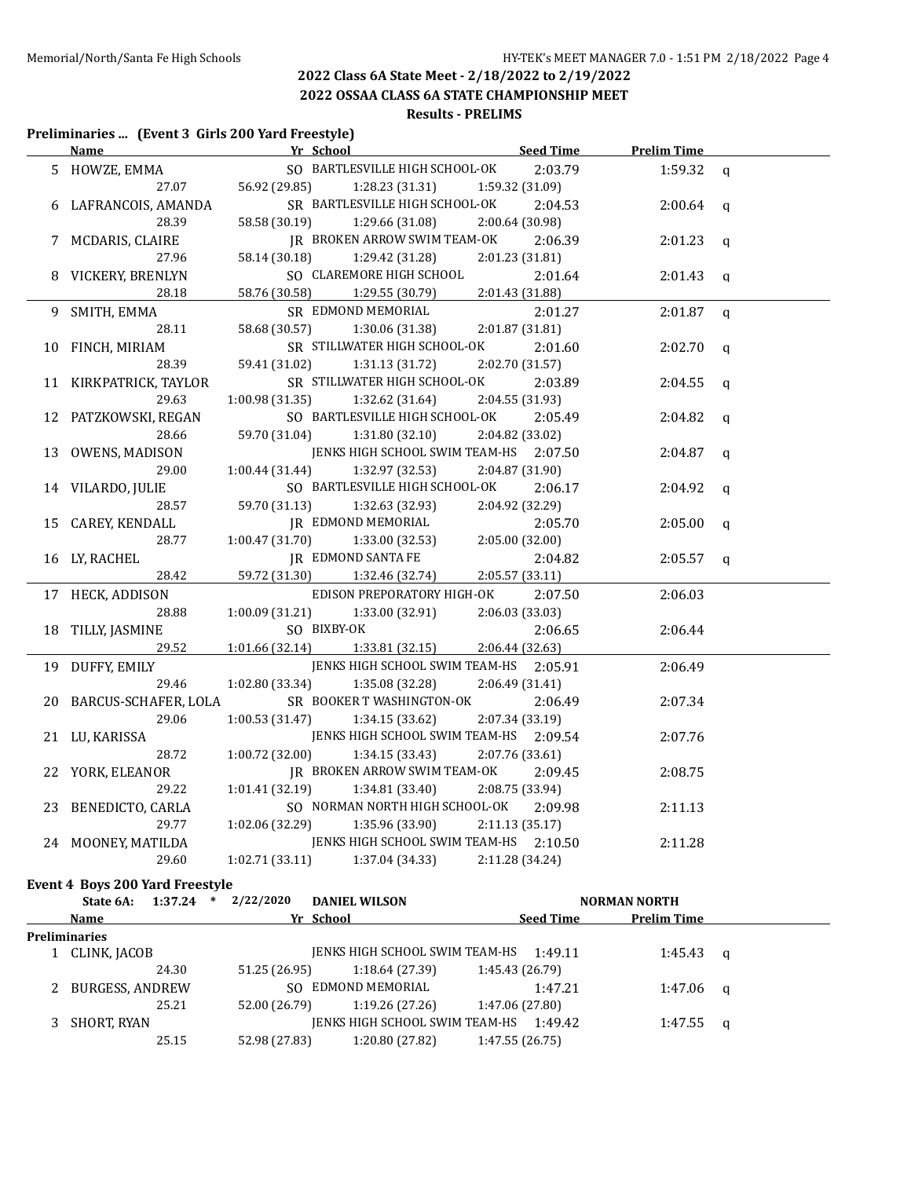**2022 OSSAA CLASS 6A STATE CHAMPIONSHIP MEET**

# **Results - PRELIMS**

# **Preliminaries ... (Event 3 Girls 200 Yard Freestyle)**

| Name                            | Yr School                                                | Seed Time       | <b>Prelim Time</b> |              |
|---------------------------------|----------------------------------------------------------|-----------------|--------------------|--------------|
| 5 HOWZE, EMMA                   | SO BARTLESVILLE HIGH SCHOOL-OK                           | 2:03.79         | 1:59.32 $q$        |              |
| 27.07                           | 56.92 (29.85)<br>1:28.23 (31.31)                         | 1:59.32 (31.09) |                    |              |
| 6 LAFRANCOIS, AMANDA            | SR BARTLESVILLE HIGH SCHOOL-OK                           | 2:04.53         | 2:00.64            | $\mathbf q$  |
| 28.39                           | 58.58 (30.19)<br>1:29.66 (31.08)                         | 2:00.64 (30.98) |                    |              |
| 7 MCDARIS, CLAIRE               | JR BROKEN ARROW SWIM TEAM-OK                             | 2:06.39         | 2:01.23            | $\mathbf q$  |
| 27.96                           | 58.14 (30.18)<br>1:29.42 (31.28)                         | 2:01.23(31.81)  |                    |              |
| 8 VICKERY, BRENLYN              | SO CLAREMORE HIGH SCHOOL                                 | 2:01.64         | 2:01.43            | $\mathbf q$  |
| 28.18                           | 58.76 (30.58)<br>1:29.55 (30.79)                         | 2:01.43 (31.88) |                    |              |
| 9 SMITH, EMMA                   | SR EDMOND MEMORIAL                                       | 2:01.27         | 2:01.87            | $\mathbf q$  |
| 28.11                           | 58.68 (30.57)<br>1:30.06(31.38)                          | 2:01.87 (31.81) |                    |              |
| 10 FINCH, MIRIAM                | SR STILLWATER HIGH SCHOOL-OK                             | 2:01.60         | 2:02.70            | $\mathbf{q}$ |
| 28.39                           | 59.41 (31.02)<br>1:31.13 (31.72)                         | 2:02.70 (31.57) |                    |              |
| 11 KIRKPATRICK, TAYLOR          | SR STILLWATER HIGH SCHOOL-OK                             | 2:03.89         | 2:04.55            | q            |
| 29.63                           | 1:00.98 (31.35)<br>1:32.62 (31.64)                       | 2:04.55 (31.93) |                    |              |
| 12 PATZKOWSKI, REGAN            | SO BARTLESVILLE HIGH SCHOOL-OK                           | 2:05.49         | 2:04.82            | q            |
| 28.66                           | 59.70 (31.04)<br>1:31.80(32.10)                          | 2:04.82 (33.02) |                    |              |
| 13 OWENS, MADISON               | JENKS HIGH SCHOOL SWIM TEAM-HS 2:07.50                   |                 | 2:04.87            | $\mathbf{q}$ |
| 29.00                           | 1:00.44 (31.44)<br>1:32.97 (32.53)                       | 2:04.87 (31.90) |                    |              |
| 14 VILARDO, JULIE               | SO BARTLESVILLE HIGH SCHOOL-OK                           | 2:06.17         | 2:04.92            | $\mathbf q$  |
| 28.57                           | 59.70 (31.13)<br>1:32.63 (32.93)                         | 2:04.92 (32.29) |                    |              |
| 15 CAREY, KENDALL               | JR EDMOND MEMORIAL<br>1.70)              1:33.00 (32.53) | 2:05.70         | 2:05.00            | $\mathbf q$  |
| 28.77                           | 1:00.47(31.70)                                           | 2:05.00 (32.00) |                    |              |
| 16 LY, RACHEL                   | JR EDMOND SANTA FE                                       | 2:04.82         | 2:05.57            | $\mathbf q$  |
| 28.42                           | 59.72 (31.30)<br>1:32.46 (32.74)                         | 2:05.57 (33.11) |                    |              |
| 17 HECK, ADDISON                | EDISON PREPORATORY HIGH-OK                               | 2:07.50         | 2:06.03            |              |
| 28.88                           | 1:00.09(31.21)<br>1:33.00 (32.91)                        | 2:06.03 (33.03) |                    |              |
| 18 TILLY, JASMINE               | SO BIXBY-OK                                              | 2:06.65         | 2:06.44            |              |
| 29.52                           | 1:01.66(32.14)<br>1:33.81(32.15)                         | 2:06.44 (32.63) |                    |              |
| 19 DUFFY, EMILY                 | JENKS HIGH SCHOOL SWIM TEAM-HS 2:05.91                   |                 | 2:06.49            |              |
| 29.46                           | 1:02.80 (33.34)<br>1:35.08 (32.28)                       | 2:06.49 (31.41) |                    |              |
| 20 BARCUS-SCHAFER, LOLA         | SR BOOKER T WASHINGTON-OK                                | 2:06.49         | 2:07.34            |              |
| 29.06                           | 1:00.53(31.47)<br>1:34.15(33.62)                         | 2:07.34 (33.19) |                    |              |
| 21 LU, KARISSA                  | JENKS HIGH SCHOOL SWIM TEAM-HS 2:09.54                   |                 | 2:07.76            |              |
| 28.72                           | 1:00.72(32.00)<br>1:34.15(33.43)                         | 2:07.76 (33.61) |                    |              |
| 22 YORK, ELEANOR                | JR BROKEN ARROW SWIM TEAM-OK                             | 2:09.45         | 2:08.75            |              |
| 29.22                           | 1:01.41 (32.19)<br>1:34.81 (33.40)                       | 2:08.75 (33.94) |                    |              |
| 23 BENEDICTO, CARLA             | SO NORMAN NORTH HIGH SCHOOL-OK                           | 2:09.98         | 2:11.13            |              |
| 29.77                           | $1:02.06(32.29)$ $1:35.96(33.90)$                        | 2:11.13 (35.17) |                    |              |
| 24 MOONEY, MATILDA              | JENKS HIGH SCHOOL SWIM TEAM-HS 2:10.50                   |                 | 2:11.28            |              |
| 29.60                           | 1:02.71 (33.11)<br>1:37.04 (34.33)                       | 2:11.28 (34.24) |                    |              |
| Event 4 Boys 200 Yard Freestyle |                                                          |                 |                    |              |

| 1:37.24<br>State 6A: | $\ast$ | 2/22/2020     | <b>DANIEL WILSON</b>           |                  | <b>NORMAN NORTH</b> |                    |          |
|----------------------|--------|---------------|--------------------------------|------------------|---------------------|--------------------|----------|
| Name                 |        |               | Yr School                      | <b>Seed Time</b> |                     | <b>Prelim Time</b> |          |
| <b>Preliminaries</b> |        |               |                                |                  |                     |                    |          |
| 1 CLINK, JACOB       |        |               | JENKS HIGH SCHOOL SWIM TEAM-HS | 1:49.11          |                     | 1:45.43            | $\alpha$ |
| 24.30                |        | 51.25 (26.95) | 1:18.64 (27.39)                | 1:45.43 (26.79)  |                     |                    |          |
| 2 BURGESS, ANDREW    |        |               | SO EDMOND MEMORIAL             | 1:47.21          |                     | $1:47.06$ q        |          |
| 25.21                |        | 52.00 (26.79) | 1:19.26(27.26)                 | 1:47.06 (27.80)  |                     |                    |          |
| SHORT, RYAN          |        |               | IENKS HIGH SCHOOL SWIM TEAM-HS | 1:49.42          |                     | 1:47.55            | <b>a</b> |
| 25.15                |        | 52.98 (27.83) | 1:20.80 (27.82)                | 1:47.55(26.75)   |                     |                    |          |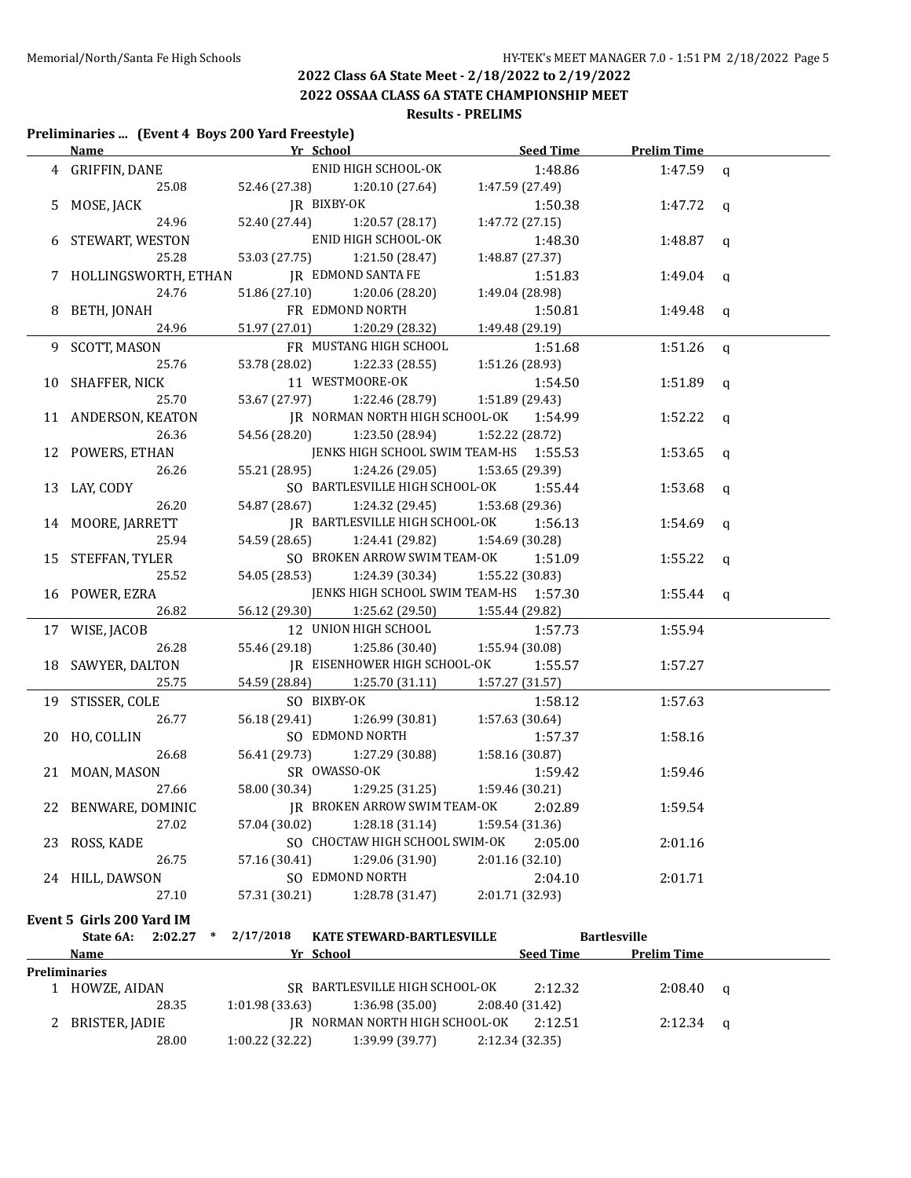### **2022 Class 6A State Meet - 2/18/2022 to 2/19/2022 2022 OSSAA CLASS 6A STATE CHAMPIONSHIP MEET**

# **Results - PRELIMS**

#### **Preliminaries ... (Event 4 Boys 200 Yard Freestyle)**

|    | Name Yr School            |                                                                  | <b>Seed Time</b> | <b>Prelim Time</b>  |              |
|----|---------------------------|------------------------------------------------------------------|------------------|---------------------|--------------|
|    | 4 GRIFFIN, DANE           | ENID HIGH SCHOOL-OK                                              | 1:48.86          | 1:47.59             | $\mathsf{q}$ |
|    | 25.08                     | 52.46 (27.38)<br>1:20.10 (27.64)                                 | 1:47.59 (27.49)  |                     |              |
|    | MOSE, JACK                | JR BIXBY-OK                                                      | 1:50.38          | 1:47.72             | $\mathbf{q}$ |
|    | 24.96                     | 52.40 (27.44)<br>1:20.57(28.17)                                  | 1:47.72 (27.15)  |                     |              |
| 6  | STEWART, WESTON           | ENID HIGH SCHOOL-OK                                              | 1:48.30          | 1:48.87             | q            |
|    | 25.28                     | 53.03 (27.75)<br>1:21.50 (28.47)                                 | 1:48.87 (27.37)  |                     |              |
|    | 7 HOLLINGSWORTH, ETHAN    | <b>JR EDMOND SANTA FE</b>                                        | 1:51.83          | 1:49.04             | q            |
|    | 24.76                     | 51.86 (27.10)<br>1:20.06 (28.20)                                 | 1:49.04 (28.98)  |                     |              |
|    | 8 BETH, JONAH             | FR EDMOND NORTH                                                  | 1:50.81          | 1:49.48             | q            |
|    | 24.96                     | 51.97 (27.01)<br>1:20.29 (28.32)                                 | 1:49.48 (29.19)  |                     |              |
| 9. | <b>SCOTT, MASON</b>       | FR MUSTANG HIGH SCHOOL                                           | 1:51.68          | 1:51.26             | q            |
|    | 25.76                     | 53.78 (28.02)<br>1:22.33 (28.55)                                 | 1:51.26 (28.93)  |                     |              |
| 10 | SHAFFER, NICK             | 11 WESTMOORE-OK                                                  | 1:54.50          | 1:51.89             | q            |
|    | 25.70                     | 53.67 (27.97)<br>1:22.46 (28.79)                                 | 1:51.89 (29.43)  |                     |              |
|    | 11 ANDERSON, KEATON       | JR NORMAN NORTH HIGH SCHOOL-OK 1:54.99                           |                  | 1:52.22 $q$         |              |
|    | 26.36                     | 54.56 (28.20)<br>1:23.50 (28.94) 1:52.22 (28.72)                 |                  |                     |              |
|    | 12 POWERS, ETHAN          | JENKS HIGH SCHOOL SWIM TEAM-HS 1:55.53                           |                  | 1:53.65 q           |              |
|    | 26.26                     | 55.21 (28.95)<br>1:24.26 (29.05) 1:53.65 (29.39)                 |                  |                     |              |
|    | 13 LAY, CODY              | SO BARTLESVILLE HIGH SCHOOL-OK                                   | 1:55.44          | 1:53.68             | q            |
|    | 26.20                     | 54.87 (28.67) 1:24.32 (29.45)                                    | 1:53.68 (29.36)  |                     |              |
|    | 14 MOORE, JARRETT         | JR BARTLESVILLE HIGH SCHOOL-OK                                   | 1:56.13          | 1:54.69             | q            |
|    | 25.94                     | 54.59 (28.65)<br>1:24.41 (29.82)                                 | 1:54.69 (30.28)  |                     |              |
|    | 15 STEFFAN, TYLER         | SO BROKEN ARROW SWIM TEAM-OK                                     | 1:51.09          | 1:55.22             |              |
|    | 25.52                     | 54.05 (28.53)<br>1:24.39 (30.34)                                 | 1:55.22 (30.83)  |                     | q            |
|    |                           | JENKS HIGH SCHOOL SWIM TEAM-HS 1:57.30                           |                  |                     |              |
|    | 16 POWER, EZRA<br>26.82   | 56.12 (29.30)<br>1:25.62 (29.50)                                 | 1:55.44 (29.82)  | 1:55.44 $q$         |              |
|    |                           | 12 UNION HIGH SCHOOL                                             |                  |                     |              |
|    | 17 WISE, JACOB            |                                                                  | 1:57.73          | 1:55.94             |              |
|    | 26.28                     | 55.46 (29.18)<br>1:25.86 (30.40)<br>JR EISENHOWER HIGH SCHOOL-OK | 1:55.94 (30.08)  |                     |              |
|    | 18 SAWYER, DALTON         |                                                                  | 1:55.57          | 1:57.27             |              |
|    | 25.75                     | 54.59 (28.84)<br>1:25.70 (31.11)                                 | 1:57.27 (31.57)  |                     |              |
|    | 19 STISSER, COLE          | SO BIXBY-OK                                                      | 1:58.12          | 1:57.63             |              |
|    | 26.77                     | 56.18 (29.41)<br>1:26.99 (30.81)                                 | 1:57.63 (30.64)  |                     |              |
|    | 20 HO, COLLIN             | SO EDMOND NORTH                                                  | 1:57.37          | 1:58.16             |              |
|    | 26.68                     | 56.41 (29.73)<br>1:27.29 (30.88)                                 | 1:58.16 (30.87)  |                     |              |
|    | 21 MOAN, MASON            | SR OWASSO-OK                                                     | 1:59.42          | 1:59.46             |              |
|    | 27.66                     | 1:29.25 (31.25)<br>58.00 (30.34)                                 | 1:59.46 (30.21)  |                     |              |
|    | 22 BENWARE, DOMINIC       | JR BROKEN ARROW SWIM TEAM-OK 2:02.89                             |                  | 1:59.54             |              |
|    | 27.02                     | 1:28.18(31.14)<br>57.04 (30.02)                                  | 1:59.54 (31.36)  |                     |              |
|    | 23 ROSS, KADE             | SO CHOCTAW HIGH SCHOOL SWIM-OK                                   | 2:05.00          | 2:01.16             |              |
|    | 26.75                     | 57.16 (30.41)<br>1:29.06 (31.90)                                 | 2:01.16 (32.10)  |                     |              |
|    | 24 HILL, DAWSON           | SO EDMOND NORTH                                                  | 2:04.10          | 2:01.71             |              |
|    | 27.10                     | 1:28.78 (31.47)<br>57.31 (30.21)                                 | 2:01.71 (32.93)  |                     |              |
|    | Event 5 Girls 200 Yard IM |                                                                  |                  |                     |              |
|    | State 6A:<br>$2:02.27$ *  | 2/17/2018<br>KATE STEWARD-BARTLESVILLE                           |                  | <b>Bartlesville</b> |              |
|    | Name                      | Yr School                                                        | <b>Seed Time</b> | <b>Prelim Time</b>  |              |
|    | Preliminaries             |                                                                  |                  |                     |              |
|    | 1 HOWZE, AIDAN            | SR BARTLESVILLE HIGH SCHOOL-OK                                   | 2:12.32          | $2:08.40$ q         |              |
|    | 28.35                     | 1:01.98 (33.63)<br>1:36.98(35.00)                                | 2:08.40 (31.42)  |                     |              |
|    | 2 BRISTER, JADIE          | JR NORMAN NORTH HIGH SCHOOL-OK                                   | 2:12.51          | $2:12.34$ q         |              |
|    | 28.00                     | $1:00.22$ (32.22) $1:39.99$ (39.77) $2:12.34$ (32.35)            |                  |                     |              |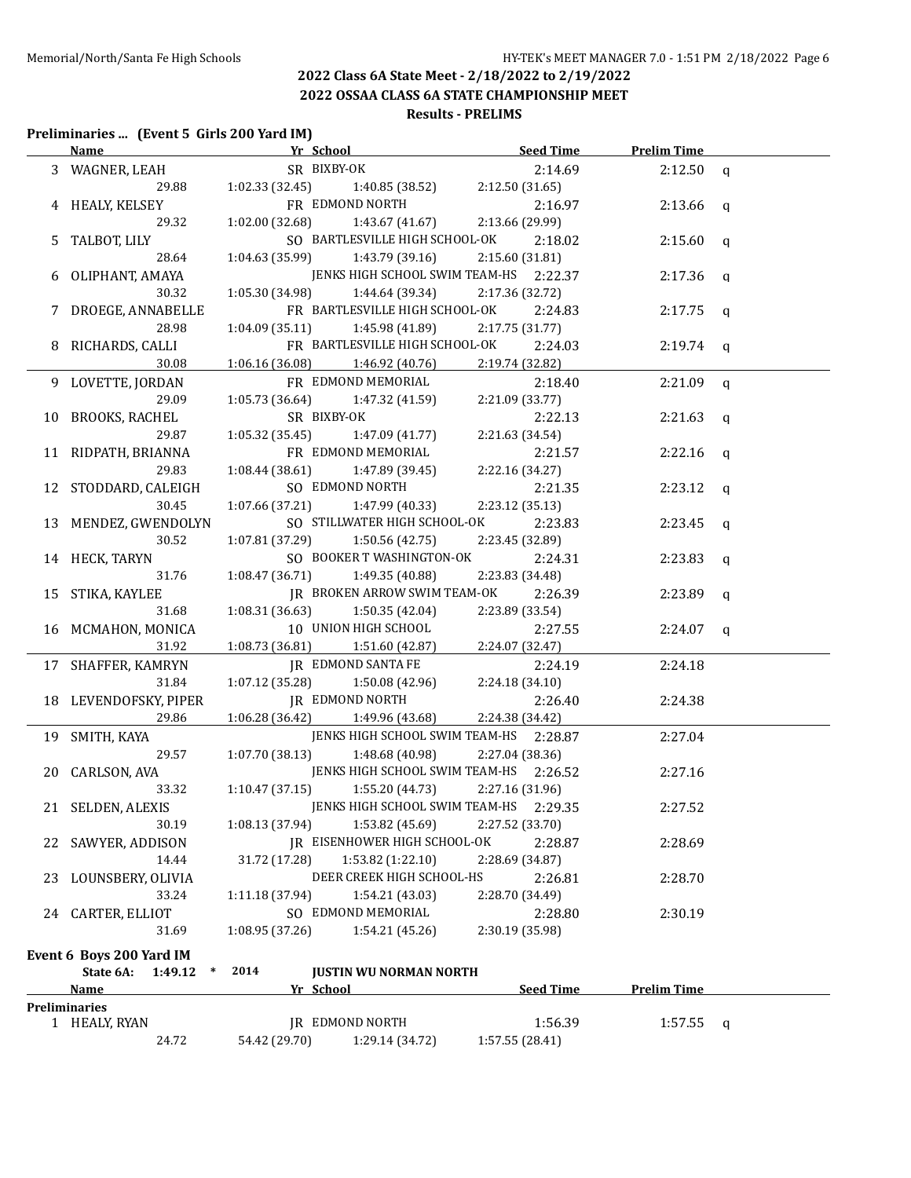**2022 OSSAA CLASS 6A STATE CHAMPIONSHIP MEET**

#### **Results - PRELIMS**

#### **Preliminaries ... (Event 5 Girls 200 Yard IM)**

|      | Name                           | Yr School New York School                                                                                                                          | Seed Time                                                       | <b>Prelim Time</b> |  |
|------|--------------------------------|----------------------------------------------------------------------------------------------------------------------------------------------------|-----------------------------------------------------------------|--------------------|--|
|      | 3 WAGNER, LEAH                 | SR BIXBY-OK 2:14.6<br>1:02.33 (32.45) 1:40.85 (38.52) 2:12.50 (31.65)<br>FR EDMOND NORTH 2:16.9<br>1:02.00 (32.68) 1:43.67 (41.67) 2:13.66 (29.99) | 2:14.69                                                         | $2:12.50$ q        |  |
|      | 29.88                          |                                                                                                                                                    |                                                                 |                    |  |
|      | 4 HEALY, KELSEY                |                                                                                                                                                    | 2:16.97                                                         | 2:13.66 $q$        |  |
|      | 29.32                          |                                                                                                                                                    |                                                                 |                    |  |
|      | 5 TALBOT, LILY                 |                                                                                                                                                    | SO BARTLESVILLE HIGH SCHOOL-OK 2:18.02                          | $2:15.60$ q        |  |
|      | 28.64                          | $1:04.63(35.99)$ $1:43.79(39.16)$                                                                                                                  | 2:15.60 (31.81)                                                 |                    |  |
|      | 6 OLIPHANT, AMAYA              | JENKS HIGH SCHOOL SWIM TEAM-HS 2:22.37                                                                                                             |                                                                 | $2:17.36$ q        |  |
|      | 30.32                          | $1:05.30(34.98)$ $1:44.64(39.34)$                                                                                                                  | 2:17.36 (32.72)                                                 |                    |  |
|      | 7 DROEGE, ANNABELLE            |                                                                                                                                                    | FR BARTLESVILLE HIGH SCHOOL-OK<br>2:24.83                       | $2:17.75$ q        |  |
|      | 28.98                          | 1:04.09 (35.11)                                                                                                                                    | 1:45.98 (41.89)<br>2:17.75(31.77)                               |                    |  |
|      | 8 RICHARDS, CALLI              |                                                                                                                                                    | FR BARTLESVILLE HIGH SCHOOL-OK 2:24.03                          | $2:19.74$ q        |  |
|      | 30.08                          | $1:06.16(36.08)$ $1:46.92(40.76)$                                                                                                                  | 2:19.74 (32.82)                                                 |                    |  |
|      | 9 LOVETTE, JORDAN              | FR EDMOND MEMORIAL                                                                                                                                 | 2:18.40                                                         | $2:21.09$ q        |  |
|      | 29.09                          | $1:05.73(36.64)$ $1:47.32(41.59)$                                                                                                                  | 2:21.09 (33.77)                                                 |                    |  |
|      | 10 BROOKS, RACHEL              | SR BIXBY-OK                                                                                                                                        | 2:22.13                                                         | $2:21.63$ q        |  |
|      | 29.87                          | $1:05.32(35.45)$ $1:47.09(41.77)$                                                                                                                  | 2:21.63 (34.54)                                                 |                    |  |
|      | 11 RIDPATH, BRIANNA            | FR EDMOND MEMORIAL                                                                                                                                 | 2:21.57                                                         | $2:22.16$ q        |  |
|      | 29.83                          | $1:08.44(38.61)$ $1:47.89(39.45)$                                                                                                                  | 2:22.16 (34.27)                                                 |                    |  |
|      |                                | SO EDMOND NORTH                                                                                                                                    | 2:21.35                                                         | $2:23.12$ q        |  |
|      | 12 STODDARD, CALEIGH<br>30.45  | $1:07.66(37.21)$ $1:47.99(40.33)$                                                                                                                  | 2:23.12 (35.13)                                                 |                    |  |
|      |                                |                                                                                                                                                    | SO STILLWATER HIGH SCHOOL-OK                                    |                    |  |
|      | 13 MENDEZ, GWENDOLYN<br>30.52  |                                                                                                                                                    | 2:23.83                                                         | $2:23.45$ q        |  |
|      |                                | 1:07.81 (37.29)                                                                                                                                    | 1:50.56 (42.75)<br>2:23.45 (32.89)<br>SO BOOKER T WASHINGTON-OK |                    |  |
|      | 14 HECK, TARYN                 |                                                                                                                                                    | 2:24.31                                                         | $2:23.83$ q        |  |
|      | 31.76                          | $1:08.47(36.71)$ $1:49.35(40.88)$                                                                                                                  | 2:23.83 (34.48)                                                 |                    |  |
|      | 15 STIKA, KAYLEE               |                                                                                                                                                    | JR BROKEN ARROW SWIM TEAM-OK<br>2:26.39                         | $2:23.89$ q        |  |
|      | 31.68                          | $1:08.31(36.63)$ $1:50.35(42.04)$                                                                                                                  | 2:23.89 (33.54)                                                 |                    |  |
|      | 16 MCMAHON, MONICA             | 10 UNION HIGH SCHOOL                                                                                                                               | 2:27.55                                                         | $2:24.07$ q        |  |
|      | 31.92                          | $1:08.73$ $(36.81)$ $1:51.60$ $(42.87)$                                                                                                            | 2:24.07 (32.47)                                                 |                    |  |
|      | 17 SHAFFER, KAMRYN             | IR EDMOND SANTA FE                                                                                                                                 | 2:24.19                                                         | 2:24.18            |  |
|      | 31.84                          | $1:07.12(35.28)$ $1:50.08(42.96)$                                                                                                                  | 2:24.18 (34.10)                                                 |                    |  |
|      | 18 LEVENDOFSKY, PIPER          | JR EDMOND NORTH                                                                                                                                    | 2:26.40                                                         | 2:24.38            |  |
|      | 29.86                          | $1:06.28(36.42)$ $1:49.96(43.68)$                                                                                                                  | 2:24.38 (34.42)                                                 |                    |  |
|      | 19 SMITH, KAYA                 |                                                                                                                                                    | JENKS HIGH SCHOOL SWIM TEAM-HS 2:28.87                          | 2:27.04            |  |
|      | 29.57                          | 1:07.70 (38.13)                                                                                                                                    | 1:48.68 (40.98)<br>2:27.04 (38.36)                              |                    |  |
|      | 20 CARLSON, AVA                |                                                                                                                                                    | JENKS HIGH SCHOOL SWIM TEAM-HS 2:26.52                          | 2:27.16            |  |
|      | 33.32                          | $1:10.47(37.15)$ $1:55.20(44.73)$                                                                                                                  | 2:27.16 (31.96)                                                 |                    |  |
|      | 21 SELDEN, ALEXIS              | JENKS HIGH SCHOOL SWIM TEAM-HS 2:29.35                                                                                                             |                                                                 | 2:27.52            |  |
|      | 30.19                          | 1:08.13 (37.94)<br>1:53.82 (45.69)                                                                                                                 | 2:27.52 (33.70)                                                 |                    |  |
| 22 - | SAWYER, ADDISON                | JR EISENHOWER HIGH SCHOOL-OK                                                                                                                       | 2:28.87                                                         | 2:28.69            |  |
|      | 14.44                          | 31.72 (17.28)<br>1:53.82 (1:22.10)                                                                                                                 | 2:28.69 (34.87)                                                 |                    |  |
| 23   | LOUNSBERY, OLIVIA              | DEER CREEK HIGH SCHOOL-HS                                                                                                                          | 2:26.81                                                         | 2:28.70            |  |
|      | 33.24                          | 1:11.18 (37.94)<br>1:54.21 (43.03)                                                                                                                 | 2:28.70 (34.49)                                                 |                    |  |
|      | 24 CARTER, ELLIOT              | SO EDMOND MEMORIAL                                                                                                                                 | 2:28.80                                                         | 2:30.19            |  |
|      | 31.69                          | 1:08.95 (37.26)<br>1:54.21 (45.26)                                                                                                                 | 2:30.19 (35.98)                                                 |                    |  |
|      | Event 6 Boys 200 Yard IM       |                                                                                                                                                    |                                                                 |                    |  |
|      | State 6A:<br>1:49.12<br>$\ast$ | 2014<br><b>JUSTIN WU NORMAN NORTH</b>                                                                                                              |                                                                 |                    |  |
|      | <u>Name</u>                    | Yr School                                                                                                                                          | Seed Time                                                       | <b>Prelim Time</b> |  |
|      | Preliminaries                  |                                                                                                                                                    |                                                                 |                    |  |
|      | 1 HEALY, RYAN                  | <b>JR EDMOND NORTH</b>                                                                                                                             | 1:56.39                                                         | $1:57.55$ q        |  |
|      | 24.72                          | 54.42 (29.70)<br>1:29.14 (34.72)                                                                                                                   | 1:57.55 (28.41)                                                 |                    |  |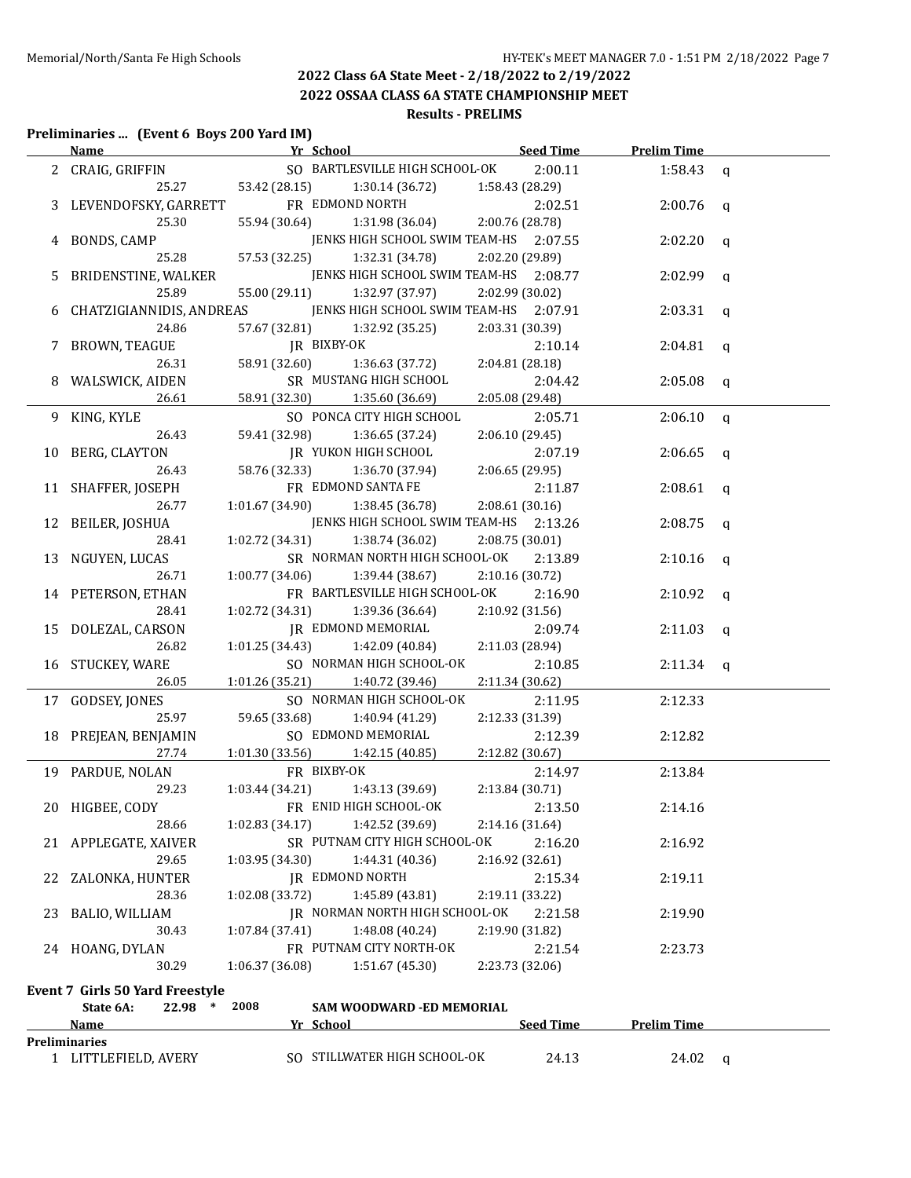**2022 OSSAA CLASS 6A STATE CHAMPIONSHIP MEET Results - PRELIMS**

#### **Preliminaries ... (Event 6 Boys 200 Yard IM)**

|    |                                        | Name Seed Time School Seed Time                               |                 | <b>Prelim Time</b> |              |
|----|----------------------------------------|---------------------------------------------------------------|-----------------|--------------------|--------------|
|    | 2 CRAIG, GRIFFIN                       | SO BARTLESVILLE HIGH SCHOOL-OK                                | 2:00.11         | 1:58.43            | $\mathsf{q}$ |
|    |                                        | 25.27 53.42 (28.15)<br>1:30.14 (36.72)                        | 1:58.43 (28.29) |                    |              |
|    | LEVENDOFSKY, GARRETT                   | FR EDMOND NORTH                                               | 2:02.51         | 2:00.76            | $\mathbf{q}$ |
|    | 25.30                                  | 1:31.98 (36.04)<br>55.94 (30.64)                              | 2:00.76 (28.78) |                    |              |
|    | BONDS, CAMP                            | JENKS HIGH SCHOOL SWIM TEAM-HS 2:07.55                        |                 | 2:02.20            | $\mathbf{q}$ |
|    | 25.28                                  | 57.53 (32.25)<br>1:32.31 (34.78)                              | 2:02.20 (29.89) |                    |              |
| 5. | BRIDENSTINE, WALKER                    | JENKS HIGH SCHOOL SWIM TEAM-HS 2:08.77                        |                 | 2:02.99            | $\mathbf{q}$ |
|    | 25.89                                  | 55.00 (29.11)<br>1:32.97 (37.97)                              | 2:02.99 (30.02) |                    |              |
| 6  | CHATZIGIANNIDIS, ANDREAS               | JENKS HIGH SCHOOL SWIM TEAM-HS 2:07.91                        |                 | 2:03.31            | $\mathbf q$  |
|    | 24.86                                  | 57.67 (32.81)<br>1:32.92 (35.25)                              | 2:03.31 (30.39) |                    |              |
| 7  | BROWN, TEAGUE                          | JR BIXBY-OK                                                   | 2:10.14         | 2:04.81            | $\mathbf q$  |
|    | 26.31                                  | 58.91 (32.60)<br>1:36.63 (37.72)                              | 2:04.81 (28.18) |                    |              |
|    | WALSWICK, AIDEN                        | SR MUSTANG HIGH SCHOOL                                        | 2:04.42         | 2:05.08            | $\mathbf{q}$ |
|    | 26.61                                  | 58.91 (32.30)<br>1:35.60 (36.69)                              | 2:05.08 (29.48) |                    |              |
|    | 9 KING, KYLE                           | SO PONCA CITY HIGH SCHOOL                                     | 2:05.71         | 2:06.10            | q            |
|    | 26.43                                  | 59.41 (32.98)<br>1:36.65 (37.24)                              | 2:06.10 (29.45) |                    |              |
| 10 | BERG, CLAYTON                          | <b>IR YUKON HIGH SCHOOL</b>                                   | 2:07.19         | 2:06.65            | $\mathbf q$  |
|    | 26.43                                  | 58.76 (32.33)<br>1:36.70 (37.94)                              | 2:06.65(29.95)  |                    |              |
|    | 11 SHAFFER, JOSEPH                     | FR EDMOND SANTA FE                                            | 2:11.87         | 2:08.61            | $\alpha$     |
|    | 26.77                                  | 1:01.67(34.90)<br>1:38.45 (36.78)                             | 2:08.61 (30.16) |                    |              |
|    | 12 BEILER, JOSHUA                      | JENKS HIGH SCHOOL SWIM TEAM-HS 2:13.26                        |                 | 2:08.75            | q            |
|    | 28.41                                  | 1:02.72 (34.31)<br>1:38.74 (36.02)                            | 2:08.75 (30.01) |                    |              |
|    | 13 NGUYEN, LUCAS                       | SR NORMAN NORTH HIGH SCHOOL-OK                                | 2:13.89         | 2:10.16            | q            |
|    | 26.71                                  | 1:00.77 (34.06)<br>1:39.44 (38.67)                            | 2:10.16 (30.72) |                    |              |
|    | 14 PETERSON, ETHAN                     | FR BARTLESVILLE HIGH SCHOOL-OK                                | 2:16.90         | 2:10.92            | q            |
|    | 28.41                                  | 1:02.72 (34.31)<br>1:39.36 (36.64)                            | 2:10.92 (31.56) |                    |              |
|    | 15 DOLEZAL, CARSON                     | JR EDMOND MEMORIAL                                            | 2:09.74         | 2:11.03            | q            |
|    | 26.82                                  | 1:01.25 (34.43)<br>1:42.09 (40.84)                            | 2:11.03 (28.94) |                    |              |
|    | 16 STUCKEY, WARE                       | SO NORMAN HIGH SCHOOL-OK                                      | 2:10.85         | $2:11.34$ q        |              |
|    | 26.05                                  | 1:01.26 (35.21)<br>1:40.72 (39.46)                            | 2:11.34 (30.62) |                    |              |
|    | 17 GODSEY, JONES                       | SO NORMAN HIGH SCHOOL-OK                                      | 2:11.95         | 2:12.33            |              |
|    | 25.97                                  | 59.65 (33.68)<br>1:40.94 (41.29)                              | 2:12.33 (31.39) |                    |              |
|    | 18 PREJEAN, BENJAMIN                   | SO EDMOND MEMORIAL                                            | 2:12.39         | 2:12.82            |              |
|    | 27.74                                  | 1:01.30 (33.56)<br>1:42.15 (40.85)                            | 2:12.82 (30.67) |                    |              |
|    | 19 PARDUE, NOLAN                       | FR BIXBY-OK                                                   | 2:14.97         | 2:13.84            |              |
|    | 29.23                                  | 1:03.44 (34.21)<br>1:43.13 (39.69)                            | 2:13.84 (30.71) |                    |              |
|    | 20 HIGBEE, CODY                        | FR ENID HIGH SCHOOL-OK                                        | 2:13.50         | 2:14.16            |              |
|    | 28.66                                  | 1:42.52 (39.69)<br>1:02.83 (34.17)                            | 2:14.16 (31.64) |                    |              |
|    | 21 APPLEGATE, XAIVER                   | SR PUTNAM CITY HIGH SCHOOL-OK                                 | 2:16.20         | 2:16.92            |              |
|    | 29.65                                  | 1:03.95 (34.30)<br>1:44.31 (40.36)                            | 2:16.92 (32.61) |                    |              |
|    | 22 ZALONKA, HUNTER                     | <b>JR EDMOND NORTH</b>                                        | 2:15.34         | 2:19.11            |              |
|    | 28.36                                  | 1:02.08 (33.72)<br>1:45.89 (43.81)                            | 2:19.11 (33.22) |                    |              |
|    | 23 BALIO, WILLIAM                      | JR NORMAN NORTH HIGH SCHOOL-OK                                | 2:21.58         | 2:19.90            |              |
|    | 30.43                                  | 1:07.84 (37.41)<br>1:48.08 (40.24)<br>FR PUTNAM CITY NORTH-OK | 2:19.90 (31.82) |                    |              |
|    | 24 HOANG, DYLAN                        |                                                               | 2:21.54         | 2:23.73            |              |
|    | 30.29                                  | 1:06.37 (36.08)<br>1:51.67 (45.30)                            | 2:23.73 (32.06) |                    |              |
|    | <b>Event 7 Girls 50 Yard Freestyle</b> |                                                               |                 |                    |              |
|    | 22.98 * 2008<br>State 6A:              | SAM WOODWARD -ED MEMORIAL                                     |                 |                    |              |
|    | <b>Name</b>                            | Yr School                                                     | Seed Time       | <b>Prelim Time</b> |              |
|    | Preliminaries                          |                                                               |                 |                    |              |
|    | 1 LITTLEFIELD, AVERY                   | SO STILLWATER HIGH SCHOOL-OK                                  | 24.13           | 24.02 $q$          |              |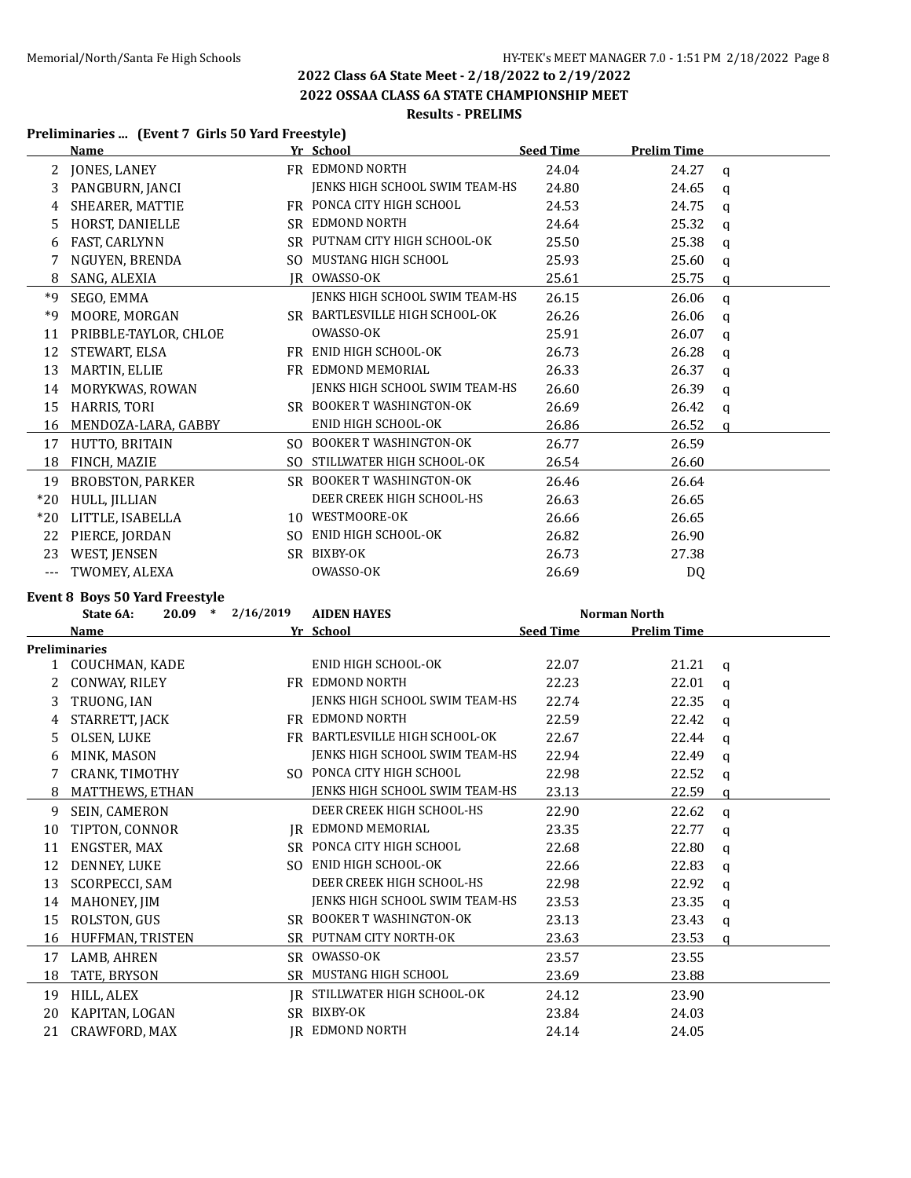#### **2022 OSSAA CLASS 6A STATE CHAMPIONSHIP MEET Results - PRELIMS**

#### **Preliminaries ... (Event 7 Girls 50 Yard Freestyle)**

|                      | 11 Chinnan ico  (Event / Girls 50 Tara Hecseyle)<br><u>Name </u> | Yr School                      | <b>Seed Time</b> | <b>Prelim Time</b> |              |
|----------------------|------------------------------------------------------------------|--------------------------------|------------------|--------------------|--------------|
|                      | 2 JONES, LANEY                                                   | FR EDMOND NORTH                | 24.04            | 24.27              | $\mathbf{q}$ |
| 3                    | PANGBURN, JANCI                                                  | JENKS HIGH SCHOOL SWIM TEAM-HS | 24.80            | 24.65              | $\mathbf q$  |
| 4                    | SHEARER, MATTIE                                                  | FR PONCA CITY HIGH SCHOOL      | 24.53            | 24.75              | q            |
| 5.                   | HORST, DANIELLE                                                  | SR EDMOND NORTH                | 24.64            | 25.32              | q            |
| 6                    | FAST, CARLYNN                                                    | SR PUTNAM CITY HIGH SCHOOL-OK  | 25.50            | 25.38              | q            |
| 7                    | NGUYEN, BRENDA                                                   | SO MUSTANG HIGH SCHOOL         | 25.93            | 25.60              | $\mathbf{q}$ |
| 8                    | SANG, ALEXIA                                                     | <b>IR OWASSO-OK</b>            | 25.61            | 25.75              | q            |
| $*9$                 | SEGO, EMMA                                                       | JENKS HIGH SCHOOL SWIM TEAM-HS | 26.15            | 26.06              | $\mathbf q$  |
| *9                   | MOORE, MORGAN                                                    | SR BARTLESVILLE HIGH SCHOOL-OK | 26.26            | 26.06              | $\mathbf{q}$ |
| 11                   | PRIBBLE-TAYLOR, CHLOE                                            | OWASSO-OK                      | 25.91            | 26.07              | q            |
| 12                   | STEWART, ELSA                                                    | FR ENID HIGH SCHOOL-OK         | 26.73            | 26.28              | q            |
| 13                   | MARTIN, ELLIE                                                    | FR EDMOND MEMORIAL             | 26.33            | 26.37              | q            |
| 14                   | MORYKWAS, ROWAN                                                  | JENKS HIGH SCHOOL SWIM TEAM-HS | 26.60            | 26.39              | q            |
| 15                   | HARRIS, TORI                                                     | SR BOOKER T WASHINGTON-OK      | 26.69            | 26.42              | q            |
|                      | 16 MENDOZA-LARA, GABBY                                           | ENID HIGH SCHOOL-OK            | 26.86            | 26.52              | $\mathbf{q}$ |
|                      | 17 HUTTO, BRITAIN                                                | SO BOOKER T WASHINGTON-OK      | 26.77            | 26.59              |              |
|                      | 18 FINCH, MAZIE                                                  | SO STILLWATER HIGH SCHOOL-OK   | 26.54            | 26.60              |              |
| 19                   | <b>BROBSTON, PARKER</b>                                          | SR BOOKER T WASHINGTON-OK      | 26.46            | 26.64              |              |
| $*20$                | HULL, JILLIAN                                                    | DEER CREEK HIGH SCHOOL-HS      | 26.63            | 26.65              |              |
|                      | *20 LITTLE, ISABELLA                                             | 10 WESTMOORE-OK                | 26.66            | 26.65              |              |
|                      | 22 PIERCE, JORDAN                                                | SO ENID HIGH SCHOOL-OK         | 26.82            | 26.90              |              |
|                      | 23 WEST, JENSEN                                                  | SR BIXBY-OK                    | 26.73            | 27.38              |              |
| $\scriptstyle\cdots$ | TWOMEY, ALEXA                                                    | OWASSO-OK                      | 26.69            | DQ                 |              |
|                      | Event 8 Boys 50 Yard Freestyle                                   |                                |                  |                    |              |
|                      | $20.09$ * $2/16/2019$<br>State 6A:                               | <b>AIDEN HAYES</b>             |                  | Norman North       |              |
|                      | Name                                                             | Yr School                      | <b>Seed Time</b> | <b>Prelim Time</b> |              |
|                      | <b>Preliminaries</b>                                             |                                |                  |                    |              |
|                      | 1 COUCHMAN, KADE                                                 | ENID HIGH SCHOOL-OK            | 22.07            | 21.21              | $\mathbf{q}$ |
| 2                    | CONWAY, RILEY                                                    | FR EDMOND NORTH                | 22.23            | 22.01              | $\mathbf{q}$ |
| 3                    | TRUONG, IAN                                                      | JENKS HIGH SCHOOL SWIM TEAM-HS | 22.74            | 22.35              | $\mathbf{q}$ |
| 4                    | STARRETT, JACK                                                   | FR EDMOND NORTH                | 22.59            | 22.42              | $\mathbf{q}$ |
| 5                    | OLSEN, LUKE                                                      | FR BARTLESVILLE HIGH SCHOOL-OK | 22.67            | 22.44              | q            |
| 6                    | MINK, MASON                                                      | JENKS HIGH SCHOOL SWIM TEAM-HS | 22.94            | 22.49              | $\mathbf{q}$ |
|                      | CRANK, TIMOTHY                                                   | SO PONCA CITY HIGH SCHOOL      | 22.98            | 22.52              | q            |
| 8                    | MATTHEWS, ETHAN                                                  | JENKS HIGH SCHOOL SWIM TEAM-HS | 23.13            | 22.59              | $\mathbf{q}$ |
| 9                    | SEIN, CAMERON                                                    | DEER CREEK HIGH SCHOOL-HS      | 22.90            | 22.62              | q            |
| 10                   | TIPTON, CONNOR                                                   | <b>IR EDMOND MEMORIAL</b>      | 23.35            | 22.77              | q            |
| 11                   | ENGSTER, MAX                                                     | SR PONCA CITY HIGH SCHOOL      | 22.68            | 22.80              | q            |
| 12                   | DENNEY, LUKE                                                     | SO ENID HIGH SCHOOL-OK         | 22.66            | 22.83              | q            |
| 13                   | <b>SCORPECCI, SAM</b>                                            | DEER CREEK HIGH SCHOOL-HS      | 22.98            | 22.92              | q            |
| 14                   | MAHONEY, JIM                                                     | JENKS HIGH SCHOOL SWIM TEAM-HS | 23.53            | 23.35              | q            |
| 15                   | ROLSTON, GUS                                                     | SR BOOKER T WASHINGTON-OK      | 23.13            | 23.43              | q            |
| 16                   | HUFFMAN, TRISTEN                                                 | SR PUTNAM CITY NORTH-OK        | 23.63            | 23.53              | q            |

17 LAMB, AHREN SR OWASSO-OK 23.57 23.55 18 TATE, BRYSON SR MUSTANG HIGH SCHOOL 23.69 23.88 19 HILL, ALEX JR STILLWATER HIGH SCHOOL-OK 24.12 23.90 KAPITAN, LOGAN SR BIXBY-OK 23.84 24.03 21 CRAWFORD, MAX JR EDMOND NORTH 24.14 24.05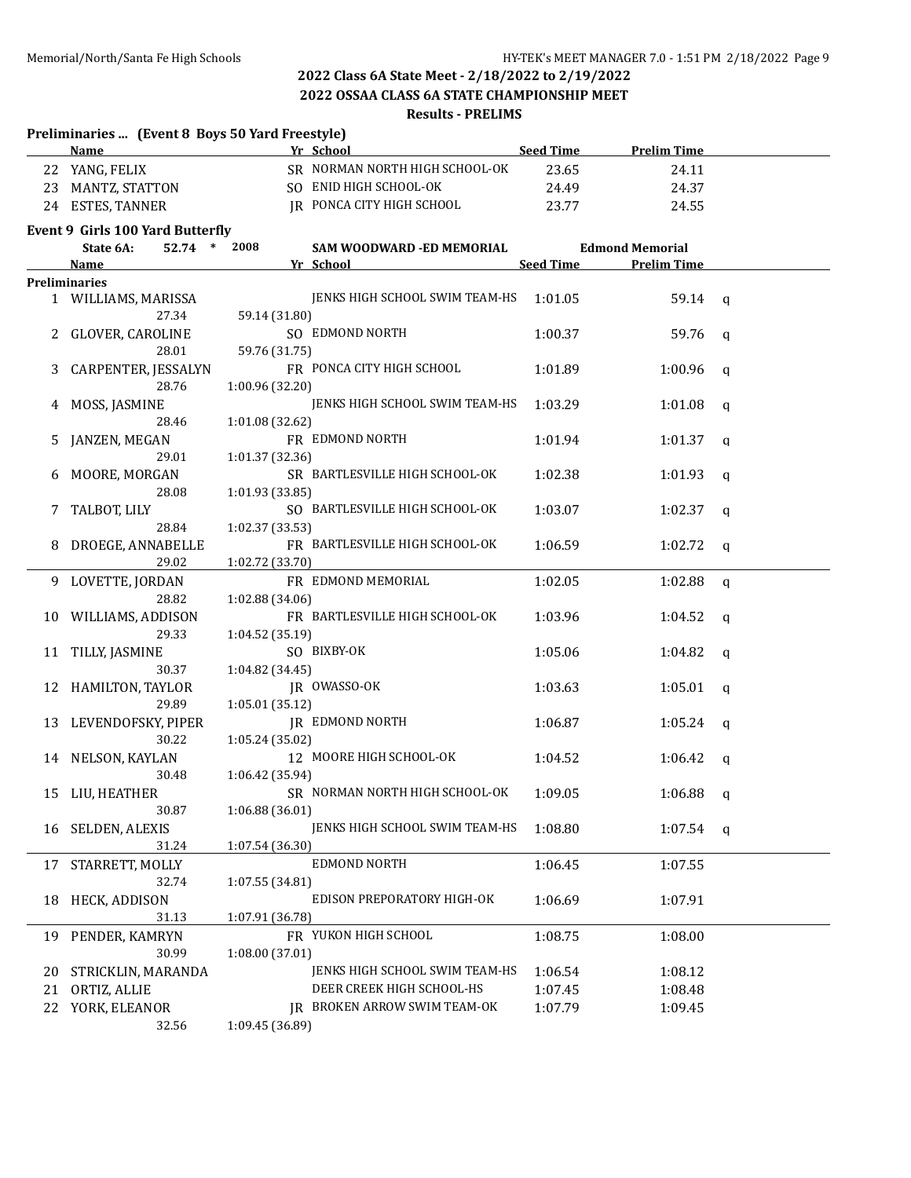### **2022 Class 6A State Meet - 2/18/2022 to 2/19/2022 2022 OSSAA CLASS 6A STATE CHAMPIONSHIP MEET**

# **Results - PRELIMS**

|    | Preliminaries  (Event 8 Boys 50 Yard Freestyle) |                 |                                     |                  |                        |              |
|----|-------------------------------------------------|-----------------|-------------------------------------|------------------|------------------------|--------------|
|    | Name                                            |                 | Yr School                           | <b>Seed Time</b> | <b>Prelim Time</b>     |              |
|    | 22 YANG, FELIX                                  |                 | SR NORMAN NORTH HIGH SCHOOL-OK      | 23.65            | 24.11                  |              |
|    | 23 MANTZ, STATTON                               |                 | SO ENID HIGH SCHOOL-OK              | 24.49            | 24.37                  |              |
|    | 24 ESTES, TANNER                                |                 | JR PONCA CITY HIGH SCHOOL           | 23.77            | 24.55                  |              |
|    | Event 9 Girls 100 Yard Butterfly                |                 |                                     |                  |                        |              |
|    | 52.74 *<br>State 6A:                            | 2008            | SAM WOODWARD -ED MEMORIAL           |                  | <b>Edmond Memorial</b> |              |
|    | <b>Name</b>                                     |                 | Yr School                           | <b>Seed Time</b> | <b>Prelim Time</b>     |              |
|    | <b>Preliminaries</b>                            |                 |                                     |                  |                        |              |
|    | 1 WILLIAMS, MARISSA                             |                 | JENKS HIGH SCHOOL SWIM TEAM-HS      | 1:01.05          | 59.14                  | $\alpha$     |
|    | 27.34                                           | 59.14 (31.80)   |                                     |                  |                        |              |
|    | 2 GLOVER, CAROLINE                              |                 | SO EDMOND NORTH                     | 1:00.37          | 59.76                  | q            |
|    | 28.01                                           | 59.76 (31.75)   |                                     |                  |                        |              |
|    | 3 CARPENTER, JESSALYN                           |                 | FR PONCA CITY HIGH SCHOOL           | 1:01.89          | 1:00.96                | q            |
|    | 28.76                                           | 1:00.96 (32.20) |                                     |                  |                        |              |
|    | 4 MOSS, JASMINE                                 |                 | JENKS HIGH SCHOOL SWIM TEAM-HS      | 1:03.29          | 1:01.08                | q            |
|    | 28.46                                           | 1:01.08 (32.62) |                                     |                  |                        |              |
| 5. | JANZEN, MEGAN                                   |                 | FR EDMOND NORTH                     | 1:01.94          | 1:01.37                | q            |
|    | 29.01                                           | 1:01.37 (32.36) |                                     |                  |                        |              |
|    | MOORE, MORGAN                                   |                 | SR BARTLESVILLE HIGH SCHOOL-OK      | 1:02.38          | 1:01.93                | $\mathbf q$  |
|    | 28.08                                           | 1:01.93 (33.85) |                                     |                  |                        |              |
| 7. | TALBOT, LILY                                    |                 | SO BARTLESVILLE HIGH SCHOOL-OK      | 1:03.07          | 1:02.37                | q            |
|    | 28.84                                           | 1:02.37 (33.53) |                                     |                  |                        |              |
|    | 8 DROEGE, ANNABELLE                             |                 | FR BARTLESVILLE HIGH SCHOOL-OK      | 1:06.59          | 1:02.72                | q            |
|    | 29.02                                           | 1:02.72 (33.70) |                                     |                  |                        |              |
|    | 9 LOVETTE, JORDAN                               |                 | FR EDMOND MEMORIAL                  | 1:02.05          | 1:02.88                | $\mathsf{q}$ |
|    | 28.82                                           | 1:02.88 (34.06) |                                     |                  |                        |              |
|    | 10 WILLIAMS, ADDISON                            |                 | FR BARTLESVILLE HIGH SCHOOL-OK      | 1:03.96          | 1:04.52                | $\mathbf q$  |
|    | 29.33                                           | 1:04.52 (35.19) |                                     |                  |                        |              |
| 11 | TILLY, JASMINE                                  |                 | SO BIXBY-OK                         | 1:05.06          | 1:04.82                | q            |
|    | 30.37                                           | 1:04.82 (34.45) |                                     |                  |                        |              |
|    | 12 HAMILTON, TAYLOR                             |                 | JR OWASSO-OK                        | 1:03.63          | 1:05.01                | q            |
|    | 29.89                                           | 1:05.01(35.12)  |                                     |                  |                        |              |
|    | 13 LEVENDOFSKY, PIPER                           |                 | <b>IR EDMOND NORTH</b>              | 1:06.87          | 1:05.24                | q            |
|    | 30.22                                           | 1:05.24 (35.02) |                                     |                  |                        |              |
|    | 14 NELSON, KAYLAN                               |                 | 12 MOORE HIGH SCHOOL-OK             | 1:04.52          | 1:06.42                | q            |
|    | 30.48                                           | 1:06.42 (35.94) |                                     |                  |                        |              |
|    | 15 LIU, HEATHER                                 |                 | SR NORMAN NORTH HIGH SCHOOL-OK      | 1:09.05          | 1:06.88                | q            |
|    | 30.87                                           | 1:06.88(36.01)  |                                     |                  |                        |              |
| 16 | SELDEN, ALEXIS                                  |                 | JENKS HIGH SCHOOL SWIM TEAM-HS      | 1:08.80          | 1:07.54                | q            |
|    | 31.24                                           | 1:07.54 (36.30) |                                     |                  |                        |              |
| 17 | STARRETT, MOLLY                                 |                 | EDMOND NORTH                        | 1:06.45          | 1:07.55                |              |
|    | 32.74                                           | 1:07.55 (34.81) |                                     |                  |                        |              |
| 18 | HECK, ADDISON                                   |                 | EDISON PREPORATORY HIGH-OK          | 1:06.69          | 1:07.91                |              |
|    | 31.13                                           | 1:07.91 (36.78) |                                     |                  |                        |              |
| 19 | PENDER, KAMRYN                                  |                 | FR YUKON HIGH SCHOOL                | 1:08.75          | 1:08.00                |              |
|    | 30.99                                           | 1:08.00(37.01)  |                                     |                  |                        |              |
| 20 | STRICKLIN, MARANDA                              |                 | JENKS HIGH SCHOOL SWIM TEAM-HS      | 1:06.54          | 1:08.12                |              |
| 21 | ORTIZ, ALLIE                                    |                 | DEER CREEK HIGH SCHOOL-HS           | 1:07.45          | 1:08.48                |              |
| 22 | YORK, ELEANOR                                   |                 | <b>IR BROKEN ARROW SWIM TEAM-OK</b> | 1:07.79          | 1:09.45                |              |
|    | 32.56                                           | 1:09.45 (36.89) |                                     |                  |                        |              |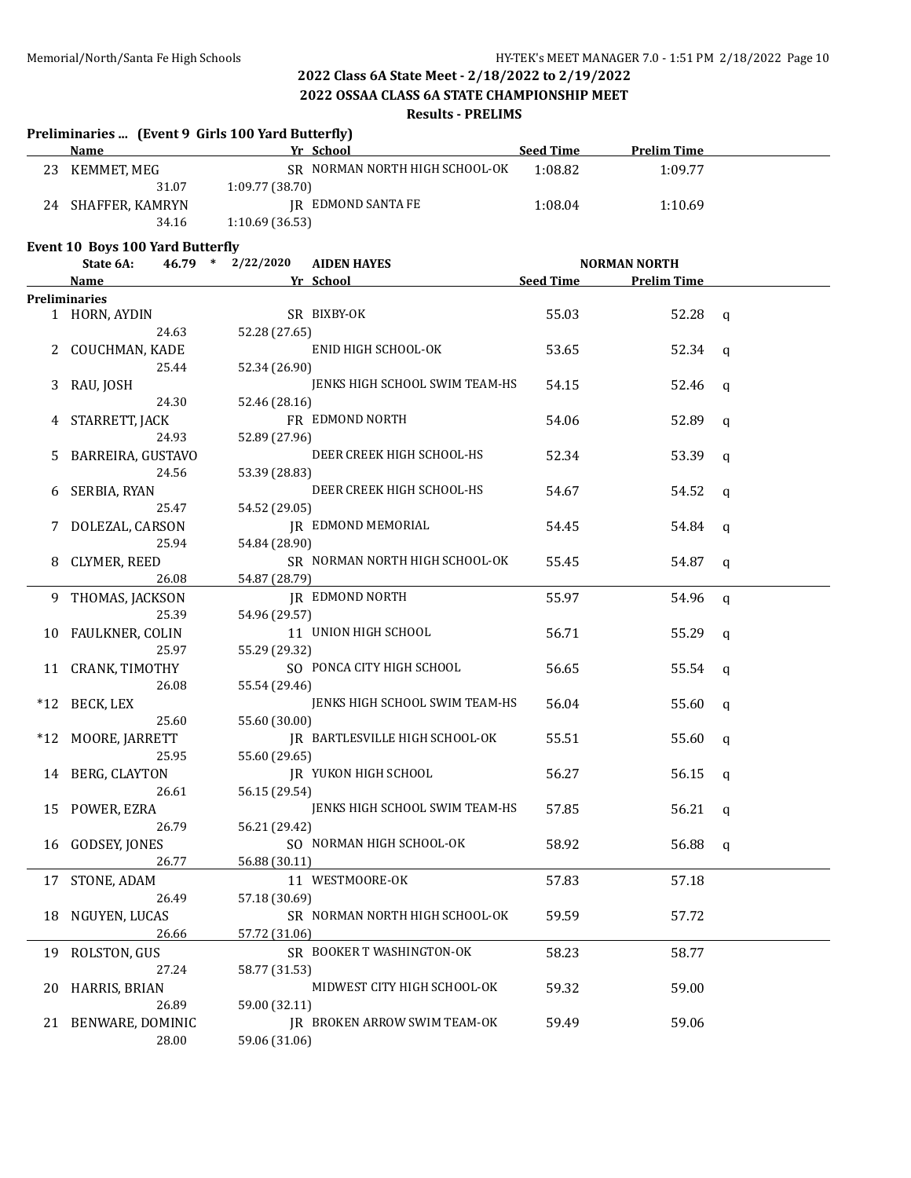**2022 OSSAA CLASS 6A STATE CHAMPIONSHIP MEET**

#### **Results - PRELIMS**

|     | Preliminaries  (Event 9 Girls 100 Yard Butterfly)<br>Name |                   | Yr School                      | <b>Seed Time</b> | <b>Prelim Time</b>  |   |
|-----|-----------------------------------------------------------|-------------------|--------------------------------|------------------|---------------------|---|
| 23  | KEMMET, MEG                                               |                   | SR NORMAN NORTH HIGH SCHOOL-OK | 1:08.82          | 1:09.77             |   |
|     | 31.07                                                     | 1:09.77 (38.70)   |                                |                  |                     |   |
| 24  | SHAFFER, KAMRYN                                           |                   | JR EDMOND SANTA FE             | 1:08.04          | 1:10.69             |   |
|     | 34.16                                                     | 1:10.69 (36.53)   |                                |                  |                     |   |
|     | Event 10 Boys 100 Yard Butterfly                          |                   |                                |                  |                     |   |
|     | State 6A:                                                 | 46.79 * 2/22/2020 | <b>AIDEN HAYES</b>             |                  | <b>NORMAN NORTH</b> |   |
|     | <b>Name</b>                                               |                   | Yr School                      | Seed Time        | <b>Prelim Time</b>  |   |
|     | <b>Preliminaries</b>                                      |                   |                                |                  |                     |   |
|     | 1 HORN, AYDIN                                             |                   | SR BIXBY-OK                    | 55.03            | 52.28               | q |
|     | 24.63                                                     | 52.28 (27.65)     |                                |                  |                     |   |
|     | COUCHMAN, KADE                                            |                   | ENID HIGH SCHOOL-OK            | 53.65            | 52.34               | q |
|     | 25.44                                                     | 52.34 (26.90)     |                                |                  |                     |   |
|     | RAU, JOSH                                                 |                   | JENKS HIGH SCHOOL SWIM TEAM-HS | 54.15            | 52.46               | q |
|     | 24.30                                                     | 52.46 (28.16)     |                                |                  |                     |   |
|     | STARRETT, JACK                                            |                   | FR EDMOND NORTH                | 54.06            | 52.89               | q |
|     | 24.93                                                     | 52.89 (27.96)     |                                |                  |                     |   |
|     |                                                           |                   | DEER CREEK HIGH SCHOOL-HS      |                  |                     |   |
|     | BARREIRA, GUSTAVO                                         |                   |                                | 52.34            | 53.39               | q |
|     | 24.56                                                     | 53.39 (28.83)     |                                |                  |                     |   |
|     | SERBIA, RYAN                                              |                   | DEER CREEK HIGH SCHOOL-HS      | 54.67            | 54.52               | a |
|     | 25.47                                                     | 54.52 (29.05)     |                                |                  |                     |   |
|     | DOLEZAL, CARSON                                           |                   | JR EDMOND MEMORIAL             | 54.45            | 54.84               | a |
|     | 25.94                                                     | 54.84 (28.90)     |                                |                  |                     |   |
| 8   | CLYMER, REED                                              |                   | SR NORMAN NORTH HIGH SCHOOL-OK | 55.45            | 54.87               | q |
|     | 26.08                                                     | 54.87 (28.79)     |                                |                  |                     |   |
| 9.  | THOMAS, JACKSON                                           |                   | <b>JR EDMOND NORTH</b>         | 55.97            | 54.96               | q |
|     | 25.39                                                     | 54.96 (29.57)     |                                |                  |                     |   |
| 10  | FAULKNER, COLIN                                           |                   | 11 UNION HIGH SCHOOL           | 56.71            | 55.29               | q |
|     | 25.97                                                     | 55.29 (29.32)     |                                |                  |                     |   |
| 11  | CRANK, TIMOTHY                                            |                   | SO PONCA CITY HIGH SCHOOL      | 56.65            | 55.54               | q |
|     | 26.08                                                     | 55.54 (29.46)     |                                |                  |                     |   |
| *12 | BECK, LEX                                                 |                   | JENKS HIGH SCHOOL SWIM TEAM-HS | 56.04            | 55.60               | q |
|     | 25.60                                                     | 55.60 (30.00)     |                                |                  |                     |   |
| *12 | MOORE, JARRETT                                            |                   | JR BARTLESVILLE HIGH SCHOOL-OK | 55.51            | 55.60               |   |
|     | 25.95                                                     | 55.60 (29.65)     |                                |                  |                     | q |
|     |                                                           |                   | JR YUKON HIGH SCHOOL           |                  |                     |   |
|     | 14 BERG, CLAYTON                                          |                   |                                | 56.27            | 56.15               | q |
|     | 26.61                                                     | 56.15 (29.54)     |                                |                  |                     |   |
|     | 15 POWER, EZRA                                            |                   | JENKS HIGH SCHOOL SWIM TEAM-HS | 57.85            | 56.21 $q$           |   |
|     | 26.79                                                     | 56.21 (29.42)     |                                |                  |                     |   |
| 16  | GODSEY, JONES                                             |                   | SO NORMAN HIGH SCHOOL-OK       | 58.92            | 56.88               | q |
|     | 26.77                                                     | 56.88 (30.11)     |                                |                  |                     |   |
| 17  | STONE, ADAM                                               |                   | 11 WESTMOORE-OK                | 57.83            | 57.18               |   |
|     | 26.49                                                     | 57.18 (30.69)     |                                |                  |                     |   |
| 18  | NGUYEN, LUCAS                                             |                   | SR NORMAN NORTH HIGH SCHOOL-OK | 59.59            | 57.72               |   |
|     | 26.66                                                     | 57.72 (31.06)     |                                |                  |                     |   |
| 19  | ROLSTON, GUS                                              |                   | SR BOOKER T WASHINGTON-OK      | 58.23            | 58.77               |   |
|     | 27.24                                                     | 58.77 (31.53)     |                                |                  |                     |   |
| 20  | HARRIS, BRIAN                                             |                   | MIDWEST CITY HIGH SCHOOL-OK    | 59.32            | 59.00               |   |
|     | 26.89                                                     | 59.00 (32.11)     |                                |                  |                     |   |
|     | 21 BENWARE, DOMINIC                                       |                   | IR BROKEN ARROW SWIM TEAM-OK   | 59.49            | 59.06               |   |
|     | 28.00                                                     | 59.06 (31.06)     |                                |                  |                     |   |
|     |                                                           |                   |                                |                  |                     |   |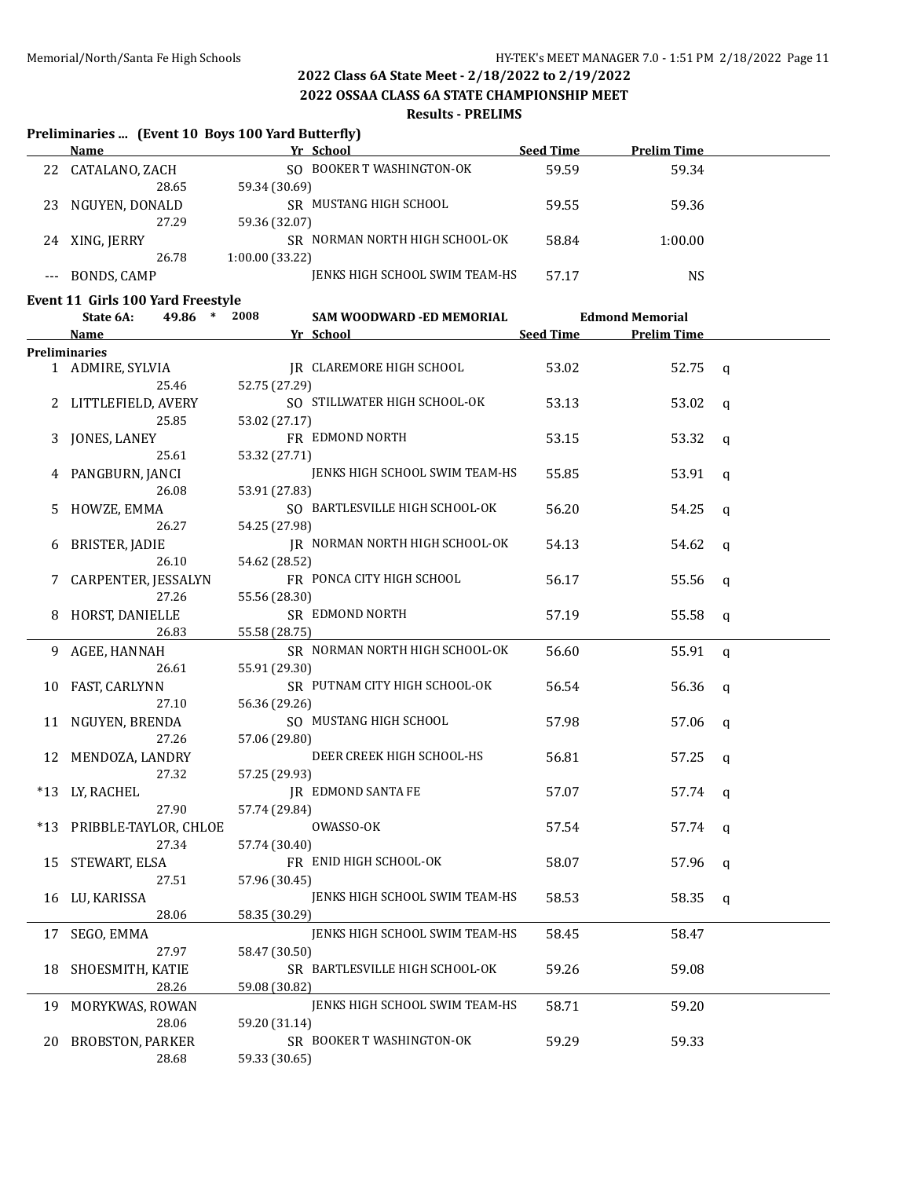**2022 OSSAA CLASS 6A STATE CHAMPIONSHIP MEET**

#### **Results - PRELIMS**

#### **Preliminaries ... (Event 10 Boys 100 Yard Butterfly)**

|    | Name           | Yr School                      | <b>Seed Time</b> | <b>Prelim Time</b> |  |
|----|----------------|--------------------------------|------------------|--------------------|--|
| 22 | CATALANO, ZACH | SO BOOKER T WASHINGTON-OK      | 59.59            | 59.34              |  |
|    | 28.65          | 59.34 (30.69)                  |                  |                    |  |
| 23 | NGUYEN, DONALD | SR MUSTANG HIGH SCHOOL         | 59.55            | 59.36              |  |
|    | 27.29          | 59.36 (32.07)                  |                  |                    |  |
| 24 | XING, JERRY    | SR NORMAN NORTH HIGH SCHOOL-OK | 58.84            | 1:00.00            |  |
|    | 26.78          | 1:00.00(33.22)                 |                  |                    |  |
|    | BONDS, CAMP    | JENKS HIGH SCHOOL SWIM TEAM-HS | 57.17            | NS                 |  |

#### **Event 11 Girls 100 Yard Freestyle**

| <b>Name</b><br><b>Preliminaries</b><br>2<br>3<br>5<br>6<br>7<br>8<br>9.<br>10<br>11<br>12 | 1 ADMIRE, SYLVIA<br>25.46<br>LITTLEFIELD, AVERY<br>25.85<br>JONES, LANEY<br>25.61<br>PANGBURN, JANCI<br>26.08<br>HOWZE, EMMA<br>26.27<br>BRISTER, JADIE<br>26.10<br>CARPENTER, JESSALYN<br>27.26<br>HORST, DANIELLE<br>26.83 | Yr School<br>JR CLAREMORE HIGH SCHOOL<br>52.75 (27.29)<br>SO STILLWATER HIGH SCHOOL-OK<br>53.02 (27.17)<br>FR EDMOND NORTH<br>53.32 (27.71)<br>JENKS HIGH SCHOOL SWIM TEAM-HS<br>53.91 (27.83)<br>SO BARTLESVILLE HIGH SCHOOL-OK<br>54.25 (27.98)<br>JR NORMAN NORTH HIGH SCHOOL-OK<br>54.62 (28.52)<br>FR PONCA CITY HIGH SCHOOL<br>55.56 (28.30)<br>SR EDMOND NORTH | <b>Seed Time</b><br>53.02<br>53.13<br>53.15<br>55.85<br>56.20<br>54.13<br>56.17 | <b>Prelim Time</b><br>52.75<br>53.02<br>53.32<br>53.91<br>54.25<br>54.62<br>55.56 | $\mathsf{q}$<br>$\mathbf{q}$<br>$\mathbf q$<br>$\mathbf q$<br>$\mathbf q$<br>q |  |
|-------------------------------------------------------------------------------------------|------------------------------------------------------------------------------------------------------------------------------------------------------------------------------------------------------------------------------|-----------------------------------------------------------------------------------------------------------------------------------------------------------------------------------------------------------------------------------------------------------------------------------------------------------------------------------------------------------------------|---------------------------------------------------------------------------------|-----------------------------------------------------------------------------------|--------------------------------------------------------------------------------|--|
|                                                                                           |                                                                                                                                                                                                                              |                                                                                                                                                                                                                                                                                                                                                                       |                                                                                 |                                                                                   |                                                                                |  |
|                                                                                           |                                                                                                                                                                                                                              |                                                                                                                                                                                                                                                                                                                                                                       |                                                                                 |                                                                                   |                                                                                |  |
|                                                                                           |                                                                                                                                                                                                                              |                                                                                                                                                                                                                                                                                                                                                                       |                                                                                 |                                                                                   |                                                                                |  |
|                                                                                           |                                                                                                                                                                                                                              |                                                                                                                                                                                                                                                                                                                                                                       |                                                                                 |                                                                                   |                                                                                |  |
|                                                                                           |                                                                                                                                                                                                                              |                                                                                                                                                                                                                                                                                                                                                                       |                                                                                 |                                                                                   |                                                                                |  |
|                                                                                           |                                                                                                                                                                                                                              |                                                                                                                                                                                                                                                                                                                                                                       |                                                                                 |                                                                                   |                                                                                |  |
|                                                                                           |                                                                                                                                                                                                                              |                                                                                                                                                                                                                                                                                                                                                                       |                                                                                 |                                                                                   |                                                                                |  |
|                                                                                           |                                                                                                                                                                                                                              |                                                                                                                                                                                                                                                                                                                                                                       |                                                                                 |                                                                                   |                                                                                |  |
|                                                                                           |                                                                                                                                                                                                                              |                                                                                                                                                                                                                                                                                                                                                                       |                                                                                 |                                                                                   |                                                                                |  |
|                                                                                           |                                                                                                                                                                                                                              |                                                                                                                                                                                                                                                                                                                                                                       |                                                                                 |                                                                                   |                                                                                |  |
|                                                                                           |                                                                                                                                                                                                                              |                                                                                                                                                                                                                                                                                                                                                                       |                                                                                 |                                                                                   |                                                                                |  |
|                                                                                           |                                                                                                                                                                                                                              |                                                                                                                                                                                                                                                                                                                                                                       |                                                                                 |                                                                                   |                                                                                |  |
|                                                                                           |                                                                                                                                                                                                                              |                                                                                                                                                                                                                                                                                                                                                                       |                                                                                 |                                                                                   |                                                                                |  |
|                                                                                           |                                                                                                                                                                                                                              |                                                                                                                                                                                                                                                                                                                                                                       |                                                                                 |                                                                                   |                                                                                |  |
|                                                                                           |                                                                                                                                                                                                                              |                                                                                                                                                                                                                                                                                                                                                                       |                                                                                 |                                                                                   | $\mathbf q$                                                                    |  |
|                                                                                           |                                                                                                                                                                                                                              |                                                                                                                                                                                                                                                                                                                                                                       |                                                                                 |                                                                                   |                                                                                |  |
|                                                                                           |                                                                                                                                                                                                                              |                                                                                                                                                                                                                                                                                                                                                                       | 57.19                                                                           | 55.58                                                                             | $\mathbf q$                                                                    |  |
|                                                                                           |                                                                                                                                                                                                                              | 55.58 (28.75)                                                                                                                                                                                                                                                                                                                                                         |                                                                                 |                                                                                   |                                                                                |  |
|                                                                                           | AGEE, HANNAH                                                                                                                                                                                                                 | SR NORMAN NORTH HIGH SCHOOL-OK                                                                                                                                                                                                                                                                                                                                        | 56.60                                                                           | 55.91                                                                             | $\mathbf q$                                                                    |  |
|                                                                                           | 26.61                                                                                                                                                                                                                        | 55.91 (29.30)                                                                                                                                                                                                                                                                                                                                                         |                                                                                 |                                                                                   |                                                                                |  |
|                                                                                           | FAST, CARLYNN                                                                                                                                                                                                                | SR PUTNAM CITY HIGH SCHOOL-OK                                                                                                                                                                                                                                                                                                                                         | 56.54                                                                           | 56.36                                                                             | q                                                                              |  |
|                                                                                           | 27.10                                                                                                                                                                                                                        | 56.36 (29.26)                                                                                                                                                                                                                                                                                                                                                         |                                                                                 |                                                                                   |                                                                                |  |
|                                                                                           | NGUYEN, BRENDA                                                                                                                                                                                                               | SO MUSTANG HIGH SCHOOL                                                                                                                                                                                                                                                                                                                                                | 57.98                                                                           | 57.06                                                                             | $\mathbf q$                                                                    |  |
|                                                                                           | 27.26                                                                                                                                                                                                                        | 57.06 (29.80)                                                                                                                                                                                                                                                                                                                                                         |                                                                                 |                                                                                   |                                                                                |  |
|                                                                                           | MENDOZA, LANDRY                                                                                                                                                                                                              | DEER CREEK HIGH SCHOOL-HS                                                                                                                                                                                                                                                                                                                                             | 56.81                                                                           | 57.25                                                                             | q                                                                              |  |
|                                                                                           | 27.32                                                                                                                                                                                                                        | 57.25 (29.93)                                                                                                                                                                                                                                                                                                                                                         |                                                                                 |                                                                                   |                                                                                |  |
| *13                                                                                       | LY, RACHEL                                                                                                                                                                                                                   | JR EDMOND SANTA FE                                                                                                                                                                                                                                                                                                                                                    | 57.07                                                                           | 57.74                                                                             | $\mathbf q$                                                                    |  |
|                                                                                           | 27.90                                                                                                                                                                                                                        | 57.74 (29.84)                                                                                                                                                                                                                                                                                                                                                         |                                                                                 |                                                                                   |                                                                                |  |
| $*13$                                                                                     | PRIBBLE-TAYLOR, CHLOE                                                                                                                                                                                                        | OWASSO-OK                                                                                                                                                                                                                                                                                                                                                             | 57.54                                                                           | 57.74                                                                             | $\mathbf q$                                                                    |  |
|                                                                                           | 27.34                                                                                                                                                                                                                        | 57.74 (30.40)                                                                                                                                                                                                                                                                                                                                                         |                                                                                 |                                                                                   |                                                                                |  |
| 15                                                                                        | STEWART, ELSA                                                                                                                                                                                                                | FR ENID HIGH SCHOOL-OK                                                                                                                                                                                                                                                                                                                                                | 58.07                                                                           | 57.96                                                                             | q                                                                              |  |
|                                                                                           | 27.51                                                                                                                                                                                                                        | 57.96 (30.45)                                                                                                                                                                                                                                                                                                                                                         |                                                                                 |                                                                                   |                                                                                |  |
| 16 LU, KARISSA                                                                            |                                                                                                                                                                                                                              | JENKS HIGH SCHOOL SWIM TEAM-HS                                                                                                                                                                                                                                                                                                                                        | 58.53                                                                           | 58.35                                                                             | $\mathsf{q}$                                                                   |  |
|                                                                                           | 28.06                                                                                                                                                                                                                        | 58.35 (30.29)                                                                                                                                                                                                                                                                                                                                                         |                                                                                 |                                                                                   |                                                                                |  |
| 17                                                                                        | SEGO, EMMA                                                                                                                                                                                                                   | JENKS HIGH SCHOOL SWIM TEAM-HS                                                                                                                                                                                                                                                                                                                                        | 58.45                                                                           | 58.47                                                                             |                                                                                |  |
|                                                                                           | 27.97                                                                                                                                                                                                                        | 58.47 (30.50)                                                                                                                                                                                                                                                                                                                                                         |                                                                                 |                                                                                   |                                                                                |  |
| 18                                                                                        |                                                                                                                                                                                                                              | SR BARTLESVILLE HIGH SCHOOL-OK                                                                                                                                                                                                                                                                                                                                        | 59.26                                                                           | 59.08                                                                             |                                                                                |  |
|                                                                                           |                                                                                                                                                                                                                              |                                                                                                                                                                                                                                                                                                                                                                       |                                                                                 |                                                                                   |                                                                                |  |
|                                                                                           |                                                                                                                                                                                                                              | JENKS HIGH SCHOOL SWIM TEAM-HS                                                                                                                                                                                                                                                                                                                                        |                                                                                 |                                                                                   |                                                                                |  |
|                                                                                           | 28.06                                                                                                                                                                                                                        | 59.20 (31.14)                                                                                                                                                                                                                                                                                                                                                         |                                                                                 |                                                                                   |                                                                                |  |
| 20                                                                                        |                                                                                                                                                                                                                              | SR BOOKER T WASHINGTON-OK                                                                                                                                                                                                                                                                                                                                             | 59.29                                                                           | 59.33                                                                             |                                                                                |  |
|                                                                                           | BROBSTON, PARKER                                                                                                                                                                                                             | 59.33 (30.65)                                                                                                                                                                                                                                                                                                                                                         |                                                                                 |                                                                                   |                                                                                |  |
|                                                                                           | SHOESMITH, KATIE<br>28.26<br>19 MORYKWAS, ROWAN                                                                                                                                                                              | 59.08 (30.82)                                                                                                                                                                                                                                                                                                                                                         | 58.71                                                                           | 59.20                                                                             |                                                                                |  |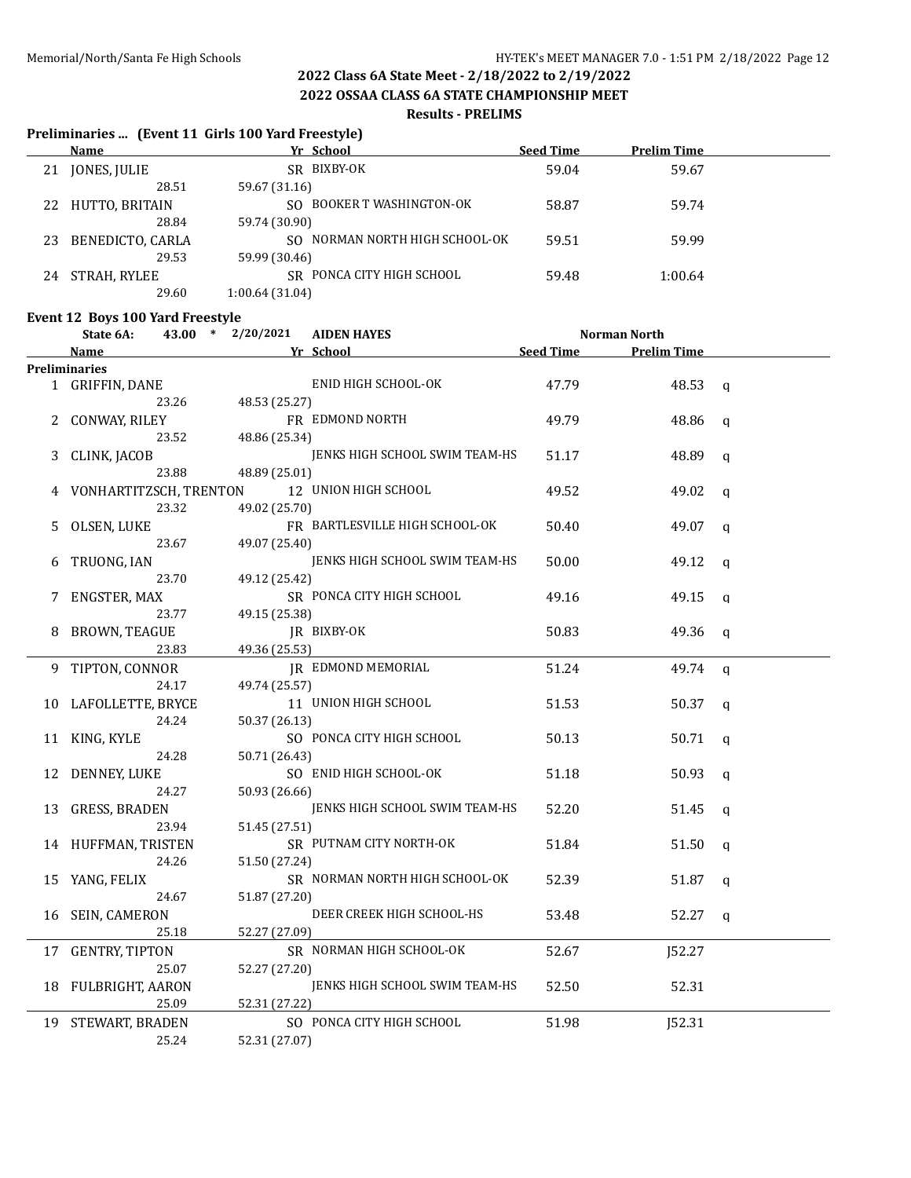**Preliminaries ... (Event 11 Girls 100 Yard Freestyle)**

# **2022 Class 6A State Meet - 2/18/2022 to 2/19/2022**

**2022 OSSAA CLASS 6A STATE CHAMPIONSHIP MEET**

#### **Results - PRELIMS**

#### **Name Yr School Seed Time Prelim Time** 21 JONES, JULIE SR BIXBY-OK 59.04 59.04 59.67 28.51 59.67 (31.16) 22 HUTTO, BRITAIN SO BOOKER T WASHINGTON-OK 58.87 59.74 28.84 59.74 (30.90) 23 BENEDICTO, CARLA SO NORMAN NORTH HIGH SCHOOL-OK 59.51 59.99 29.53 59.99 (30.46) 24 STRAH, RYLEE SR PONCA CITY HIGH SCHOOL 59.48 1:00.64 29.60 1:00.64 (31.04) **Event 12 Boys 100 Yard Freestyle State 6A: 43.00 \* 2/20/2021 AIDEN HAYES Norman North Name Yr School Seed Time Prelim Time Preliminaries** 1 GRIFFIN, DANE ENID HIGH SCHOOL-OK 47.79 48.53 q 23.26 48.53 (25.27) 2 CONWAY, RILEY FR EDMOND NORTH 49.79 48.86 q 23.52 48.86 (25.34) 3 CLINK, JACOB JENKS HIGH SCHOOL SWIM TEAM-HS 51.17 48.89 q 23.88 48.89 (25.01) 4 VONHARTITZSCH, TRENTON 12 UNION HIGH SCHOOL 49.52 49.02 q 23.32 49.02 (25.70) 5 OLSEN, LUKE FR BARTLESVILLE HIGH SCHOOL-OK 50.40 49.07 q 23.67 49.07 (25.40) 6 TRUONG, IAN JENKS HIGH SCHOOL SWIM TEAM-HS 50.00 49.12 q 23.70 49.12 (25.42) 7 ENGSTER, MAX SR PONCA CITY HIGH SCHOOL 49.16 49.15 q 23.77 49.15 (25.38) 8 BROWN, TEAGUE THE REALLY IR BIXBY-OK 50.83 49.36 q 23.83 49.36 (25.53) 9 TIPTON, CONNOR JR EDMOND MEMORIAL 51.24 49.74 q 24.17 49.74 (25.57) 10 LAFOLLETTE, BRYCE 11 UNION HIGH SCHOOL 51.53 50.37 q 24.24 50.37 (26.13) 11 KING, KYLE SO PONCA CITY HIGH SCHOOL 50.13 50.71 q 24.28 50.71 (26.43) 12 DENNEY, LUKE SO ENID HIGH SCHOOL-OK 51.18 50.93 q 24.27 50.93 (26.66) 13 GRESS, BRADEN JENKS HIGH SCHOOL SWIM TEAM-HS 52.20 51.45 q 23.94 51.45 (27.51) 14 HUFFMAN, TRISTEN SR PUTNAM CITY NORTH-OK 51.84 51.50 q 24.26 51.50 (27.24) 15 YANG, FELIX SR NORMAN NORTH HIGH SCHOOL-OK 52.39 51.87 q 24.67 51.87 (27.20) 16 SEIN, CAMERON DEER CREEK HIGH SCHOOL-HS 53.48 52.27 q 25.18 52.27 (27.09) 17 GENTRY, TIPTON SR NORMAN HIGH SCHOOL-OK 52.67 52.67 52.27 25.07 52.27 (27.20) 18 FULBRIGHT, AARON JENKS HIGH SCHOOL SWIM TEAM-HS 52.50 52.31 25.09 52.31 (27.22) 19 STEWART, BRADEN SO PONCA CITY HIGH SCHOOL 51.98 51.98 52.31 25.24 52.31 (27.07)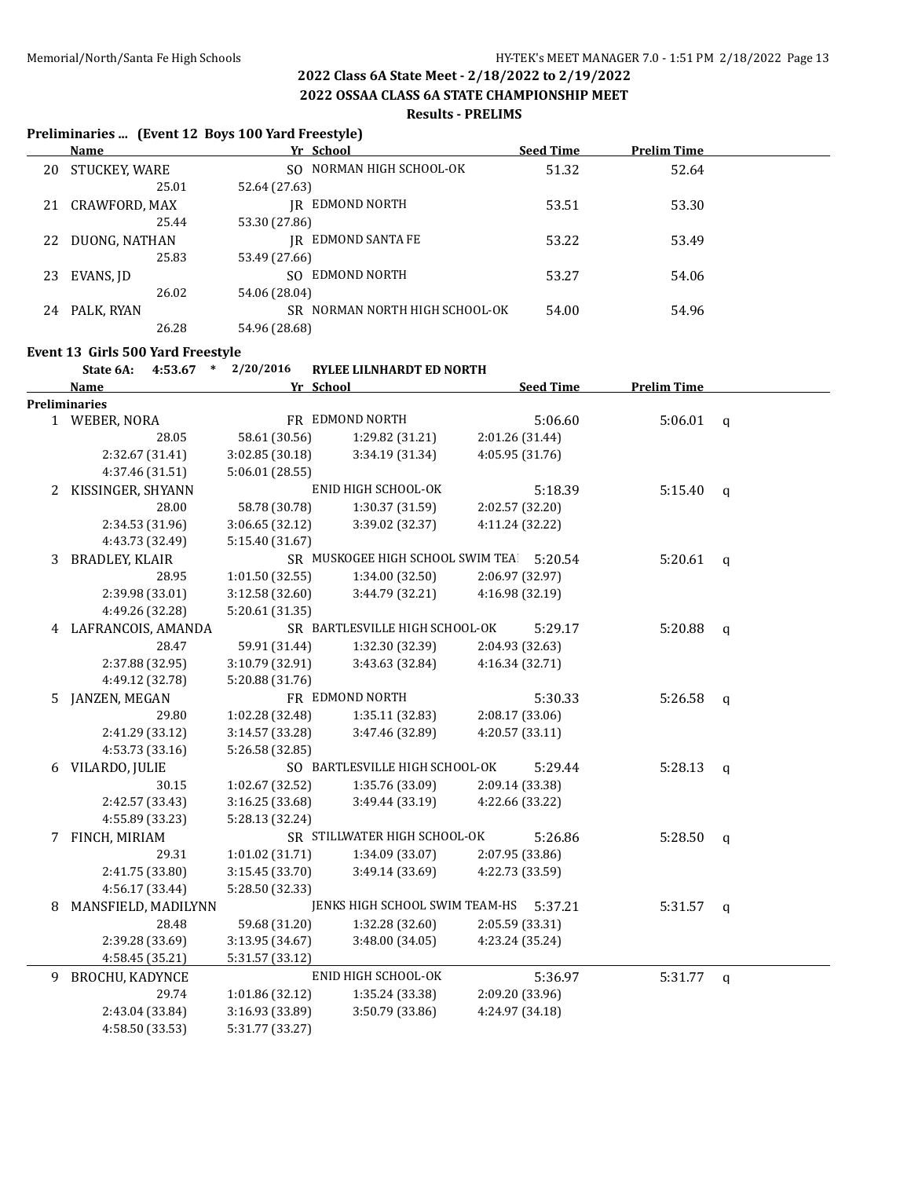**2022 OSSAA CLASS 6A STATE CHAMPIONSHIP MEET**

#### **Results - PRELIMS**

#### **Preliminaries ... (Event 12 Boys 100 Yard Freestyle)**

|    | Name          | Yr School                          | <b>Seed Time</b> | <b>Prelim Time</b> |  |
|----|---------------|------------------------------------|------------------|--------------------|--|
| 20 | STUCKEY, WARE | SO NORMAN HIGH SCHOOL-OK           | 51.32            | 52.64              |  |
|    | 25.01         | 52.64 (27.63)                      |                  |                    |  |
| 21 | CRAWFORD, MAX | IR EDMOND NORTH                    | 53.51            | 53.30              |  |
|    | 25.44         | 53.30 (27.86)                      |                  |                    |  |
| 22 | DUONG, NATHAN | IR EDMOND SANTA FE                 | 53.22            | 53.49              |  |
|    | 25.83         | 53.49 (27.66)                      |                  |                    |  |
| 23 | EVANS, ID     | EDMOND NORTH<br>SO.                | 53.27            | 54.06              |  |
|    | 26.02         | 54.06 (28.04)                      |                  |                    |  |
| 24 | PALK, RYAN    | NORMAN NORTH HIGH SCHOOL-OK<br>SR. | 54.00            | 54.96              |  |
|    | 26.28         | 54.96 (28.68)                      |                  |                    |  |

#### **Event 13 Girls 500 Yard Freestyle**

#### **State 6A: 4:53.67 \* 2/20/2016 RYLEE LILNHARDT ED NORTH**

|   | <b>Name</b>            | Yr School       |                                  |                 | <b>Seed Time</b> | <b>Prelim Time</b> |                |
|---|------------------------|-----------------|----------------------------------|-----------------|------------------|--------------------|----------------|
|   | Preliminaries          |                 |                                  |                 |                  |                    |                |
|   | 1 WEBER, NORA          |                 | FR EDMOND NORTH                  |                 | 5:06.60          | 5:06.01            | $\mathsf{q}$   |
|   | 28.05                  | 58.61 (30.56)   | 1:29.82 (31.21)                  | 2:01.26 (31.44) |                  |                    |                |
|   | 2:32.67 (31.41)        | 3:02.85 (30.18) | 3:34.19 (31.34)                  | 4:05.95 (31.76) |                  |                    |                |
|   | 4:37.46 (31.51)        | 5:06.01 (28.55) |                                  |                 |                  |                    |                |
|   | 2 KISSINGER, SHYANN    |                 | ENID HIGH SCHOOL-OK              |                 | 5:18.39          | 5:15.40            | $\mathfrak{a}$ |
|   | 28.00                  | 58.78 (30.78)   | 1:30.37 (31.59)                  | 2:02.57 (32.20) |                  |                    |                |
|   | 2:34.53 (31.96)        | 3:06.65 (32.12) | 3:39.02 (32.37)                  | 4:11.24 (32.22) |                  |                    |                |
|   | 4:43.73 (32.49)        | 5:15.40 (31.67) |                                  |                 |                  |                    |                |
| 3 | <b>BRADLEY, KLAIR</b>  |                 | SR MUSKOGEE HIGH SCHOOL SWIM TEA |                 | 5:20.54          | 5:20.61            | $\mathsf{q}$   |
|   | 28.95                  | 1:01.50(32.55)  | 1:34.00 (32.50)                  | 2:06.97 (32.97) |                  |                    |                |
|   | 2:39.98 (33.01)        | 3:12.58 (32.60) | 3:44.79 (32.21)                  | 4:16.98 (32.19) |                  |                    |                |
|   | 4:49.26 (32.28)        | 5:20.61 (31.35) |                                  |                 |                  |                    |                |
|   | 4 LAFRANCOIS, AMANDA   |                 | SR BARTLESVILLE HIGH SCHOOL-OK   |                 | 5:29.17          | 5:20.88            | $\mathbf q$    |
|   | 28.47                  | 59.91 (31.44)   | 1:32.30 (32.39)                  | 2:04.93 (32.63) |                  |                    |                |
|   | 2:37.88 (32.95)        | 3:10.79 (32.91) | 3:43.63 (32.84)                  | 4:16.34 (32.71) |                  |                    |                |
|   | 4:49.12 (32.78)        | 5:20.88 (31.76) |                                  |                 |                  |                    |                |
| 5 | JANZEN, MEGAN          |                 | FR EDMOND NORTH                  |                 | 5:30.33          | 5:26.58            | $\mathsf{q}$   |
|   | 29.80                  | 1:02.28 (32.48) | 1:35.11 (32.83)                  | 2:08.17 (33.06) |                  |                    |                |
|   | 2:41.29 (33.12)        | 3:14.57 (33.28) | 3:47.46 (32.89)                  | 4:20.57 (33.11) |                  |                    |                |
|   | 4:53.73 (33.16)        | 5:26.58 (32.85) |                                  |                 |                  |                    |                |
|   | 6 VILARDO, JULIE       |                 | SO BARTLESVILLE HIGH SCHOOL-OK   |                 | 5:29.44          | 5:28.13            | $\mathsf{q}$   |
|   | 30.15                  | 1:02.67 (32.52) | 1:35.76 (33.09)                  | 2:09.14 (33.38) |                  |                    |                |
|   | 2:42.57 (33.43)        | 3:16.25 (33.68) | 3:49.44 (33.19)                  | 4:22.66 (33.22) |                  |                    |                |
|   | 4:55.89 (33.23)        | 5:28.13 (32.24) |                                  |                 |                  |                    |                |
|   | 7 FINCH, MIRIAM        |                 | SR STILLWATER HIGH SCHOOL-OK     |                 | 5:26.86          | 5:28.50            | $\mathbf{q}$   |
|   | 29.31                  | 1:01.02 (31.71) | 1:34.09 (33.07)                  | 2:07.95 (33.86) |                  |                    |                |
|   | 2:41.75 (33.80)        | 3:15.45 (33.70) | 3:49.14 (33.69)                  | 4:22.73 (33.59) |                  |                    |                |
|   | 4:56.17 (33.44)        | 5:28.50 (32.33) |                                  |                 |                  |                    |                |
| 8 | MANSFIELD, MADILYNN    |                 | JENKS HIGH SCHOOL SWIM TEAM-HS   |                 | 5:37.21          | 5:31.57            | q              |
|   | 28.48                  | 59.68 (31.20)   | 1:32.28 (32.60)                  | 2:05.59 (33.31) |                  |                    |                |
|   | 2:39.28 (33.69)        | 3:13.95 (34.67) | 3:48.00 (34.05)                  | 4:23.24 (35.24) |                  |                    |                |
|   | 4:58.45 (35.21)        | 5:31.57 (33.12) |                                  |                 |                  |                    |                |
| 9 | <b>BROCHU, KADYNCE</b> |                 | ENID HIGH SCHOOL-OK              |                 | 5:36.97          | 5:31.77            | q              |
|   | 29.74                  | 1:01.86 (32.12) | 1:35.24 (33.38)                  | 2:09.20 (33.96) |                  |                    |                |
|   | 2:43.04 (33.84)        | 3:16.93 (33.89) | 3:50.79 (33.86)                  | 4:24.97 (34.18) |                  |                    |                |
|   | 4:58.50 (33.53)        | 5:31.77 (33.27) |                                  |                 |                  |                    |                |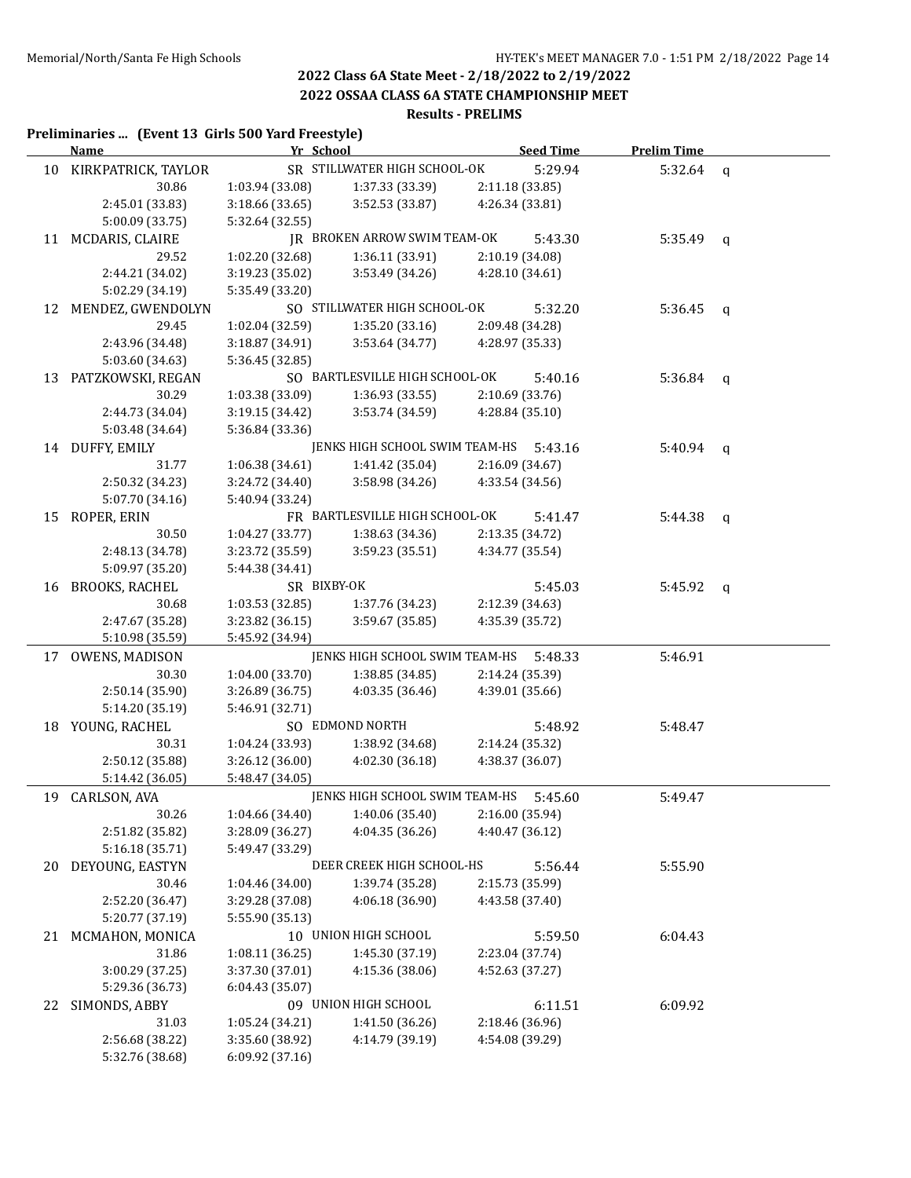**2022 OSSAA CLASS 6A STATE CHAMPIONSHIP MEET**

#### **Results - PRELIMS**

### **Preliminaries ... (Event 13 Girls 500 Yard Freestyle)**

|    | <u>Name - </u>         | Yr School                          |                                        | <b>Seed Time</b>           | <b>Prelim Time</b> |              |
|----|------------------------|------------------------------------|----------------------------------------|----------------------------|--------------------|--------------|
|    | 10 KIRKPATRICK, TAYLOR |                                    | SR STILLWATER HIGH SCHOOL-OK           | 5:29.94                    | 5:32.64            | $\mathsf{q}$ |
|    | 30.86                  | 1:03.94 (33.08)                    | 1:37.33 (33.39)                        | 2:11.18 (33.85)            |                    |              |
|    | 2:45.01 (33.83)        | 3:18.66 (33.65)                    | 3:52.53 (33.87)                        | 4:26.34 (33.81)            |                    |              |
|    | 5:00.09 (33.75)        | 5:32.64 (32.55)                    |                                        |                            |                    |              |
|    | 11 MCDARIS, CLAIRE     |                                    | JR BROKEN ARROW SWIM TEAM-OK           | 5:43.30                    | $5:35.49$ q        |              |
|    | 29.52                  | 1:02.20 (32.68)                    | 1:36.11 (33.91)                        | 2:10.19 (34.08)            |                    |              |
|    | 2:44.21 (34.02)        | 3:19.23 (35.02)                    | 3:53.49 (34.26)                        | 4:28.10 (34.61)            |                    |              |
|    | 5:02.29 (34.19)        | 5:35.49 (33.20)                    |                                        |                            |                    |              |
|    | 12 MENDEZ, GWENDOLYN   |                                    | SO STILLWATER HIGH SCHOOL-OK           | 5:32.20                    | 5:36.45 $q$        |              |
|    | 29.45                  | 1:02.04 (32.59)                    | 1:35.20(33.16)                         | 2:09.48 (34.28)            |                    |              |
|    | 2:43.96 (34.48)        | 3:18.87 (34.91)                    | 3:53.64 (34.77)                        | 4:28.97 (35.33)            |                    |              |
|    | 5:03.60 (34.63)        | 5:36.45 (32.85)                    |                                        |                            |                    |              |
|    | 13 PATZKOWSKI, REGAN   |                                    | SO BARTLESVILLE HIGH SCHOOL-OK         | 5:40.16                    | 5:36.84 $q$        |              |
|    | 30.29                  | 1:03.38 (33.09)                    | 1:36.93 (33.55)                        | 2:10.69 (33.76)            |                    |              |
|    | 2:44.73 (34.04)        | 3:19.15 (34.42)                    | 3:53.74 (34.59)                        | 4:28.84 (35.10)            |                    |              |
|    | 5:03.48 (34.64)        | 5:36.84 (33.36)                    |                                        |                            |                    |              |
|    | 14 DUFFY, EMILY        |                                    | JENKS HIGH SCHOOL SWIM TEAM-HS 5:43.16 |                            | $5:40.94$ q        |              |
|    | 31.77                  | 1:06.38(34.61)                     | 1:41.42 (35.04)                        | 2:16.09 (34.67)            |                    |              |
|    | 2:50.32 (34.23)        | 3:24.72 (34.40)                    | 3:58.98(34.26)                         | 4:33.54 (34.56)            |                    |              |
|    | 5:07.70 (34.16)        | 5:40.94 (33.24)                    |                                        |                            |                    |              |
|    | 15 ROPER, ERIN         |                                    | FR BARTLESVILLE HIGH SCHOOL-OK         | 5:41.47                    | 5:44.38            | q            |
|    | 30.50                  | 1:04.27 (33.77)                    | 1:38.63 (34.36)                        | 2:13.35 (34.72)            |                    |              |
|    | 2:48.13 (34.78)        | 3:23.72 (35.59)                    | 3:59.23(35.51)                         | 4:34.77 (35.54)            |                    |              |
|    | 5:09.97 (35.20)        | 5:44.38 (34.41)                    |                                        |                            |                    |              |
|    | 16 BROOKS, RACHEL      | SR BIXBY-OK                        |                                        | 5:45.03                    | 5:45.92            | q            |
|    | 30.68                  | 1:03.53 (32.85)                    | 1:37.76 (34.23)                        | 2:12.39 (34.63)            |                    |              |
|    | 2:47.67 (35.28)        | 3:23.82(36.15)                     | 3:59.67 (35.85)                        | 4:35.39 (35.72)            |                    |              |
|    | 5:10.98 (35.59)        | 5:45.92 (34.94)                    |                                        |                            |                    |              |
|    | 17 OWENS, MADISON      |                                    | JENKS HIGH SCHOOL SWIM TEAM-HS         | 5:48.33                    | 5:46.91            |              |
|    | 30.30                  | 1:04.00 (33.70)                    | 1:38.85 (34.85)                        | 2:14.24 (35.39)            |                    |              |
|    | 2:50.14 (35.90)        | 3:26.89 (36.75)                    | 4:03.35 (36.46)                        | 4:39.01 (35.66)            |                    |              |
|    | 5:14.20 (35.19)        | 5:46.91 (32.71)                    |                                        |                            |                    |              |
|    | 18 YOUNG, RACHEL       |                                    | SO EDMOND NORTH                        | 5:48.92                    | 5:48.47            |              |
|    | 30.31                  | 1:04.24 (33.93)                    | 1:38.92 (34.68)                        | 2:14.24 (35.32)            |                    |              |
|    | 2:50.12 (35.88)        | 3:26.12 (36.00)                    | 4:02.30 (36.18)                        | 4:38.37 (36.07)            |                    |              |
|    | 5:14.42 (36.05)        | 5:48.47 (34.05)                    |                                        |                            |                    |              |
|    | 19 CARLSON, AVA        |                                    | JENKS HIGH SCHOOL SWIM TEAM-HS         | 5:45.60                    | 5:49.47            |              |
|    | 30.26                  | 1:04.66 (34.40)                    | 1:40.06 (35.40)                        | 2:16.00 (35.94)            |                    |              |
|    | 2:51.82 (35.82)        | 3:28.09 (36.27)                    | 4:04.35 (36.26)                        | 4:40.47 (36.12)            |                    |              |
|    | 5:16.18 (35.71)        | 5:49.47 (33.29)                    |                                        |                            |                    |              |
| 20 | DEYOUNG, EASTYN        |                                    | DEER CREEK HIGH SCHOOL-HS              | 5:56.44                    | 5:55.90            |              |
|    | 30.46                  | 1:04.46 (34.00)                    | 1:39.74 (35.28)                        | 2:15.73 (35.99)            |                    |              |
|    | 2:52.20 (36.47)        | 3:29.28 (37.08)                    | 4:06.18 (36.90)                        | 4:43.58 (37.40)            |                    |              |
|    | 5:20.77 (37.19)        | 5:55.90 (35.13)                    |                                        |                            |                    |              |
| 21 | MCMAHON, MONICA        |                                    | 10 UNION HIGH SCHOOL                   | 5:59.50                    | 6:04.43            |              |
|    | 31.86                  | 1:08.11(36.25)                     | 1:45.30 (37.19)                        | 2:23.04 (37.74)            |                    |              |
|    | 3:00.29 (37.25)        | 3:37.30 (37.01)                    | 4:15.36 (38.06)                        | 4:52.63 (37.27)            |                    |              |
|    | 5:29.36 (36.73)        | 6:04.43 (35.07)                    | 09 UNION HIGH SCHOOL                   |                            |                    |              |
| 22 | SIMONDS, ABBY<br>31.03 |                                    |                                        | 6:11.51<br>2:18.46 (36.96) | 6:09.92            |              |
|    | 2:56.68 (38.22)        | 1:05.24 (34.21)<br>3:35.60 (38.92) | 1:41.50 (36.26)<br>4:14.79 (39.19)     | 4:54.08 (39.29)            |                    |              |
|    | 5:32.76 (38.68)        | 6:09.92 (37.16)                    |                                        |                            |                    |              |
|    |                        |                                    |                                        |                            |                    |              |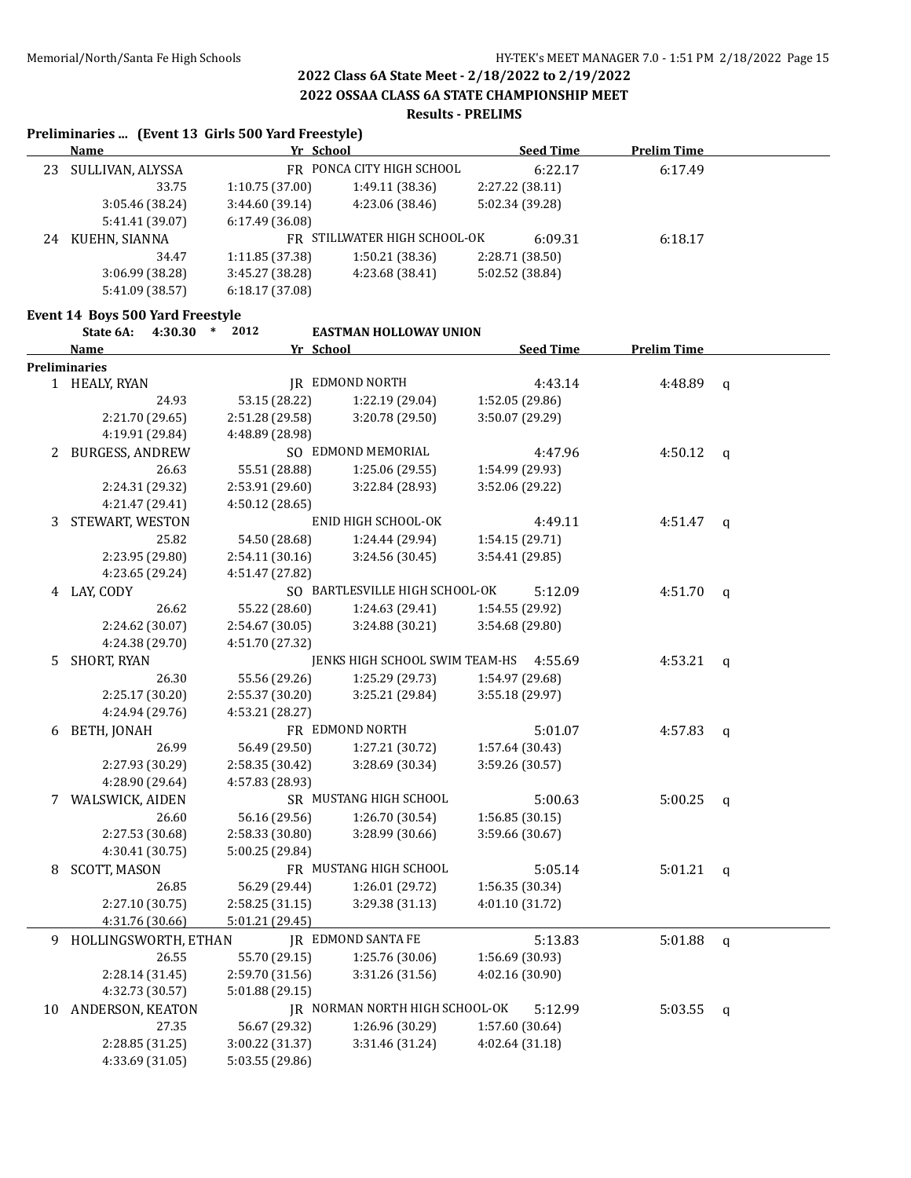**2022 OSSAA CLASS 6A STATE CHAMPIONSHIP MEET**

#### **Results - PRELIMS**

#### **Preliminaries ... (Event 13 Girls 500 Yard Freestyle)**

|    | Name             | Yr School       |                              | <b>Seed Time</b> | <b>Prelim Time</b> |  |
|----|------------------|-----------------|------------------------------|------------------|--------------------|--|
| 23 | SULLIVAN, ALYSSA |                 | FR PONCA CITY HIGH SCHOOL    | 6:22.17          | 6:17.49            |  |
|    | 33.75            | 1:10.75(37.00)  | 1:49.11(38.36)               | 2:27.22 (38.11)  |                    |  |
|    | 3:05.46 (38.24)  | 3:44.60(39.14)  | 4:23.06 (38.46)              | 5:02.34 (39.28)  |                    |  |
|    | 5:41.41 (39.07)  | 6:17.49(36.08)  |                              |                  |                    |  |
| 24 | KUEHN, SIANNA    |                 | FR STILLWATER HIGH SCHOOL-OK | 6:09.31          | 6:18.17            |  |
|    | 34.47            | 1:11.85(37.38)  | 1:50.21(38.36)               | 2:28.71 (38.50)  |                    |  |
|    | 3:06.99(38.28)   | 3:45.27 (38.28) | 4:23.68 (38.41)              | 5:02.52 (38.84)  |                    |  |
|    | 5:41.09 (38.57)  | 6:18.17(37.08)  |                              |                  |                    |  |

#### **Event 14 Boys 500 Yard Freestyle**

|    | State 6A:<br>4:30.30 | 2012<br>$\ast$  | <b>EASTMAN HOLLOWAY UNION</b>  |                 |                  |                    |              |
|----|----------------------|-----------------|--------------------------------|-----------------|------------------|--------------------|--------------|
|    | <b>Name</b>          | Yr School       |                                |                 | <b>Seed Time</b> | <b>Prelim Time</b> |              |
|    | <b>Preliminaries</b> |                 |                                |                 |                  |                    |              |
|    | 1 HEALY, RYAN        |                 | <b>JR EDMOND NORTH</b>         |                 | 4:43.14          | 4:48.89            | $\mathbf{q}$ |
|    | 24.93                | 53.15 (28.22)   | 1:22.19 (29.04)                | 1:52.05 (29.86) |                  |                    |              |
|    | 2:21.70 (29.65)      | 2:51.28 (29.58) | 3:20.78 (29.50)                | 3:50.07 (29.29) |                  |                    |              |
|    | 4:19.91 (29.84)      | 4:48.89 (28.98) |                                |                 |                  |                    |              |
|    | 2 BURGESS, ANDREW    |                 | SO EDMOND MEMORIAL             |                 | 4:47.96          | 4:50.12            | $\mathsf{q}$ |
|    | 26.63                | 55.51 (28.88)   | 1:25.06 (29.55)                | 1:54.99 (29.93) |                  |                    |              |
|    | 2:24.31 (29.32)      | 2:53.91 (29.60) | 3:22.84 (28.93)                | 3:52.06 (29.22) |                  |                    |              |
|    | 4:21.47 (29.41)      | 4:50.12 (28.65) |                                |                 |                  |                    |              |
| 3  | STEWART, WESTON      |                 | ENID HIGH SCHOOL-OK            |                 | 4:49.11          | 4:51.47            | $\mathbf{q}$ |
|    | 25.82                | 54.50 (28.68)   | 1:24.44 (29.94)                | 1:54.15 (29.71) |                  |                    |              |
|    | 2:23.95 (29.80)      | 2:54.11 (30.16) | 3:24.56 (30.45)                | 3:54.41 (29.85) |                  |                    |              |
|    | 4:23.65 (29.24)      | 4:51.47 (27.82) |                                |                 |                  |                    |              |
|    | 4 LAY, CODY          |                 | SO BARTLESVILLE HIGH SCHOOL-OK |                 | 5:12.09          | 4:51.70            | $\mathbf{q}$ |
|    | 26.62                | 55.22 (28.60)   | 1:24.63 (29.41)                | 1:54.55 (29.92) |                  |                    |              |
|    | 2:24.62 (30.07)      | 2:54.67 (30.05) | 3:24.88 (30.21)                | 3:54.68 (29.80) |                  |                    |              |
|    | 4:24.38 (29.70)      | 4:51.70 (27.32) |                                |                 |                  |                    |              |
| 5. | SHORT, RYAN          |                 | JENKS HIGH SCHOOL SWIM TEAM-HS |                 | 4:55.69          | 4:53.21            | $\mathbf{q}$ |
|    | 26.30                | 55.56 (29.26)   | 1:25.29 (29.73)                | 1:54.97 (29.68) |                  |                    |              |
|    | 2:25.17 (30.20)      | 2:55.37 (30.20) | 3:25.21 (29.84)                | 3:55.18 (29.97) |                  |                    |              |
|    | 4:24.94 (29.76)      | 4:53.21 (28.27) |                                |                 |                  |                    |              |
| 6  | BETH, JONAH          |                 | FR EDMOND NORTH                |                 | 5:01.07          | 4:57.83            | $\mathbf q$  |
|    | 26.99                | 56.49 (29.50)   | 1:27.21 (30.72)                | 1:57.64 (30.43) |                  |                    |              |
|    | 2:27.93 (30.29)      | 2:58.35 (30.42) | 3:28.69 (30.34)                | 3:59.26 (30.57) |                  |                    |              |
|    | 4:28.90 (29.64)      | 4:57.83 (28.93) |                                |                 |                  |                    |              |
|    | 7 WALSWICK, AIDEN    |                 | SR MUSTANG HIGH SCHOOL         |                 | 5:00.63          | 5:00.25            | $\mathsf{q}$ |
|    | 26.60                | 56.16 (29.56)   | 1:26.70 (30.54)                | 1:56.85(30.15)  |                  |                    |              |
|    | 2:27.53 (30.68)      | 2:58.33 (30.80) | 3:28.99 (30.66)                | 3:59.66 (30.67) |                  |                    |              |
|    | 4:30.41 (30.75)      | 5:00.25 (29.84) |                                |                 |                  |                    |              |
| 8  | <b>SCOTT, MASON</b>  |                 | FR MUSTANG HIGH SCHOOL         |                 | 5:05.14          | 5:01.21            | $\mathsf{q}$ |
|    | 26.85                | 56.29 (29.44)   | 1:26.01 (29.72)                | 1:56.35 (30.34) |                  |                    |              |
|    | 2:27.10 (30.75)      | 2:58.25 (31.15) | 3:29.38 (31.13)                | 4:01.10 (31.72) |                  |                    |              |
|    | 4:31.76 (30.66)      | 5:01.21 (29.45) |                                |                 |                  |                    |              |
| 9  | HOLLINGSWORTH, ETHAN |                 | <b>IR EDMOND SANTA FE</b>      |                 | 5:13.83          | 5:01.88            | $\mathbf q$  |
|    | 26.55                | 55.70 (29.15)   | 1:25.76 (30.06)                | 1:56.69 (30.93) |                  |                    |              |
|    | 2:28.14 (31.45)      | 2:59.70 (31.56) | 3:31.26 (31.56)                | 4:02.16 (30.90) |                  |                    |              |
|    | 4:32.73 (30.57)      | 5:01.88 (29.15) |                                |                 |                  |                    |              |
|    | 10 ANDERSON, KEATON  |                 | JR NORMAN NORTH HIGH SCHOOL-OK |                 | 5:12.99          | 5:03.55            | q            |
|    | 27.35                | 56.67 (29.32)   | 1:26.96 (30.29)                | 1:57.60 (30.64) |                  |                    |              |
|    | 2:28.85 (31.25)      | 3:00.22 (31.37) | 3:31.46 (31.24)                | 4:02.64(31.18)  |                  |                    |              |
|    | 4:33.69 (31.05)      | 5:03.55 (29.86) |                                |                 |                  |                    |              |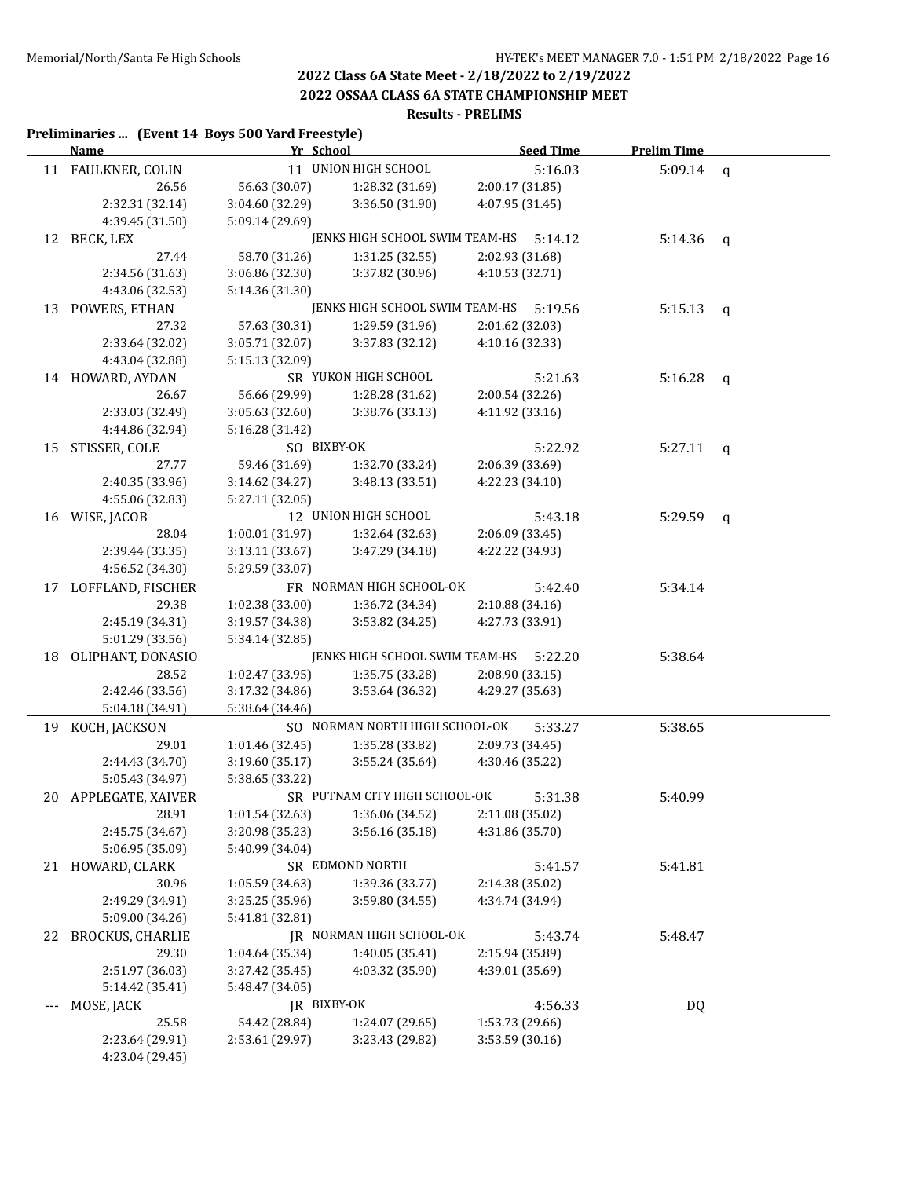**2022 OSSAA CLASS 6A STATE CHAMPIONSHIP MEET**

### **Results - PRELIMS**

#### **Preliminaries ... (Event 14 Boys 500 Yard Freestyle)**

|    | <b>Name</b>          | Yr School       |                                | <b>Seed Time</b> | <b>Prelim Time</b> |             |
|----|----------------------|-----------------|--------------------------------|------------------|--------------------|-------------|
|    | 11 FAULKNER, COLIN   |                 | 11 UNION HIGH SCHOOL           | 5:16.03          | 5:09.14            | $\mathbf q$ |
|    | 26.56                | 56.63 (30.07)   | 1:28.32 (31.69)                | 2:00.17 (31.85)  |                    |             |
|    | 2:32.31 (32.14)      | 3:04.60 (32.29) | 3:36.50 (31.90)                | 4:07.95 (31.45)  |                    |             |
|    | 4:39.45 (31.50)      | 5:09.14 (29.69) |                                |                  |                    |             |
| 12 | BECK, LEX            |                 | JENKS HIGH SCHOOL SWIM TEAM-HS | 5:14.12          | 5:14.36            | q           |
|    | 27.44                | 58.70 (31.26)   | 1:31.25(32.55)                 | 2:02.93 (31.68)  |                    |             |
|    | 2:34.56 (31.63)      | 3:06.86 (32.30) | 3:37.82 (30.96)                | 4:10.53 (32.71)  |                    |             |
|    | 4:43.06 (32.53)      | 5:14.36 (31.30) |                                |                  |                    |             |
| 13 | POWERS, ETHAN        |                 | JENKS HIGH SCHOOL SWIM TEAM-HS | 5:19.56          | 5:15.13            | q           |
|    | 27.32                | 57.63 (30.31)   | 1:29.59 (31.96)                | 2:01.62 (32.03)  |                    |             |
|    | 2:33.64 (32.02)      | 3:05.71 (32.07) | 3:37.83 (32.12)                | 4:10.16 (32.33)  |                    |             |
|    | 4:43.04 (32.88)      | 5:15.13 (32.09) |                                |                  |                    |             |
|    | 14 HOWARD, AYDAN     |                 | SR YUKON HIGH SCHOOL           | 5:21.63          | 5:16.28            | q           |
|    | 26.67                | 56.66 (29.99)   | 1:28.28 (31.62)                | 2:00.54 (32.26)  |                    |             |
|    | 2:33.03 (32.49)      | 3:05.63(32.60)  | 3:38.76 (33.13)                | 4:11.92 (33.16)  |                    |             |
|    | 4:44.86 (32.94)      | 5:16.28 (31.42) |                                |                  |                    |             |
| 15 | STISSER, COLE        | SO BIXBY-OK     |                                | 5:22.92          | 5:27.11            | q           |
|    | 27.77                | 59.46 (31.69)   | 1:32.70 (33.24)                | 2:06.39 (33.69)  |                    |             |
|    | 2:40.35 (33.96)      | 3:14.62 (34.27) | 3:48.13 (33.51)                | 4:22.23 (34.10)  |                    |             |
|    | 4:55.06 (32.83)      | 5:27.11 (32.05) |                                |                  |                    |             |
|    | 16 WISE, JACOB       |                 | 12 UNION HIGH SCHOOL           | 5:43.18          | 5:29.59            | q           |
|    | 28.04                | 1:00.01 (31.97) | 1:32.64 (32.63)                | 2:06.09 (33.45)  |                    |             |
|    | 2:39.44 (33.35)      | 3:13.11 (33.67) | 3:47.29 (34.18)                | 4:22.22 (34.93)  |                    |             |
|    | 4:56.52 (34.30)      | 5:29.59 (33.07) |                                |                  |                    |             |
|    | 17 LOFFLAND, FISCHER |                 | FR NORMAN HIGH SCHOOL-OK       | 5:42.40          | 5:34.14            |             |
|    | 29.38                | 1:02.38 (33.00) | 1:36.72 (34.34)                | 2:10.88 (34.16)  |                    |             |
|    | 2:45.19 (34.31)      | 3:19.57 (34.38) | 3:53.82 (34.25)                | 4:27.73 (33.91)  |                    |             |
|    | 5:01.29 (33.56)      | 5:34.14 (32.85) |                                |                  |                    |             |
| 18 | OLIPHANT, DONASIO    |                 | JENKS HIGH SCHOOL SWIM TEAM-HS | 5:22.20          | 5:38.64            |             |
|    | 28.52                | 1:02.47 (33.95) | 1:35.75 (33.28)                | 2:08.90 (33.15)  |                    |             |
|    | 2:42.46 (33.56)      | 3:17.32 (34.86) | 3:53.64 (36.32)                | 4:29.27 (35.63)  |                    |             |
|    | 5:04.18 (34.91)      | 5:38.64 (34.46) |                                |                  |                    |             |
|    | 19 KOCH, JACKSON     |                 | SO NORMAN NORTH HIGH SCHOOL-OK | 5:33.27          | 5:38.65            |             |
|    | 29.01                | 1:01.46 (32.45) | 1:35.28 (33.82)                | 2:09.73 (34.45)  |                    |             |
|    | 2:44.43 (34.70)      | 3:19.60 (35.17) | 3:55.24 (35.64)                | 4:30.46 (35.22)  |                    |             |
|    | 5:05.43 (34.97)      | 5:38.65 (33.22) |                                |                  |                    |             |
|    | 20 APPLEGATE, XAIVER |                 | SR PUTNAM CITY HIGH SCHOOL-OK  | 5:31.38          | 5:40.99            |             |
|    | 28.91                | 1:01.54 (32.63) | 1:36.06 (34.52)                | 2:11.08 (35.02)  |                    |             |
|    | 2:45.75 (34.67)      | 3:20.98 (35.23) | 3:56.16 (35.18)                | 4:31.86 (35.70)  |                    |             |
|    | 5:06.95 (35.09)      | 5:40.99 (34.04) |                                |                  |                    |             |
| 21 | HOWARD, CLARK        |                 | SR EDMOND NORTH                | 5:41.57          | 5:41.81            |             |
|    | 30.96                | 1:05.59 (34.63) | 1:39.36 (33.77)                | 2:14.38 (35.02)  |                    |             |
|    | 2:49.29 (34.91)      | 3:25.25 (35.96) | 3:59.80 (34.55)                | 4:34.74 (34.94)  |                    |             |
|    | 5:09.00 (34.26)      | 5:41.81 (32.81) |                                |                  |                    |             |
|    | 22 BROCKUS, CHARLIE  |                 | JR NORMAN HIGH SCHOOL-OK       | 5:43.74          | 5:48.47            |             |
|    | 29.30                | 1:04.64 (35.34) | 1:40.05 (35.41)                | 2:15.94 (35.89)  |                    |             |
|    | 2:51.97 (36.03)      | 3:27.42 (35.45) | 4:03.32 (35.90)                | 4:39.01 (35.69)  |                    |             |
|    | 5:14.42 (35.41)      | 5:48.47 (34.05) |                                |                  |                    |             |
|    | MOSE, JACK           | JR BIXBY-OK     |                                | 4:56.33          | <b>DQ</b>          |             |
|    | 25.58                | 54.42 (28.84)   | 1:24.07 (29.65)                | 1:53.73 (29.66)  |                    |             |
|    | 2:23.64 (29.91)      | 2:53.61 (29.97) | 3:23.43 (29.82)                | 3:53.59 (30.16)  |                    |             |
|    | 4:23.04 (29.45)      |                 |                                |                  |                    |             |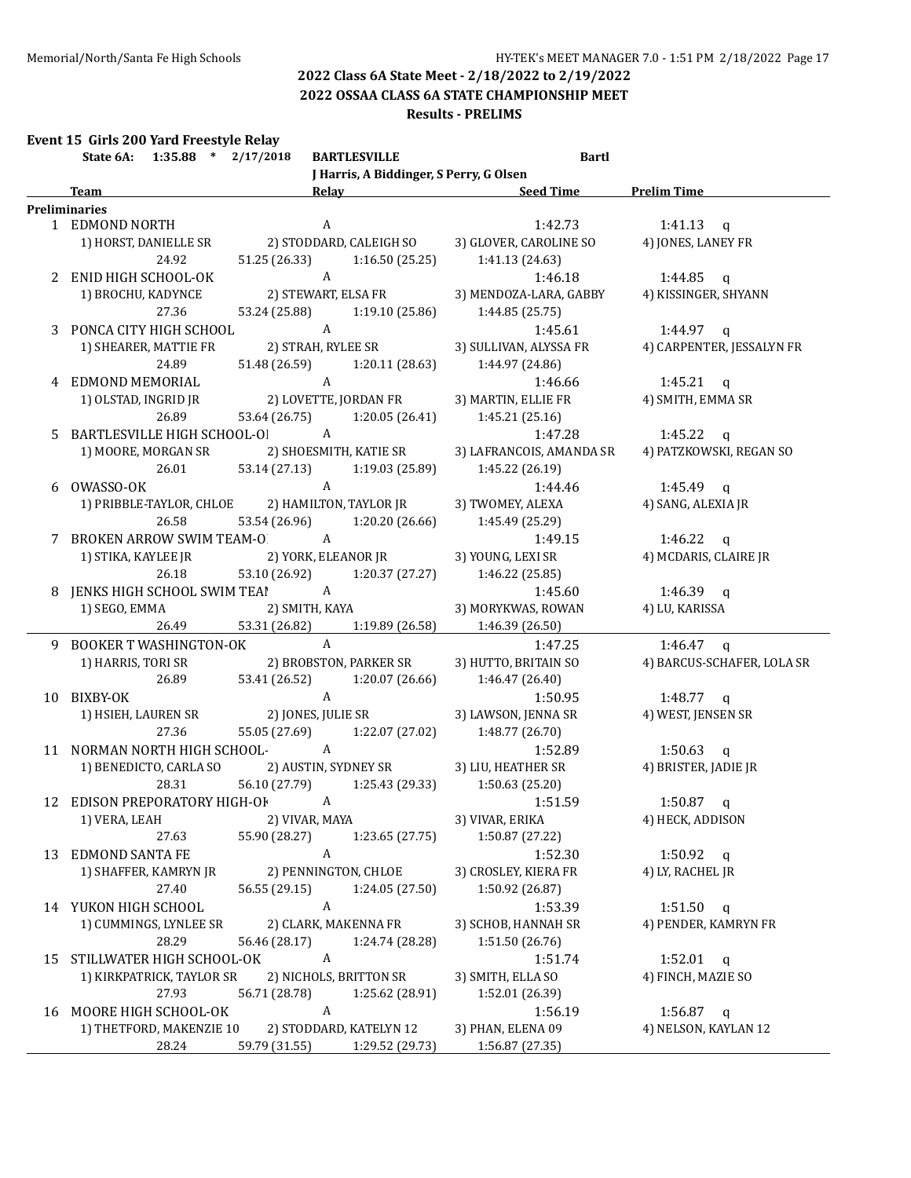**2022 OSSAA CLASS 6A STATE CHAMPIONSHIP MEET**

#### **Results - PRELIMS**

### **Event 15 Girls 200 Yard Freestyle Relay**

|    | $1:35.88$ * $2/17/2018$<br>State 6A:            |                | <b>BARTLESVILLE</b>                     | <b>Bartl</b>                       |                            |  |  |
|----|-------------------------------------------------|----------------|-----------------------------------------|------------------------------------|----------------------------|--|--|
|    |                                                 |                | J Harris, A Biddinger, S Perry, G Olsen |                                    |                            |  |  |
|    | <b>Team</b>                                     |                |                                         | Relay <b>Seed Time</b> Prelim Time |                            |  |  |
|    | <b>Preliminaries</b>                            |                |                                         |                                    |                            |  |  |
|    | 1 EDMOND NORTH                                  |                | A                                       | 1:42.73                            | 1:41.13 $q$                |  |  |
|    | 1) HORST, DANIELLE SR                           |                | 2) STODDARD, CALEIGH SO                 | 3) GLOVER, CAROLINE SO             | 4) JONES, LANEY FR         |  |  |
|    | 24.92                                           | 51.25 (26.33)  | 1:16.50(25.25)                          | 1:41.13(24.63)                     |                            |  |  |
|    | 2 ENID HIGH SCHOOL-OK                           |                | A                                       | 1:46.18                            | 1:44.85 q                  |  |  |
|    | 1) BROCHU, KADYNCE                              |                | 2) STEWART, ELSA FR                     | 3) MENDOZA-LARA, GABBY             | 4) KISSINGER, SHYANN       |  |  |
|    | 27.36                                           | 53.24 (25.88)  | 1:19.10 (25.86)                         | 1:44.85 (25.75)                    |                            |  |  |
|    | 3 PONCA CITY HIGH SCHOOL                        | $\overline{A}$ |                                         | 1:45.61                            | 1:44.97 $q$                |  |  |
|    | 1) SHEARER, MATTIE FR                           |                | 2) STRAH, RYLEE SR                      | 3) SULLIVAN, ALYSSA FR             | 4) CARPENTER, JESSALYN FR  |  |  |
|    | 24.89                                           |                | 51.48 (26.59) 1:20.11 (28.63)           | 1:44.97 (24.86)                    |                            |  |  |
|    | 4 EDMOND MEMORIAL                               | $\mathbf{A}$   |                                         | 1:46.66                            | 1:45.21 q                  |  |  |
|    | 1) OLSTAD, INGRID JR                            |                | 2) LOVETTE, JORDAN FR                   | 3) MARTIN, ELLIE FR                | 4) SMITH, EMMA SR          |  |  |
|    | 26.89                                           |                | 53.64 (26.75) 1:20.05 (26.41)           | 1:45.21(25.16)                     |                            |  |  |
|    |                                                 |                |                                         |                                    |                            |  |  |
|    | 5 BARTLESVILLE HIGH SCHOOL-OI A                 |                |                                         | 1:47.28                            | 1:45.22 $q$                |  |  |
|    | 1) MOORE, MORGAN SR                             |                | 2) SHOESMITH, KATIE SR                  | 3) LAFRANCOIS, AMANDA SR           | 4) PATZKOWSKI, REGAN SO    |  |  |
|    | 26.01                                           | 53.14 (27.13)  | 1:19.03 (25.89)                         | 1:45.22 (26.19)                    |                            |  |  |
|    | 6 OWASSO-OK                                     |                | $\mathbf{A}$                            | 1:44.46                            | 1:45.49 $q$                |  |  |
|    | 1) PRIBBLE-TAYLOR, CHLOE 2) HAMILTON, TAYLOR JR |                |                                         | 3) TWOMEY, ALEXA                   | 4) SANG, ALEXIA JR         |  |  |
|    | 26.58                                           | 53.54 (26.96)  | 1:20.20 (26.66)                         | 1:45.49 (25.29)                    |                            |  |  |
|    | 7 BROKEN ARROW SWIM TEAM-O A                    |                |                                         | 1:49.15                            | 1:46.22 $q$                |  |  |
|    | 1) STIKA, KAYLEE JR                             |                | 2) YORK, ELEANOR JR                     | 3) YOUNG, LEXI SR                  | 4) MCDARIS, CLAIRE JR      |  |  |
|    | 26.18                                           | 53.10 (26.92)  | 1:20.37 (27.27)                         | 1:46.22 (25.85)                    |                            |  |  |
| 8  | JENKS HIGH SCHOOL SWIM TEAI A                   |                |                                         | 1:45.60                            | 1:46.39 $q$                |  |  |
|    | 1) SEGO, EMMA                                   |                | 2) SMITH, KAYA                          | 3) MORYKWAS, ROWAN                 | 4) LU, KARISSA             |  |  |
|    | 26.49                                           | 53.31 (26.82)  |                                         | $1:19.89(26.58)$ $1:46.39(26.50)$  |                            |  |  |
|    | 9 BOOKER T WASHINGTON-OK                        |                | $\mathbf{A}$                            | 1:47.25                            | 1:46.47 $q$                |  |  |
|    | 1) HARRIS, TORI SR                              |                | 2) BROBSTON, PARKER SR                  | 3) HUTTO, BRITAIN SO               | 4) BARCUS-SCHAFER, LOLA SR |  |  |
|    | 26.89                                           | 53.41 (26.52)  | 1:20.07 (26.66)                         | 1:46.47 (26.40)                    |                            |  |  |
|    | 10 BIXBY-OK                                     |                | $\mathbf{A}$                            | 1:50.95                            | 1:48.77 $q$                |  |  |
|    | 1) HSIEH, LAUREN SR                             |                | 2) JONES, JULIE SR                      | 3) LAWSON, JENNA SR                | 4) WEST, JENSEN SR         |  |  |
|    | 27.36                                           | 55.05 (27.69)  | 1:22.07 (27.02)                         | 1:48.77 (26.70)                    |                            |  |  |
|    | 11 NORMAN NORTH HIGH SCHOOL- A                  |                |                                         | 1:52.89                            | 1:50.63 q                  |  |  |
|    | 1) BENEDICTO, CARLA SO                          |                | 2) AUSTIN, SYDNEY SR                    | 3) LIU, HEATHER SR                 | 4) BRISTER, JADIE JR       |  |  |
|    | 28.31                                           | 56.10 (27.79)  |                                         | $1:25.43(29.33)$ $1:50.63(25.20)$  |                            |  |  |
|    | 12 EDISON PREPORATORY HIGH-OF A                 |                |                                         | 1:51.59                            | 1:50.87<br>q               |  |  |
|    | 1) VERA, LEAH                                   | 2) VIVAR, MAYA |                                         | 3) VIVAR, ERIKA                    | 4) HECK, ADDISON           |  |  |
|    | 27.63                                           | 55.90 (28.27)  | 1:23.65 (27.75)                         | 1:50.87 (27.22)                    |                            |  |  |
| 13 | <b>EDMOND SANTA FE</b>                          |                | $\boldsymbol{A}$                        | 1:52.30                            | 1:50.92 $q$                |  |  |
|    | 1) SHAFFER, KAMRYN JR                           |                | 2) PENNINGTON, CHLOE                    | 3) CROSLEY, KIERA FR               | 4) LY, RACHEL JR           |  |  |
|    | 27.40                                           | 56.55 (29.15)  | 1:24.05 (27.50)                         | 1:50.92 (26.87)                    |                            |  |  |
|    | 14 YUKON HIGH SCHOOL                            |                | $\boldsymbol{A}$                        | 1:53.39                            | $1:51.50$ q                |  |  |
|    | 1) CUMMINGS, LYNLEE SR                          |                | 2) CLARK, MAKENNA FR                    | 3) SCHOB, HANNAH SR                | 4) PENDER, KAMRYN FR       |  |  |
|    | 28.29                                           | 56.46 (28.17)  | 1:24.74 (28.28)                         | 1:51.50 (26.76)                    |                            |  |  |
|    | 15 STILLWATER HIGH SCHOOL-OK                    |                | $\boldsymbol{A}$                        |                                    |                            |  |  |
|    |                                                 |                |                                         | 1:51.74                            | $1:52.01$ q                |  |  |
|    | 1) KIRKPATRICK, TAYLOR SR                       |                | 2) NICHOLS, BRITTON SR                  | 3) SMITH, ELLA SO                  | 4) FINCH, MAZIE SO         |  |  |
|    | 27.93                                           | 56.71 (28.78)  | 1:25.62 (28.91)                         | 1:52.01 (26.39)                    |                            |  |  |
| 16 | MOORE HIGH SCHOOL-OK                            |                | $\boldsymbol{A}$                        | 1:56.19                            | $1:56.87$ q                |  |  |
|    | 1) THETFORD, MAKENZIE 10                        |                | 2) STODDARD, KATELYN 12                 | 3) PHAN, ELENA 09                  | 4) NELSON, KAYLAN 12       |  |  |
|    | 28.24                                           | 59.79 (31.55)  | 1:29.52 (29.73)                         | 1:56.87 (27.35)                    |                            |  |  |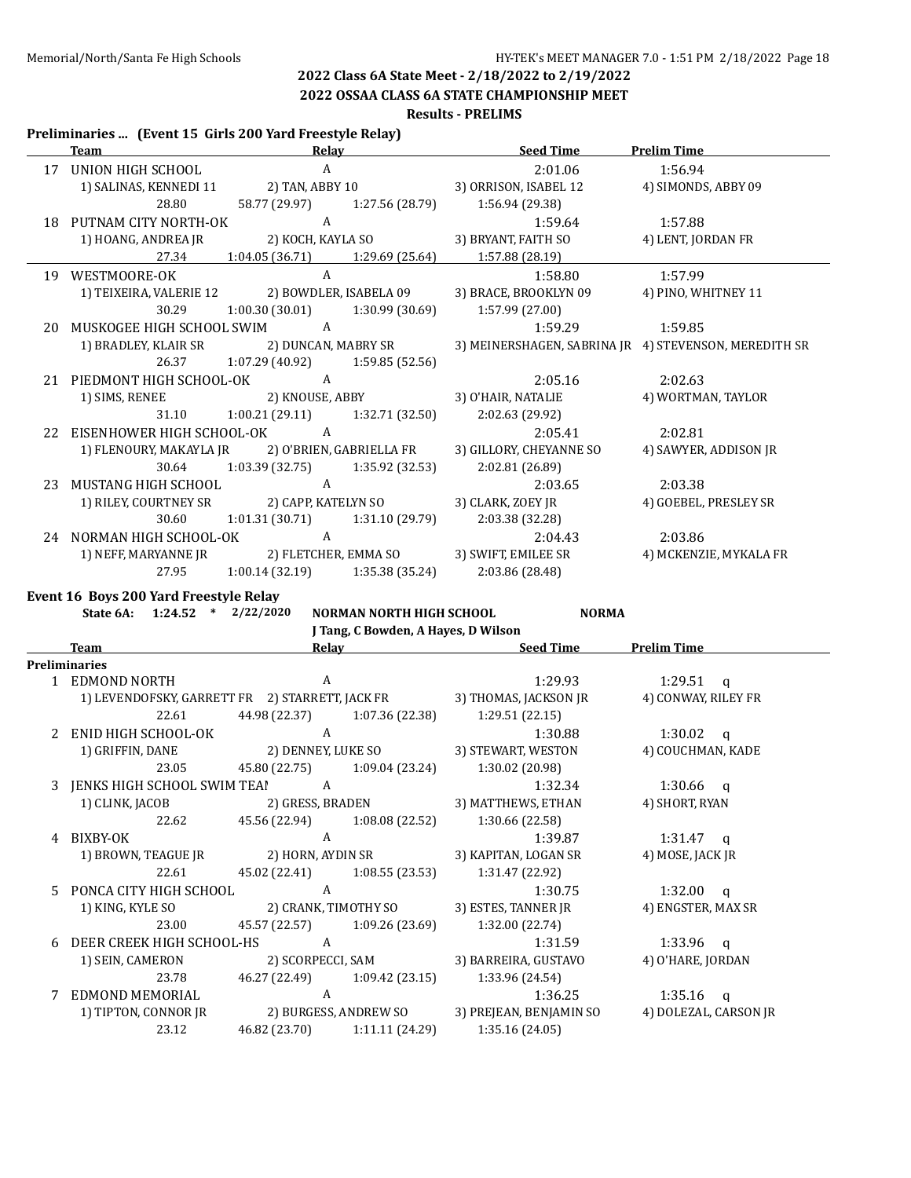**2022 OSSAA CLASS 6A STATE CHAMPIONSHIP MEET**

#### **Results - PRELIMS**

#### **Preliminaries ... (Event 15 Girls 200 Yard Freestyle Relay)**

|    | <b>Team</b>                                      |                   | <b>Relay Relay</b>                | <b>Seed Time</b>        | <b>Prelim Time</b>                                    |
|----|--------------------------------------------------|-------------------|-----------------------------------|-------------------------|-------------------------------------------------------|
| 17 | UNION HIGH SCHOOL                                | $\mathbf{A}$      |                                   | 2:01.06                 | 1:56.94                                               |
|    | 1) SALINAS, KENNEDI 11                           |                   | 2) TAN, ABBY 10                   | 3) ORRISON, ISABEL 12   | 4) SIMONDS, ABBY 09                                   |
|    | 28.80                                            | 58.77 (29.97)     | 1:27.56 (28.79)                   | 1:56.94 (29.38)         |                                                       |
| 18 | PUTNAM CITY NORTH-OK                             | A                 |                                   | 1:59.64                 | 1:57.88                                               |
|    | 1) HOANG, ANDREA JR                              | 2) KOCH, KAYLA SO |                                   | 3) BRYANT, FAITH SO     | 4) LENT, JORDAN FR                                    |
|    | 27.34                                            | 1:04.05 (36.71)   | 1:29.69 (25.64)                   | 1:57.88 (28.19)         |                                                       |
| 19 | WESTMOORE-OK                                     | $\mathsf{A}$      |                                   | 1:58.80                 | 1:57.99                                               |
|    | 1) TEIXEIRA, VALERIE 12                          |                   | 2) BOWDLER, ISABELA 09            | 3) BRACE, BROOKLYN 09   | 4) PINO, WHITNEY 11                                   |
|    | 30.29                                            | 1:00.30 (30.01)   | 1:30.99 (30.69)                   | 1:57.99 (27.00)         |                                                       |
| 20 | MUSKOGEE HIGH SCHOOL SWIM                        | $\overline{A}$    |                                   | 1:59.29                 | 1:59.85                                               |
|    | 1) BRADLEY, KLAIR SR                             |                   | 2) DUNCAN, MABRY SR               |                         | 3) MEINERSHAGEN, SABRINA JR 4) STEVENSON, MEREDITH SR |
|    | 26.37                                            |                   | $1:07.29(40.92)$ $1:59.85(52.56)$ |                         |                                                       |
| 21 | PIEDMONT HIGH SCHOOL-OK                          | $\overline{A}$    |                                   | 2:05.16                 | 2:02.63                                               |
|    | 1) SIMS, RENEE                                   |                   | 2) KNOUSE, ABBY                   | 3) O'HAIR, NATALIE      | 4) WORTMAN, TAYLOR                                    |
|    | 31.10                                            |                   | $1:00.21(29.11)$ $1:32.71(32.50)$ | 2:02.63(29.92)          |                                                       |
| 22 | EISENHOWER HIGH SCHOOL-OK                        | $\overline{A}$    |                                   | 2:05.41                 | 2:02.81                                               |
|    | 1) FLENOURY, MAKAYLA JR 2) O'BRIEN, GABRIELLA FR |                   |                                   | 3) GILLORY, CHEYANNE SO | 4) SAWYER, ADDISON JR                                 |
|    | 30.64                                            |                   | $1:03.39(32.75)$ $1:35.92(32.53)$ | 2:02.81 (26.89)         |                                                       |
| 23 | MUSTANG HIGH SCHOOL                              | $\mathbf{A}$      |                                   | 2:03.65                 | 2:03.38                                               |
|    | 1) RILEY, COURTNEY SR 2) CAPP, KATELYN SO        |                   |                                   | 3) CLARK, ZOEY JR       | 4) GOEBEL, PRESLEY SR                                 |
|    | 30.60                                            |                   | $1:01.31(30.71)$ $1:31.10(29.79)$ | 2:03.38 (32.28)         |                                                       |
|    | 24 NORMAN HIGH SCHOOL-OK                         | A                 |                                   | 2:04.43                 | 2:03.86                                               |
|    | 1) NEFF, MARYANNE JR                             |                   | 2) FLETCHER, EMMA SO              | 3) SWIFT, EMILEE SR     | 4) MCKENZIE, MYKALA FR                                |
|    | 27.95                                            |                   | $1:00.14(32.19)$ $1:35.38(35.24)$ | 2:03.86 (28.48)         |                                                       |

**Event 16 Boys 200 Yard Freestyle Relay**<br>State 64: 1:24.52 \* 2/22/2020

|                | State 6A: 1:24.52 * 2/22/2020    |       | NORMAN NORTH HIGH SCHOOL            | <b>NORMA</b>                                                          |                       |
|----------------|----------------------------------|-------|-------------------------------------|-----------------------------------------------------------------------|-----------------------|
|                | Team                             | Relav | J Tang, C Bowden, A Hayes, D Wilson | <b>Seed Time</b>                                                      | <b>Prelim Time</b>    |
|                | Preliminaries                    |       |                                     |                                                                       |                       |
|                | 1 EDMOND NORTH                   | A     |                                     | 1:29.93                                                               | 1:29.51 a             |
|                |                                  |       |                                     | 1) LEVENDOFSKY, GARRETT FR 2) STARRETT, JACK FR 3) THOMAS, JACKSON JR | 4) CONWAY, RILEY FR   |
|                | 22.61                            |       |                                     | 44.98 (22.37) 1:07.36 (22.38) 1:29.51 (22.15)                         |                       |
| $\overline{2}$ | ENID HIGH SCHOOL-OK              | A     |                                     | 1:30.88                                                               | 1:30.02 $q$           |
|                | 1) GRIFFIN, DANE                 |       | 2) DENNEY, LUKE SO                  | 3) STEWART, WESTON                                                    | 4) COUCHMAN, KADE     |
|                | 23.05                            |       | 45.80 (22.75) 1:09.04 (23.24)       | 1:30.02 (20.98)                                                       |                       |
|                | 3 JENKS HIGH SCHOOL SWIM TEAI A  |       |                                     | 1:32.34                                                               | 1:30.66 a             |
|                | 1) CLINK, JACOB 2) GRESS, BRADEN |       |                                     | 3) MATTHEWS, ETHAN                                                    | 4) SHORT, RYAN        |
|                | 22.62                            |       |                                     | 45.56 (22.94) 1:08.08 (22.52) 1:30.66 (22.58)                         |                       |
| 4              | BIXBY-OK                         | A     |                                     | 1:39.87                                                               | 1:31.47 $q$           |
|                |                                  |       |                                     | 1) BROWN, TEAGUE JR 2) HORN, AYDIN SR 3) KAPITAN, LOGAN SR            | 4) MOSE, JACK JR      |
|                | 22.61                            |       | 45.02 (22.41) 1:08.55 (23.53)       | 1:31.47 (22.92)                                                       |                       |
| 5.             | PONCA CITY HIGH SCHOOL           | A     |                                     | 1:30.75                                                               | $1:32.00$ q           |
|                | 1) KING, KYLE SO                 |       | 2) CRANK, TIMOTHY SO                | 3) ESTES, TANNER JR                                                   | 4) ENGSTER, MAX SR    |
|                | 23.00                            |       |                                     | 45.57 (22.57) 1:09.26 (23.69) 1:32.00 (22.74)                         |                       |
| 6              | DEER CREEK HIGH SCHOOL-HS        | A     |                                     | 1:31.59                                                               | $1:33.96$ q           |
|                | 1) SEIN, CAMERON                 |       | 2) SCORPECCI, SAM                   | 3) BARREIRA, GUSTAVO                                                  | 4) O'HARE, JORDAN     |
|                | 23.78                            |       | 46.27 (22.49) 1:09.42 (23.15)       | 1:33.96 (24.54)                                                       |                       |
|                | EDMOND MEMORIAL                  | A     |                                     | 1:36.25                                                               | $1:35.16$ q           |
|                | 1) TIPTON, CONNOR JR             |       | 2) BURGESS, ANDREW SO               | 3) PREJEAN, BENJAMIN SO                                               | 4) DOLEZAL, CARSON JR |
|                | 23.12                            |       | 46.82 (23.70) 1:11.11 (24.29)       | 1:35.16 (24.05)                                                       |                       |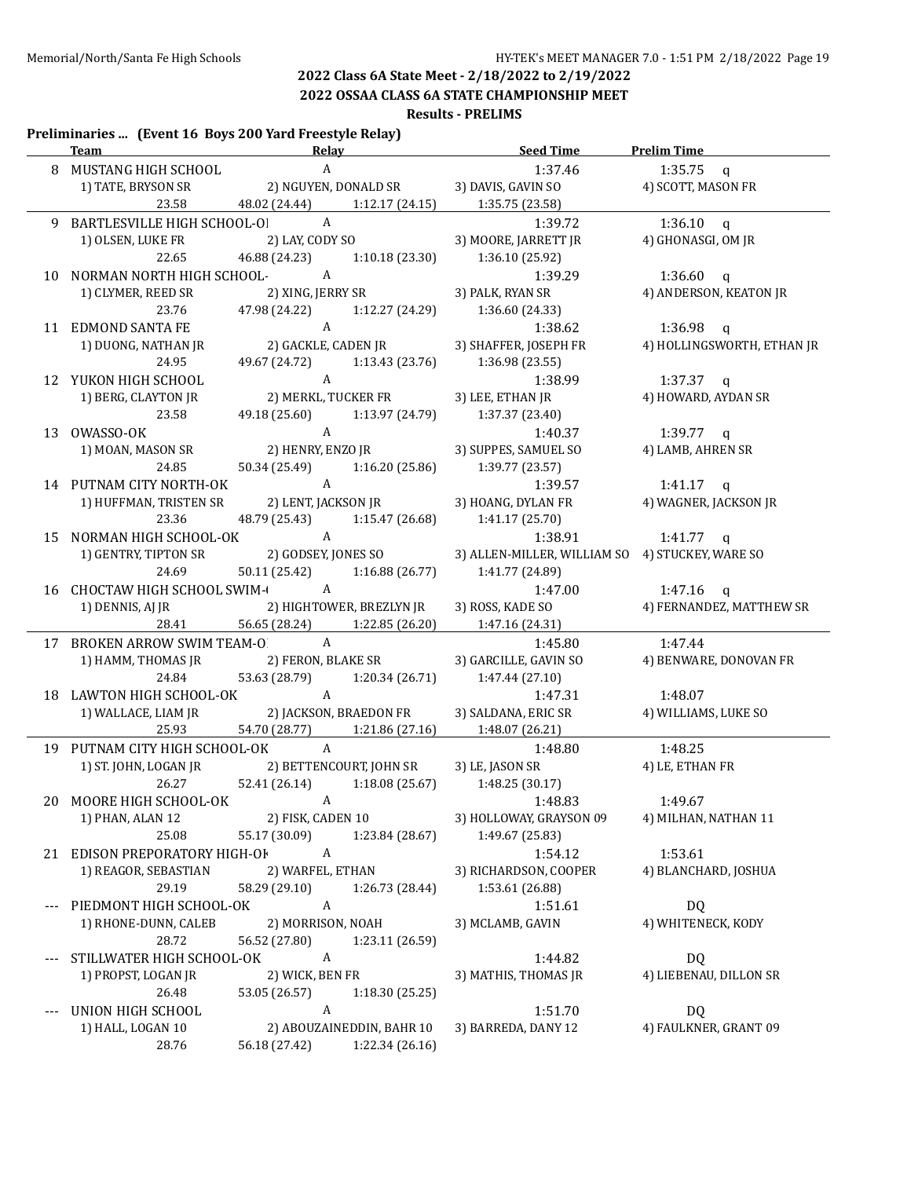**2022 OSSAA CLASS 6A STATE CHAMPIONSHIP MEET**

#### **Results - PRELIMS**

#### **Preliminaries ... (Event 16 Boys 200 Yard Freestyle Relay)**

| <b>Team</b> 1.1 and 1.1 and 1.1 and 1.1 and 1.1 and 1.1 and 1.1 and 1.1 and 1.1 and 1.1 and 1.1 and 1.1 and 1.1 and 1.1 and 1.1 and 1.1 and 1.1 and 1.1 and 1.1 and 1.1 and 1.1 and 1.1 and 1.1 and 1.1 and 1.1 and 1.1 and 1.1 and |                               |                           | Relay Seed Time                                     | Prelim Time                |
|-------------------------------------------------------------------------------------------------------------------------------------------------------------------------------------------------------------------------------------|-------------------------------|---------------------------|-----------------------------------------------------|----------------------------|
| 8 MUSTANG HIGH SCHOOL                                                                                                                                                                                                               | A                             |                           | 1:37.46                                             | 1:35.75 $q$                |
| 1) TATE, BRYSON SR                                                                                                                                                                                                                  |                               |                           | 2) NGUYEN, DONALD SR 3) DAVIS, GAVIN SO             | 4) SCOTT, MASON FR         |
|                                                                                                                                                                                                                                     |                               |                           | 23.58 48.02 (24.44) 1:12.17 (24.15) 1:35.75 (23.58) |                            |
| 9 BARTLESVILLE HIGH SCHOOL-OI                                                                                                                                                                                                       | $\overline{A}$                |                           | 1:39.72                                             | $1:36.10$ q                |
| 1) OLSEN, LUKE FR                                                                                                                                                                                                                   | 2) LAY, CODY SO               |                           | 3) MOORE, JARRETT JR                                | 4) GHONASGI, OM JR         |
| 22.65                                                                                                                                                                                                                               | 46.88 (24.23) 1:10.18 (23.30) |                           | 1:36.10 (25.92)                                     |                            |
| 10 NORMAN NORTH HIGH SCHOOL- A                                                                                                                                                                                                      |                               |                           | 1:39.29                                             | 1:36.60 q                  |
| 1) CLYMER, REED SR                                                                                                                                                                                                                  | 2) XING, JERRY SR             |                           | 3) PALK, RYAN SR                                    | 4) ANDERSON, KEATON JR     |
| 23.76                                                                                                                                                                                                                               | 47.98 (24.22)                 |                           | $1:12.27(24.29)$ $1:36.60(24.33)$                   |                            |
| 11 EDMOND SANTA FE                                                                                                                                                                                                                  | A                             |                           | 1:38.62                                             | 1:36.98 q                  |
| 1) DUONG, NATHAN JR                                                                                                                                                                                                                 |                               | 2) GACKLE, CADEN JR       | 3) SHAFFER, JOSEPH FR                               | 4) HOLLINGSWORTH, ETHAN JR |
| 24.95                                                                                                                                                                                                                               | 49.67 (24.72)                 | 1:13.43 (23.76)           | 1:36.98 (23.55)                                     |                            |
| 12 YUKON HIGH SCHOOL                                                                                                                                                                                                                | A                             |                           | 1:38.99                                             | 1:37.37 q                  |
| 1) BERG, CLAYTON JR                                                                                                                                                                                                                 |                               | 2) MERKL, TUCKER FR       | 3) LEE, ETHAN JR                                    | 4) HOWARD, AYDAN SR        |
| 23.58                                                                                                                                                                                                                               | 49.18 (25.60) 1:13.97 (24.79) |                           | 1:37.37 (23.40)                                     |                            |
| 13 OWASSO-OK                                                                                                                                                                                                                        | A                             |                           | 1:40.37                                             | 1:39.77 $q$                |
| 1) MOAN, MASON SR                                                                                                                                                                                                                   |                               | 2) HENRY, ENZO JR         | 3) SUPPES, SAMUEL SO                                | 4) LAMB, AHREN SR          |
| 24.85                                                                                                                                                                                                                               | 50.34 (25.49) 1:16.20 (25.86) |                           | 1:39.77 (23.57)                                     |                            |
| 14 PUTNAM CITY NORTH-OK                                                                                                                                                                                                             | A                             |                           | 1:39.57                                             | 1:41.17 $q$                |
| 1) HUFFMAN, TRISTEN SR                                                                                                                                                                                                              |                               | 2) LENT, JACKSON JR       | 3) HOANG, DYLAN FR                                  | 4) WAGNER, JACKSON JR      |
| 23.36                                                                                                                                                                                                                               | 48.79 (25.43) 1:15.47 (26.68) |                           | 1:41.17(25.70)                                      |                            |
| 15 NORMAN HIGH SCHOOL-OK A                                                                                                                                                                                                          |                               |                           | 1:38.91                                             | 1:41.77 q                  |
| 1) GENTRY, TIPTON SR                                                                                                                                                                                                                | 2) GODSEY, JONES SO           |                           | 3) ALLEN-MILLER, WILLIAM SO 4) STUCKEY, WARE SO     |                            |
| 24.69                                                                                                                                                                                                                               | 50.11 (25.42) 1:16.88 (26.77) |                           | 1:41.77 (24.89)                                     |                            |
| 16 CHOCTAW HIGH SCHOOL SWIM-                                                                                                                                                                                                        |                               |                           | 1:47.00                                             | $1:47.16$ q                |
| 1) DENNIS, AJ JR 2) HIGHTOWER, BREZLYN JR                                                                                                                                                                                           |                               |                           | 3) ROSS, KADE SO                                    | 4) FERNANDEZ, MATTHEW SR   |
| 28.41                                                                                                                                                                                                                               | 56.65 (28.24) 1:22.85 (26.20) |                           | 1:47.16 (24.31)                                     |                            |
| 17 BROKEN ARROW SWIM TEAM-O A                                                                                                                                                                                                       |                               |                           | 1:45.80 1:47.44                                     |                            |
| 1) HAMM, THOMAS JR                                                                                                                                                                                                                  | 2) FERON, BLAKE SR            |                           | 3) GARCILLE, GAVIN SO                               | 4) BENWARE, DONOVAN FR     |
| 24.84                                                                                                                                                                                                                               | 53.63 (28.79) 1:20.34 (26.71) |                           | 1:47.44 (27.10)                                     |                            |
| 18 LAWTON HIGH SCHOOL-OK A                                                                                                                                                                                                          |                               |                           | 1:47.31                                             | 1:48.07                    |
| 1) WALLACE, LIAM JR 2) JACKSON, BRAEDON FR                                                                                                                                                                                          |                               |                           | 3) SALDANA, ERIC SR                                 | 4) WILLIAMS, LUKE SO       |
| 25.93                                                                                                                                                                                                                               |                               |                           | 54.70 (28.77) 1:21.86 (27.16) 1:48.07 (26.21)       |                            |
| 19 PUTNAM CITY HIGH SCHOOL-OK A                                                                                                                                                                                                     |                               |                           | 1:48.80 1:48.25                                     |                            |
| 1) ST. JOHN, LOGAN JR 2) BETTENCOURT, JOHN SR                                                                                                                                                                                       |                               |                           | 3) LE, JASON SR                                     | 4) LE, ETHAN FR            |
|                                                                                                                                                                                                                                     |                               |                           | 26.27 52.41 (26.14) 1:18.08 (25.67) 1:48.25 (30.17) |                            |
| 20 MOORE HIGH SCHOOL-OK                                                                                                                                                                                                             | A                             |                           | 1:48.83                                             | 1:49.67                    |
| 1) PHAN, ALAN 12                                                                                                                                                                                                                    | 2) FISK, CADEN 10             |                           | 3) HOLLOWAY, GRAYSON 09                             | 4) MILHAN, NATHAN 11       |
| 25.08                                                                                                                                                                                                                               | 55.17 (30.09)                 | 1:23.84 (28.67)           | 1:49.67 (25.83)                                     |                            |
| 21 EDISON PREPORATORY HIGH-OF                                                                                                                                                                                                       | $\boldsymbol{A}$              |                           | 1:54.12                                             | 1:53.61                    |
| 1) REAGOR, SEBASTIAN                                                                                                                                                                                                                | 2) WARFEL, ETHAN              |                           | 3) RICHARDSON, COOPER                               | 4) BLANCHARD, JOSHUA       |
| 29.19                                                                                                                                                                                                                               | 58.29 (29.10)                 | 1:26.73 (28.44)           | 1:53.61 (26.88)                                     |                            |
| PIEDMONT HIGH SCHOOL-OK                                                                                                                                                                                                             | $\boldsymbol{A}$              |                           | 1:51.61                                             | DQ                         |
| 1) RHONE-DUNN, CALEB                                                                                                                                                                                                                | 2) MORRISON, NOAH             |                           | 3) MCLAMB, GAVIN                                    | 4) WHITENECK, KODY         |
| 28.72                                                                                                                                                                                                                               | 56.52 (27.80)                 | 1:23.11 (26.59)           |                                                     |                            |
| STILLWATER HIGH SCHOOL-OK                                                                                                                                                                                                           | $\boldsymbol{\mathrm{A}}$     |                           | 1:44.82                                             | <b>DQ</b>                  |
| 1) PROPST, LOGAN JR                                                                                                                                                                                                                 | 2) WICK, BEN FR               |                           | 3) MATHIS, THOMAS JR                                | 4) LIEBENAU, DILLON SR     |
| 26.48                                                                                                                                                                                                                               | 53.05 (26.57)                 | 1:18.30 (25.25)           |                                                     |                            |
| UNION HIGH SCHOOL                                                                                                                                                                                                                   | $\mathbf{A}$                  |                           | 1:51.70                                             | <b>DQ</b>                  |
| 1) HALL, LOGAN 10                                                                                                                                                                                                                   |                               | 2) ABOUZAINEDDIN, BAHR 10 | 3) BARREDA, DANY 12                                 | 4) FAULKNER, GRANT 09      |
| 28.76                                                                                                                                                                                                                               | 56.18 (27.42)                 | 1:22.34 (26.16)           |                                                     |                            |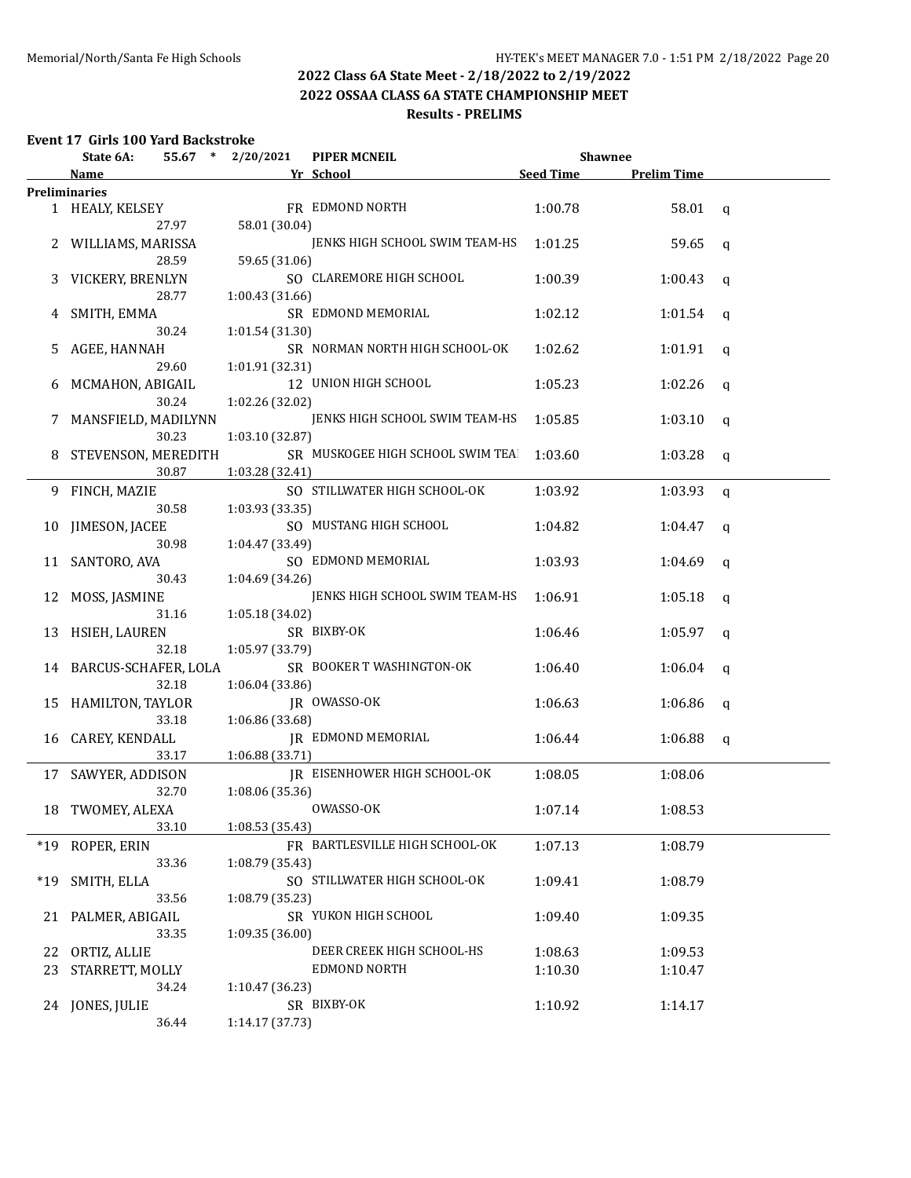**2022 OSSAA CLASS 6A STATE CHAMPIONSHIP MEET**

### **Results - PRELIMS**

### **Event 17 Girls 100 Yard Backstroke**

|       | State 6A:                        | 55.67 * 2/20/2021 | <b>PIPER MCNEIL</b>                 | <b>Shawnee</b>   |                    |   |
|-------|----------------------------------|-------------------|-------------------------------------|------------------|--------------------|---|
|       | Name                             |                   | Yr School                           | <b>Seed Time</b> | <b>Prelim Time</b> |   |
|       | <b>Preliminaries</b>             |                   |                                     |                  |                    |   |
|       | 1 HEALY, KELSEY                  |                   | FR EDMOND NORTH                     | 1:00.78          | 58.01              | q |
|       | 27.97                            | 58.01 (30.04)     |                                     |                  |                    |   |
|       | 2 WILLIAMS, MARISSA              |                   | JENKS HIGH SCHOOL SWIM TEAM-HS      | 1:01.25          | 59.65              | q |
|       | 28.59                            | 59.65 (31.06)     |                                     |                  |                    |   |
| 3     | VICKERY, BRENLYN                 |                   | SO CLAREMORE HIGH SCHOOL            | 1:00.39          | 1:00.43            | q |
|       | 28.77                            | 1:00.43 (31.66)   |                                     |                  |                    |   |
|       | 4 SMITH, EMMA                    |                   | SR EDMOND MEMORIAL                  | 1:02.12          | 1:01.54            | q |
|       | 30.24                            | 1:01.54 (31.30)   |                                     |                  |                    |   |
| 5.    | AGEE, HANNAH                     |                   | SR NORMAN NORTH HIGH SCHOOL-OK      | 1:02.62          | 1:01.91            | q |
|       | 29.60                            | 1:01.91 (32.31)   |                                     |                  |                    |   |
| 6     | MCMAHON, ABIGAIL                 |                   | 12 UNION HIGH SCHOOL                | 1:05.23          | 1:02.26            | q |
|       | 30.24                            | 1:02.26 (32.02)   |                                     |                  |                    |   |
|       | MANSFIELD, MADILYNN              |                   | JENKS HIGH SCHOOL SWIM TEAM-HS      | 1:05.85          | 1:03.10            | q |
|       | 30.23                            | 1:03.10 (32.87)   |                                     |                  |                    |   |
|       | 8 STEVENSON, MEREDITH            |                   | SR MUSKOGEE HIGH SCHOOL SWIM TEA    | 1:03.60          | 1:03.28            | q |
|       | 30.87                            | 1:03.28 (32.41)   |                                     |                  |                    |   |
|       | 9 FINCH, MAZIE                   |                   | SO STILLWATER HIGH SCHOOL-OK        | 1:03.92          | 1:03.93            | q |
|       | 30.58                            | 1:03.93 (33.35)   |                                     |                  |                    |   |
|       | 10 JIMESON, JACEE                |                   | SO MUSTANG HIGH SCHOOL              | 1:04.82          | 1:04.47            | q |
|       | 30.98                            | 1:04.47 (33.49)   |                                     |                  |                    |   |
|       | 11 SANTORO, AVA                  |                   | SO EDMOND MEMORIAL                  | 1:03.93          | 1:04.69            |   |
|       | 30.43                            | 1:04.69 (34.26)   |                                     |                  |                    | a |
| 12    | MOSS, JASMINE                    |                   | JENKS HIGH SCHOOL SWIM TEAM-HS      | 1:06.91          | 1:05.18            |   |
|       | 31.16                            | 1:05.18 (34.02)   |                                     |                  |                    | q |
|       | 13 HSIEH, LAUREN                 |                   | SR BIXBY-OK                         | 1:06.46          | 1:05.97            |   |
|       | 32.18                            | 1:05.97 (33.79)   |                                     |                  |                    | q |
|       |                                  |                   | SR BOOKER T WASHINGTON-OK           | 1:06.40          |                    |   |
|       | 14 BARCUS-SCHAFER, LOLA<br>32.18 |                   |                                     |                  | 1:06.04            | q |
|       |                                  | 1:06.04 (33.86)   | JR OWASSO-OK                        |                  |                    |   |
|       | 15 HAMILTON, TAYLOR              |                   |                                     | 1:06.63          | 1:06.86            | q |
|       | 33.18                            | 1:06.86 (33.68)   |                                     |                  |                    |   |
|       | 16 CAREY, KENDALL                |                   | <b>JR EDMOND MEMORIAL</b>           | 1:06.44          | 1:06.88            | q |
|       | 33.17                            | 1:06.88 (33.71)   |                                     |                  |                    |   |
|       | 17 SAWYER, ADDISON               |                   | <b>IR EISENHOWER HIGH SCHOOL-OK</b> | 1:08.05          | 1:08.06            |   |
|       | 32.70                            | 1:08.06 (35.36)   |                                     |                  |                    |   |
|       | 18 TWOMEY, ALEXA                 |                   | OWASSO-OK                           | 1:07.14          | 1:08.53            |   |
|       | 33.10                            | 1:08.53 (35.43)   |                                     |                  |                    |   |
| $*19$ | ROPER, ERIN                      |                   | FR BARTLESVILLE HIGH SCHOOL-OK      | 1:07.13          | 1:08.79            |   |
|       | 33.36                            | 1:08.79 (35.43)   |                                     |                  |                    |   |
| $*19$ | SMITH, ELLA                      |                   | SO STILLWATER HIGH SCHOOL-OK        | 1:09.41          | 1:08.79            |   |
|       | 33.56                            | 1:08.79 (35.23)   |                                     |                  |                    |   |
| 21    | PALMER, ABIGAIL                  |                   | SR YUKON HIGH SCHOOL                | 1:09.40          | 1:09.35            |   |
|       | 33.35                            | 1:09.35(36.00)    |                                     |                  |                    |   |
| 22    | ORTIZ, ALLIE                     |                   | DEER CREEK HIGH SCHOOL-HS           | 1:08.63          | 1:09.53            |   |
| 23    | STARRETT, MOLLY                  |                   | <b>EDMOND NORTH</b>                 | 1:10.30          | 1:10.47            |   |
|       | 34.24                            | 1:10.47 (36.23)   |                                     |                  |                    |   |
|       | 24 JONES, JULIE                  |                   | SR BIXBY-OK                         | 1:10.92          | 1:14.17            |   |
|       | 36.44                            | 1:14.17 (37.73)   |                                     |                  |                    |   |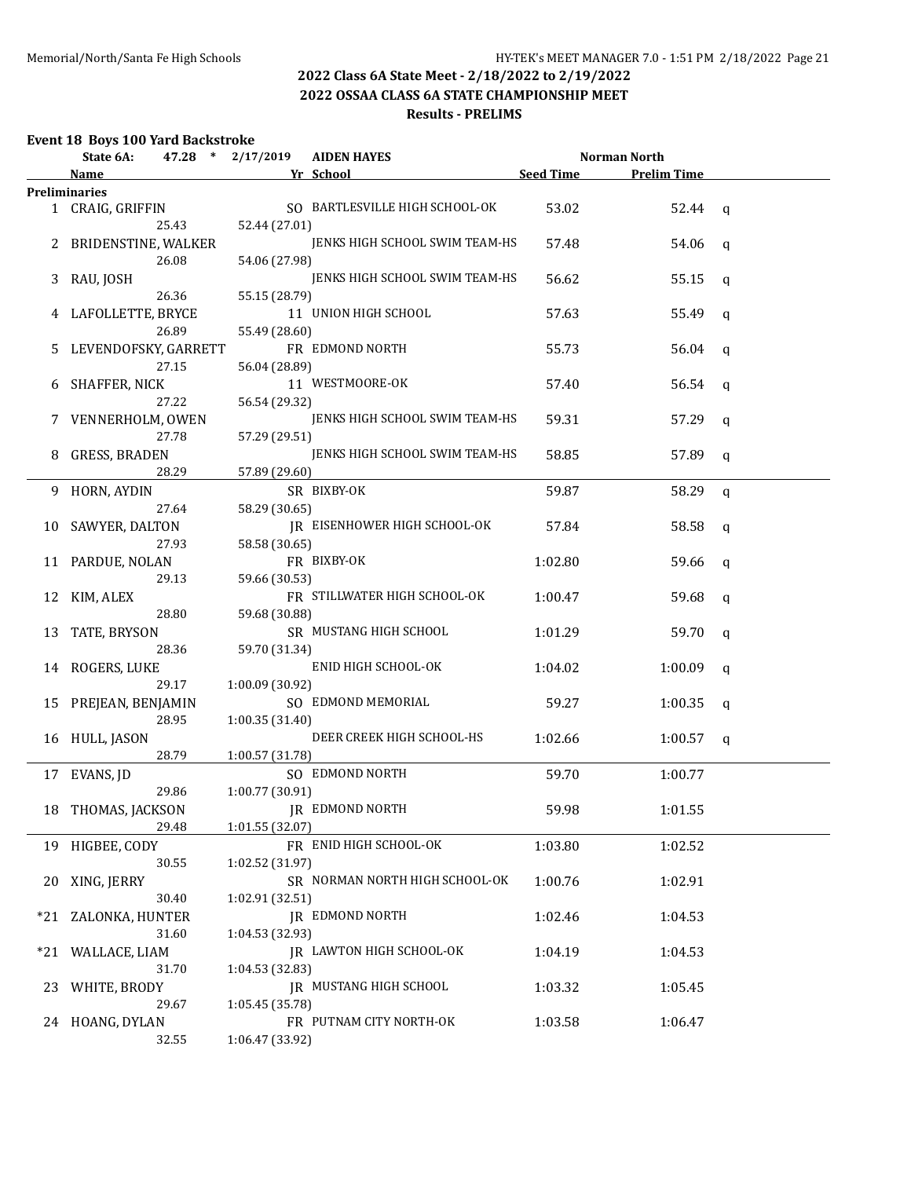# **2022 OSSAA CLASS 6A STATE CHAMPIONSHIP MEET**

# **Results - PRELIMS**

# **Event 18 Boys 100 Yard Backstroke**

|       | State 6A:              |       | 47.28 * 2/17/2019 | <b>AIDEN HAYES</b>             |                  | Norman North       |   |
|-------|------------------------|-------|-------------------|--------------------------------|------------------|--------------------|---|
|       | Name                   |       |                   | Yr School                      | <b>Seed Time</b> | <b>Prelim Time</b> |   |
|       | <b>Preliminaries</b>   |       |                   |                                |                  |                    |   |
|       | 1 CRAIG, GRIFFIN       | 25.43 | 52.44 (27.01)     | SO BARTLESVILLE HIGH SCHOOL-OK | 53.02            | $52.44$ q          |   |
|       | 2 BRIDENSTINE, WALKER  | 26.08 | 54.06 (27.98)     | JENKS HIGH SCHOOL SWIM TEAM-HS | 57.48            | 54.06              | q |
| 3     | RAU, JOSH              |       |                   | JENKS HIGH SCHOOL SWIM TEAM-HS | 56.62            | 55.15              | q |
|       |                        | 26.36 | 55.15 (28.79)     |                                |                  |                    |   |
|       | 4 LAFOLLETTE, BRYCE    | 26.89 | 55.49 (28.60)     | 11 UNION HIGH SCHOOL           | 57.63            | 55.49              | q |
|       | 5 LEVENDOFSKY, GARRETT | 27.15 |                   | FR EDMOND NORTH                | 55.73            | 56.04              | q |
|       | 6 SHAFFER, NICK        |       | 56.04 (28.89)     | 11 WESTMOORE-OK                | 57.40            | 56.54              | q |
|       |                        | 27.22 | 56.54 (29.32)     |                                |                  |                    |   |
|       | 7 VENNERHOLM, OWEN     | 27.78 | 57.29 (29.51)     | JENKS HIGH SCHOOL SWIM TEAM-HS | 59.31            | 57.29              | q |
| 8     | <b>GRESS, BRADEN</b>   | 28.29 |                   | JENKS HIGH SCHOOL SWIM TEAM-HS | 58.85            | 57.89              | q |
|       |                        |       | 57.89 (29.60)     |                                |                  |                    |   |
|       | 9 HORN, AYDIN          | 27.64 | 58.29 (30.65)     | SR BIXBY-OK                    | 59.87            | 58.29              | q |
|       | 10 SAWYER, DALTON      |       |                   | JR EISENHOWER HIGH SCHOOL-OK   | 57.84            | 58.58              | q |
|       | 11 PARDUE, NOLAN       | 27.93 | 58.58 (30.65)     | FR BIXBY-OK                    | 1:02.80          | 59.66              | q |
|       |                        | 29.13 | 59.66 (30.53)     |                                |                  |                    |   |
|       | 12 KIM, ALEX           | 28.80 | 59.68 (30.88)     | FR STILLWATER HIGH SCHOOL-OK   | 1:00.47          | 59.68              | q |
|       | 13 TATE, BRYSON        |       |                   | SR MUSTANG HIGH SCHOOL         | 1:01.29          | 59.70              | q |
|       | 14 ROGERS, LUKE        | 28.36 | 59.70 (31.34)     | ENID HIGH SCHOOL-OK            | 1:04.02          | 1:00.09            | q |
|       |                        | 29.17 | 1:00.09 (30.92)   |                                |                  |                    |   |
|       | 15 PREJEAN, BENJAMIN   | 28.95 |                   | SO EDMOND MEMORIAL             | 59.27            | 1:00.35            | q |
|       |                        |       | 1:00.35 (31.40)   | DEER CREEK HIGH SCHOOL-HS      | 1:02.66          |                    |   |
|       | 16 HULL, JASON         | 28.79 | 1:00.57 (31.78)   |                                |                  | 1:00.57            | q |
|       | 17 EVANS, JD           |       |                   | SO EDMOND NORTH                | 59.70            | 1:00.77            |   |
|       |                        | 29.86 | 1:00.77 (30.91)   |                                |                  |                    |   |
|       | 18 THOMAS, JACKSON     |       |                   | IR EDMOND NORTH                | 59.98            | 1:01.55            |   |
|       | 19 HIGBEE, CODY        | 29.48 | 1:01.55(32.07)    | FR ENID HIGH SCHOOL-OK         | 1:03.80          | 1:02.52            |   |
|       |                        | 30.55 | 1:02.52 (31.97)   |                                |                  |                    |   |
| 20    | XING, JERRY            | 30.40 | 1:02.91 (32.51)   | SR NORMAN NORTH HIGH SCHOOL-OK | 1:00.76          | 1:02.91            |   |
| $*21$ | ZALONKA, HUNTER        |       |                   | <b>JR EDMOND NORTH</b>         | 1:02.46          | 1:04.53            |   |
|       | *21 WALLACE, LIAM      | 31.60 | 1:04.53 (32.93)   | JR LAWTON HIGH SCHOOL-OK       | 1:04.19          | 1:04.53            |   |
|       |                        | 31.70 | 1:04.53 (32.83)   |                                |                  |                    |   |
| 23    | WHITE, BRODY           | 29.67 | 1:05.45 (35.78)   | JR MUSTANG HIGH SCHOOL         | 1:03.32          | 1:05.45            |   |
|       | 24 HOANG, DYLAN        | 32.55 | 1:06.47 (33.92)   | FR PUTNAM CITY NORTH-OK        | 1:03.58          | 1:06.47            |   |
|       |                        |       |                   |                                |                  |                    |   |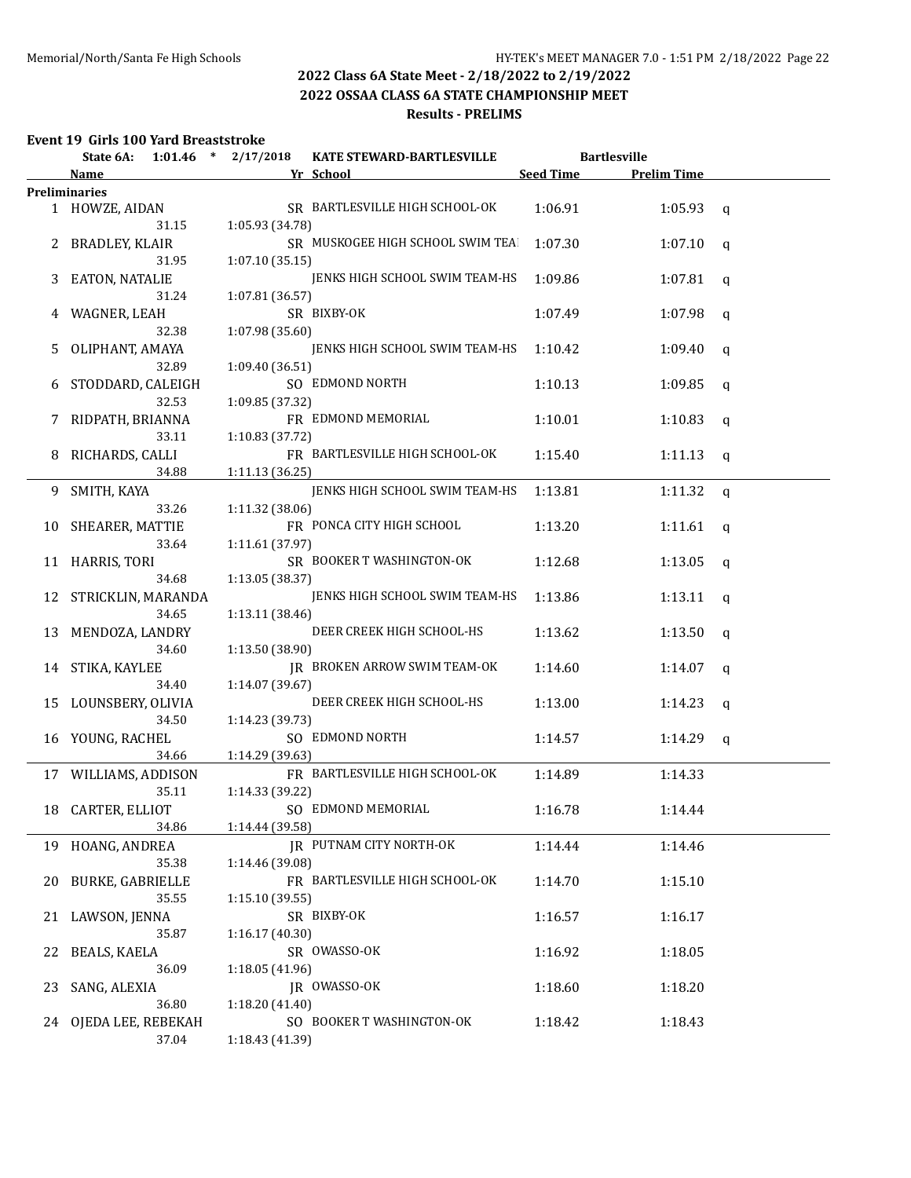#### **2022 OSSAA CLASS 6A STATE CHAMPIONSHIP MEET Results - PRELIMS**

### **Event 19 Girls 100 Yard Breaststroke**

| State 6A:               | $1:01.46$ * $2/17/2018$                                                                                                                                                                                                                                                                                                                                                   | KATE STEWARD-BARTLESVILLE                                                                     |                                                                                                                                                                                                                                                                                                                                                                                                                                                                                                                                                                                                                                                                                                                                                                                                                                                                                                                                                                                    | <b>Bartlesville</b>                                                                                                                                                                                                                                                                                                                                      |                                                                                                                                                                     |
|-------------------------|---------------------------------------------------------------------------------------------------------------------------------------------------------------------------------------------------------------------------------------------------------------------------------------------------------------------------------------------------------------------------|-----------------------------------------------------------------------------------------------|------------------------------------------------------------------------------------------------------------------------------------------------------------------------------------------------------------------------------------------------------------------------------------------------------------------------------------------------------------------------------------------------------------------------------------------------------------------------------------------------------------------------------------------------------------------------------------------------------------------------------------------------------------------------------------------------------------------------------------------------------------------------------------------------------------------------------------------------------------------------------------------------------------------------------------------------------------------------------------|----------------------------------------------------------------------------------------------------------------------------------------------------------------------------------------------------------------------------------------------------------------------------------------------------------------------------------------------------------|---------------------------------------------------------------------------------------------------------------------------------------------------------------------|
| Name                    |                                                                                                                                                                                                                                                                                                                                                                           |                                                                                               |                                                                                                                                                                                                                                                                                                                                                                                                                                                                                                                                                                                                                                                                                                                                                                                                                                                                                                                                                                                    | <b>Prelim Time</b>                                                                                                                                                                                                                                                                                                                                       |                                                                                                                                                                     |
| <b>Preliminaries</b>    |                                                                                                                                                                                                                                                                                                                                                                           |                                                                                               |                                                                                                                                                                                                                                                                                                                                                                                                                                                                                                                                                                                                                                                                                                                                                                                                                                                                                                                                                                                    |                                                                                                                                                                                                                                                                                                                                                          |                                                                                                                                                                     |
| 1 HOWZE, AIDAN          |                                                                                                                                                                                                                                                                                                                                                                           |                                                                                               | 1:06.91                                                                                                                                                                                                                                                                                                                                                                                                                                                                                                                                                                                                                                                                                                                                                                                                                                                                                                                                                                            | $1:05.93$ q                                                                                                                                                                                                                                                                                                                                              |                                                                                                                                                                     |
| 31.15                   |                                                                                                                                                                                                                                                                                                                                                                           |                                                                                               |                                                                                                                                                                                                                                                                                                                                                                                                                                                                                                                                                                                                                                                                                                                                                                                                                                                                                                                                                                                    |                                                                                                                                                                                                                                                                                                                                                          |                                                                                                                                                                     |
| 2 BRADLEY, KLAIR        |                                                                                                                                                                                                                                                                                                                                                                           |                                                                                               | 1:07.30                                                                                                                                                                                                                                                                                                                                                                                                                                                                                                                                                                                                                                                                                                                                                                                                                                                                                                                                                                            | 1:07.10                                                                                                                                                                                                                                                                                                                                                  | q                                                                                                                                                                   |
| 31.95                   |                                                                                                                                                                                                                                                                                                                                                                           |                                                                                               |                                                                                                                                                                                                                                                                                                                                                                                                                                                                                                                                                                                                                                                                                                                                                                                                                                                                                                                                                                                    |                                                                                                                                                                                                                                                                                                                                                          |                                                                                                                                                                     |
|                         |                                                                                                                                                                                                                                                                                                                                                                           |                                                                                               |                                                                                                                                                                                                                                                                                                                                                                                                                                                                                                                                                                                                                                                                                                                                                                                                                                                                                                                                                                                    |                                                                                                                                                                                                                                                                                                                                                          | q                                                                                                                                                                   |
| 31.24                   |                                                                                                                                                                                                                                                                                                                                                                           |                                                                                               |                                                                                                                                                                                                                                                                                                                                                                                                                                                                                                                                                                                                                                                                                                                                                                                                                                                                                                                                                                                    |                                                                                                                                                                                                                                                                                                                                                          |                                                                                                                                                                     |
|                         |                                                                                                                                                                                                                                                                                                                                                                           |                                                                                               |                                                                                                                                                                                                                                                                                                                                                                                                                                                                                                                                                                                                                                                                                                                                                                                                                                                                                                                                                                                    |                                                                                                                                                                                                                                                                                                                                                          | q                                                                                                                                                                   |
| 32.38                   |                                                                                                                                                                                                                                                                                                                                                                           |                                                                                               |                                                                                                                                                                                                                                                                                                                                                                                                                                                                                                                                                                                                                                                                                                                                                                                                                                                                                                                                                                                    |                                                                                                                                                                                                                                                                                                                                                          |                                                                                                                                                                     |
|                         |                                                                                                                                                                                                                                                                                                                                                                           |                                                                                               |                                                                                                                                                                                                                                                                                                                                                                                                                                                                                                                                                                                                                                                                                                                                                                                                                                                                                                                                                                                    |                                                                                                                                                                                                                                                                                                                                                          | q                                                                                                                                                                   |
| 32.89                   |                                                                                                                                                                                                                                                                                                                                                                           |                                                                                               |                                                                                                                                                                                                                                                                                                                                                                                                                                                                                                                                                                                                                                                                                                                                                                                                                                                                                                                                                                                    |                                                                                                                                                                                                                                                                                                                                                          |                                                                                                                                                                     |
|                         |                                                                                                                                                                                                                                                                                                                                                                           |                                                                                               |                                                                                                                                                                                                                                                                                                                                                                                                                                                                                                                                                                                                                                                                                                                                                                                                                                                                                                                                                                                    |                                                                                                                                                                                                                                                                                                                                                          | q                                                                                                                                                                   |
|                         |                                                                                                                                                                                                                                                                                                                                                                           |                                                                                               |                                                                                                                                                                                                                                                                                                                                                                                                                                                                                                                                                                                                                                                                                                                                                                                                                                                                                                                                                                                    |                                                                                                                                                                                                                                                                                                                                                          |                                                                                                                                                                     |
| 7                       |                                                                                                                                                                                                                                                                                                                                                                           |                                                                                               |                                                                                                                                                                                                                                                                                                                                                                                                                                                                                                                                                                                                                                                                                                                                                                                                                                                                                                                                                                                    |                                                                                                                                                                                                                                                                                                                                                          | q                                                                                                                                                                   |
|                         |                                                                                                                                                                                                                                                                                                                                                                           |                                                                                               |                                                                                                                                                                                                                                                                                                                                                                                                                                                                                                                                                                                                                                                                                                                                                                                                                                                                                                                                                                                    |                                                                                                                                                                                                                                                                                                                                                          |                                                                                                                                                                     |
|                         |                                                                                                                                                                                                                                                                                                                                                                           |                                                                                               |                                                                                                                                                                                                                                                                                                                                                                                                                                                                                                                                                                                                                                                                                                                                                                                                                                                                                                                                                                                    |                                                                                                                                                                                                                                                                                                                                                          | q                                                                                                                                                                   |
|                         |                                                                                                                                                                                                                                                                                                                                                                           |                                                                                               |                                                                                                                                                                                                                                                                                                                                                                                                                                                                                                                                                                                                                                                                                                                                                                                                                                                                                                                                                                                    |                                                                                                                                                                                                                                                                                                                                                          |                                                                                                                                                                     |
|                         |                                                                                                                                                                                                                                                                                                                                                                           |                                                                                               |                                                                                                                                                                                                                                                                                                                                                                                                                                                                                                                                                                                                                                                                                                                                                                                                                                                                                                                                                                                    |                                                                                                                                                                                                                                                                                                                                                          |                                                                                                                                                                     |
|                         |                                                                                                                                                                                                                                                                                                                                                                           |                                                                                               |                                                                                                                                                                                                                                                                                                                                                                                                                                                                                                                                                                                                                                                                                                                                                                                                                                                                                                                                                                                    |                                                                                                                                                                                                                                                                                                                                                          | q                                                                                                                                                                   |
|                         |                                                                                                                                                                                                                                                                                                                                                                           |                                                                                               |                                                                                                                                                                                                                                                                                                                                                                                                                                                                                                                                                                                                                                                                                                                                                                                                                                                                                                                                                                                    |                                                                                                                                                                                                                                                                                                                                                          |                                                                                                                                                                     |
|                         |                                                                                                                                                                                                                                                                                                                                                                           |                                                                                               |                                                                                                                                                                                                                                                                                                                                                                                                                                                                                                                                                                                                                                                                                                                                                                                                                                                                                                                                                                                    |                                                                                                                                                                                                                                                                                                                                                          | $\mathbf{q}$                                                                                                                                                        |
|                         |                                                                                                                                                                                                                                                                                                                                                                           |                                                                                               |                                                                                                                                                                                                                                                                                                                                                                                                                                                                                                                                                                                                                                                                                                                                                                                                                                                                                                                                                                                    |                                                                                                                                                                                                                                                                                                                                                          |                                                                                                                                                                     |
|                         |                                                                                                                                                                                                                                                                                                                                                                           |                                                                                               |                                                                                                                                                                                                                                                                                                                                                                                                                                                                                                                                                                                                                                                                                                                                                                                                                                                                                                                                                                                    |                                                                                                                                                                                                                                                                                                                                                          | <b>q</b>                                                                                                                                                            |
|                         |                                                                                                                                                                                                                                                                                                                                                                           |                                                                                               |                                                                                                                                                                                                                                                                                                                                                                                                                                                                                                                                                                                                                                                                                                                                                                                                                                                                                                                                                                                    |                                                                                                                                                                                                                                                                                                                                                          |                                                                                                                                                                     |
|                         |                                                                                                                                                                                                                                                                                                                                                                           |                                                                                               |                                                                                                                                                                                                                                                                                                                                                                                                                                                                                                                                                                                                                                                                                                                                                                                                                                                                                                                                                                                    |                                                                                                                                                                                                                                                                                                                                                          | $\mathbf{q}$                                                                                                                                                        |
|                         |                                                                                                                                                                                                                                                                                                                                                                           |                                                                                               |                                                                                                                                                                                                                                                                                                                                                                                                                                                                                                                                                                                                                                                                                                                                                                                                                                                                                                                                                                                    |                                                                                                                                                                                                                                                                                                                                                          |                                                                                                                                                                     |
|                         |                                                                                                                                                                                                                                                                                                                                                                           |                                                                                               |                                                                                                                                                                                                                                                                                                                                                                                                                                                                                                                                                                                                                                                                                                                                                                                                                                                                                                                                                                                    |                                                                                                                                                                                                                                                                                                                                                          | q                                                                                                                                                                   |
|                         |                                                                                                                                                                                                                                                                                                                                                                           |                                                                                               |                                                                                                                                                                                                                                                                                                                                                                                                                                                                                                                                                                                                                                                                                                                                                                                                                                                                                                                                                                                    |                                                                                                                                                                                                                                                                                                                                                          |                                                                                                                                                                     |
|                         |                                                                                                                                                                                                                                                                                                                                                                           |                                                                                               |                                                                                                                                                                                                                                                                                                                                                                                                                                                                                                                                                                                                                                                                                                                                                                                                                                                                                                                                                                                    |                                                                                                                                                                                                                                                                                                                                                          | q                                                                                                                                                                   |
|                         |                                                                                                                                                                                                                                                                                                                                                                           |                                                                                               |                                                                                                                                                                                                                                                                                                                                                                                                                                                                                                                                                                                                                                                                                                                                                                                                                                                                                                                                                                                    |                                                                                                                                                                                                                                                                                                                                                          |                                                                                                                                                                     |
|                         |                                                                                                                                                                                                                                                                                                                                                                           |                                                                                               |                                                                                                                                                                                                                                                                                                                                                                                                                                                                                                                                                                                                                                                                                                                                                                                                                                                                                                                                                                                    |                                                                                                                                                                                                                                                                                                                                                          | q                                                                                                                                                                   |
|                         |                                                                                                                                                                                                                                                                                                                                                                           |                                                                                               |                                                                                                                                                                                                                                                                                                                                                                                                                                                                                                                                                                                                                                                                                                                                                                                                                                                                                                                                                                                    |                                                                                                                                                                                                                                                                                                                                                          |                                                                                                                                                                     |
|                         |                                                                                                                                                                                                                                                                                                                                                                           |                                                                                               |                                                                                                                                                                                                                                                                                                                                                                                                                                                                                                                                                                                                                                                                                                                                                                                                                                                                                                                                                                                    |                                                                                                                                                                                                                                                                                                                                                          | q                                                                                                                                                                   |
|                         |                                                                                                                                                                                                                                                                                                                                                                           |                                                                                               |                                                                                                                                                                                                                                                                                                                                                                                                                                                                                                                                                                                                                                                                                                                                                                                                                                                                                                                                                                                    |                                                                                                                                                                                                                                                                                                                                                          |                                                                                                                                                                     |
|                         |                                                                                                                                                                                                                                                                                                                                                                           |                                                                                               |                                                                                                                                                                                                                                                                                                                                                                                                                                                                                                                                                                                                                                                                                                                                                                                                                                                                                                                                                                                    | 1:14.33                                                                                                                                                                                                                                                                                                                                                  |                                                                                                                                                                     |
| 35.11                   |                                                                                                                                                                                                                                                                                                                                                                           |                                                                                               |                                                                                                                                                                                                                                                                                                                                                                                                                                                                                                                                                                                                                                                                                                                                                                                                                                                                                                                                                                                    |                                                                                                                                                                                                                                                                                                                                                          |                                                                                                                                                                     |
|                         |                                                                                                                                                                                                                                                                                                                                                                           |                                                                                               |                                                                                                                                                                                                                                                                                                                                                                                                                                                                                                                                                                                                                                                                                                                                                                                                                                                                                                                                                                                    | 1:14.44                                                                                                                                                                                                                                                                                                                                                  |                                                                                                                                                                     |
|                         |                                                                                                                                                                                                                                                                                                                                                                           |                                                                                               |                                                                                                                                                                                                                                                                                                                                                                                                                                                                                                                                                                                                                                                                                                                                                                                                                                                                                                                                                                                    |                                                                                                                                                                                                                                                                                                                                                          |                                                                                                                                                                     |
| 19 HOANG, ANDREA        |                                                                                                                                                                                                                                                                                                                                                                           |                                                                                               | 1:14.44                                                                                                                                                                                                                                                                                                                                                                                                                                                                                                                                                                                                                                                                                                                                                                                                                                                                                                                                                                            | 1:14.46                                                                                                                                                                                                                                                                                                                                                  |                                                                                                                                                                     |
| 35.38                   |                                                                                                                                                                                                                                                                                                                                                                           |                                                                                               |                                                                                                                                                                                                                                                                                                                                                                                                                                                                                                                                                                                                                                                                                                                                                                                                                                                                                                                                                                                    |                                                                                                                                                                                                                                                                                                                                                          |                                                                                                                                                                     |
| <b>BURKE, GABRIELLE</b> |                                                                                                                                                                                                                                                                                                                                                                           |                                                                                               | 1:14.70                                                                                                                                                                                                                                                                                                                                                                                                                                                                                                                                                                                                                                                                                                                                                                                                                                                                                                                                                                            | 1:15.10                                                                                                                                                                                                                                                                                                                                                  |                                                                                                                                                                     |
| 35.55                   |                                                                                                                                                                                                                                                                                                                                                                           |                                                                                               |                                                                                                                                                                                                                                                                                                                                                                                                                                                                                                                                                                                                                                                                                                                                                                                                                                                                                                                                                                                    |                                                                                                                                                                                                                                                                                                                                                          |                                                                                                                                                                     |
| LAWSON, JENNA           |                                                                                                                                                                                                                                                                                                                                                                           |                                                                                               | 1:16.57                                                                                                                                                                                                                                                                                                                                                                                                                                                                                                                                                                                                                                                                                                                                                                                                                                                                                                                                                                            | 1:16.17                                                                                                                                                                                                                                                                                                                                                  |                                                                                                                                                                     |
| 35.87                   |                                                                                                                                                                                                                                                                                                                                                                           |                                                                                               |                                                                                                                                                                                                                                                                                                                                                                                                                                                                                                                                                                                                                                                                                                                                                                                                                                                                                                                                                                                    |                                                                                                                                                                                                                                                                                                                                                          |                                                                                                                                                                     |
| <b>BEALS, KAELA</b>     |                                                                                                                                                                                                                                                                                                                                                                           |                                                                                               | 1:16.92                                                                                                                                                                                                                                                                                                                                                                                                                                                                                                                                                                                                                                                                                                                                                                                                                                                                                                                                                                            | 1:18.05                                                                                                                                                                                                                                                                                                                                                  |                                                                                                                                                                     |
| 36.09                   |                                                                                                                                                                                                                                                                                                                                                                           |                                                                                               |                                                                                                                                                                                                                                                                                                                                                                                                                                                                                                                                                                                                                                                                                                                                                                                                                                                                                                                                                                                    |                                                                                                                                                                                                                                                                                                                                                          |                                                                                                                                                                     |
| SANG, ALEXIA            |                                                                                                                                                                                                                                                                                                                                                                           |                                                                                               | 1:18.60                                                                                                                                                                                                                                                                                                                                                                                                                                                                                                                                                                                                                                                                                                                                                                                                                                                                                                                                                                            | 1:18.20                                                                                                                                                                                                                                                                                                                                                  |                                                                                                                                                                     |
| 36.80                   |                                                                                                                                                                                                                                                                                                                                                                           |                                                                                               |                                                                                                                                                                                                                                                                                                                                                                                                                                                                                                                                                                                                                                                                                                                                                                                                                                                                                                                                                                                    |                                                                                                                                                                                                                                                                                                                                                          |                                                                                                                                                                     |
|                         |                                                                                                                                                                                                                                                                                                                                                                           |                                                                                               | 1:18.42                                                                                                                                                                                                                                                                                                                                                                                                                                                                                                                                                                                                                                                                                                                                                                                                                                                                                                                                                                            | 1:18.43                                                                                                                                                                                                                                                                                                                                                  |                                                                                                                                                                     |
| 37.04                   |                                                                                                                                                                                                                                                                                                                                                                           |                                                                                               |                                                                                                                                                                                                                                                                                                                                                                                                                                                                                                                                                                                                                                                                                                                                                                                                                                                                                                                                                                                    |                                                                                                                                                                                                                                                                                                                                                          |                                                                                                                                                                     |
| 9.                      | EATON, NATALIE<br>4 WAGNER, LEAH<br>OLIPHANT, AMAYA<br>32.53<br>RIDPATH, BRIANNA<br>33.11<br>RICHARDS, CALLI<br>34.88<br>SMITH, KAYA<br>33.26<br>10 SHEARER, MATTIE<br>33.64<br>11 HARRIS, TORI<br>34.68<br>34.65<br>13 MENDOZA, LANDRY<br>34.60<br>14 STIKA, KAYLEE<br>34.40<br>15 LOUNSBERY, OLIVIA<br>34.50<br>16 YOUNG, RACHEL<br>34.66<br>18 CARTER, ELLIOT<br>34.86 | 6 STODDARD, CALEIGH<br>12 STRICKLIN, MARANDA<br>17 WILLIAMS, ADDISON<br>24 OJEDA LEE, REBEKAH | Yr School<br>SR BARTLESVILLE HIGH SCHOOL-OK<br>1:05.93(34.78)<br>1:07.10(35.15)<br>1:07.81 (36.57)<br>SR BIXBY-OK<br>1:07.98 (35.60)<br>1:09.40 (36.51)<br>SO EDMOND NORTH<br>1:09.85 (37.32)<br>FR EDMOND MEMORIAL<br>1:10.83 (37.72)<br>FR BARTLESVILLE HIGH SCHOOL-OK<br>1:11.13 (36.25)<br>1:11.32 (38.06)<br>FR PONCA CITY HIGH SCHOOL<br>1:11.61 (37.97)<br>SR BOOKER T WASHINGTON-OK<br>1:13.05 (38.37)<br>1:13.11 (38.46)<br>DEER CREEK HIGH SCHOOL-HS<br>1:13.50 (38.90)<br>JR BROKEN ARROW SWIM TEAM-OK<br>1:14.07 (39.67)<br>DEER CREEK HIGH SCHOOL-HS<br>1:14.23 (39.73)<br>SO EDMOND NORTH<br>1:14.29 (39.63)<br>FR BARTLESVILLE HIGH SCHOOL-OK<br>1:14.33 (39.22)<br>SO EDMOND MEMORIAL<br>1:14.44 (39.58)<br>IR PUTNAM CITY NORTH-OK<br>1:14.46 (39.08)<br>FR BARTLESVILLE HIGH SCHOOL-OK<br>1:15.10(39.55)<br>SR BIXBY-OK<br>1:16.17 (40.30)<br>SR OWASSO-OK<br>1:18.05 (41.96)<br>JR OWASSO-OK<br>1:18.20 (41.40)<br>SO BOOKER T WASHINGTON-OK<br>1:18.43 (41.39) | SR MUSKOGEE HIGH SCHOOL SWIM TEA<br>JENKS HIGH SCHOOL SWIM TEAM-HS<br>1:09.86<br>1:07.49<br>JENKS HIGH SCHOOL SWIM TEAM-HS<br>1:10.42<br>1:10.13<br>1:10.01<br>1:15.40<br>JENKS HIGH SCHOOL SWIM TEAM-HS<br>1:13.81<br>1:13.20<br>1:12.68<br>JENKS HIGH SCHOOL SWIM TEAM-HS<br>1:13.86<br>1:13.62<br>1:14.60<br>1:13.00<br>1:14.57<br>1:14.89<br>1:16.78 | Seed Time<br>1:07.81<br>1:07.98<br>1:09.40<br>1:09.85<br>1:10.83<br>1:11.13<br>1:11.32<br>1:11.61<br>1:13.05<br>1:13.11<br>1:13.50<br>1:14.07<br>1:14.23<br>1:14.29 |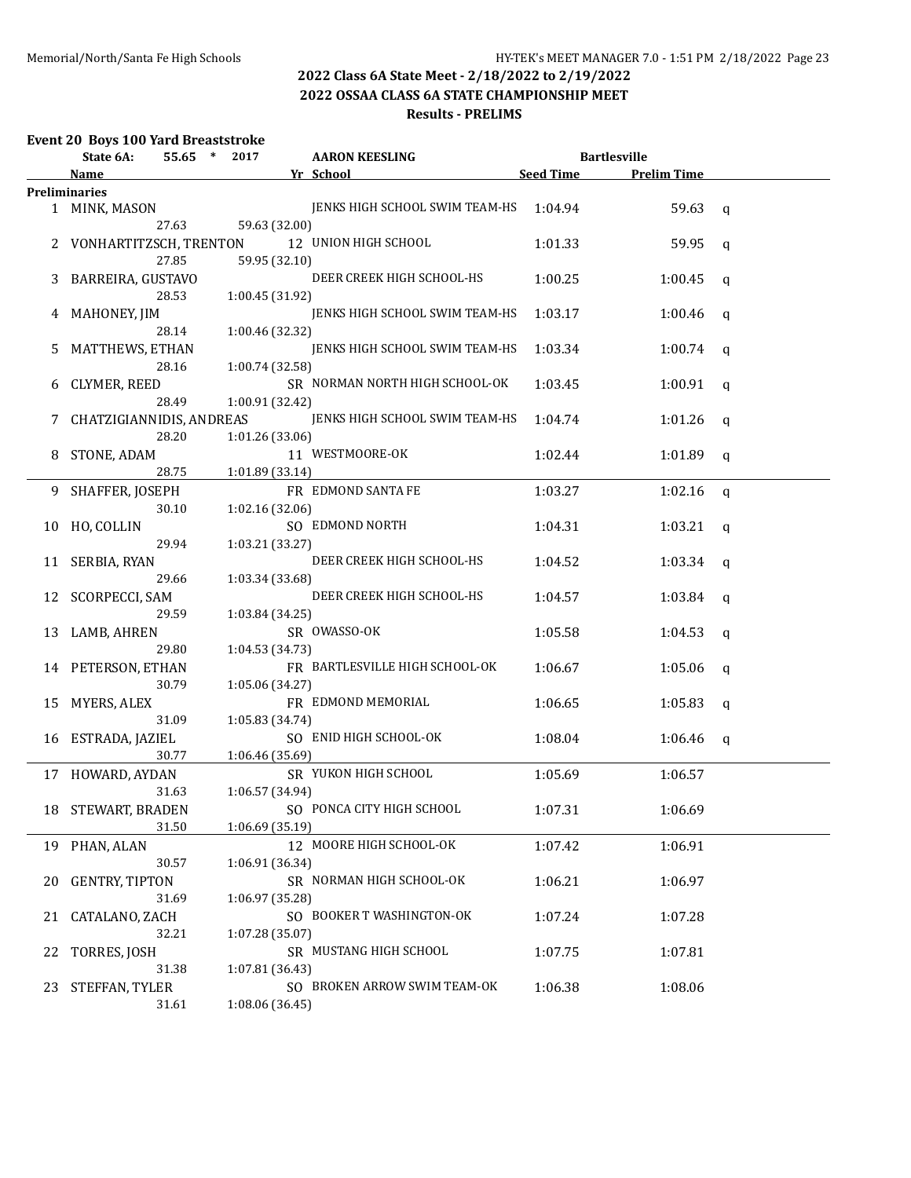**2022 OSSAA CLASS 6A STATE CHAMPIONSHIP MEET**

### **Results - PRELIMS**

### **Event 20 Boys 100 Yard Breaststroke**

|    | State 6A:                |       | 55.65 * 2017    | <b>AARON KEESLING</b>          |           | <b>Bartlesville</b> |              |
|----|--------------------------|-------|-----------------|--------------------------------|-----------|---------------------|--------------|
|    | Name                     |       |                 | Yr School                      | Seed Time | <b>Prelim Time</b>  |              |
|    | <b>Preliminaries</b>     |       |                 |                                |           |                     |              |
|    | 1 MINK, MASON            | 27.63 | 59.63 (32.00)   | JENKS HIGH SCHOOL SWIM TEAM-HS | 1:04.94   | 59.63               | $\mathsf{q}$ |
|    | 2 VONHARTITZSCH, TRENTON |       |                 | 12 UNION HIGH SCHOOL           | 1:01.33   | 59.95               | $\mathsf{q}$ |
|    |                          | 27.85 | 59.95 (32.10)   |                                |           |                     |              |
| 3  | BARREIRA, GUSTAVO        |       |                 | DEER CREEK HIGH SCHOOL-HS      | 1:00.25   | 1:00.45             | q            |
|    |                          | 28.53 | 1:00.45 (31.92) |                                |           |                     |              |
|    | 4 MAHONEY, JIM           |       |                 | JENKS HIGH SCHOOL SWIM TEAM-HS | 1:03.17   | 1:00.46             | q            |
|    |                          | 28.14 | 1:00.46 (32.32) |                                |           |                     |              |
| 5  | MATTHEWS, ETHAN          |       |                 | JENKS HIGH SCHOOL SWIM TEAM-HS | 1:03.34   | 1:00.74             | q            |
|    |                          | 28.16 | 1:00.74 (32.58) |                                |           |                     |              |
| 6  | CLYMER, REED             |       |                 | SR NORMAN NORTH HIGH SCHOOL-OK | 1:03.45   | 1:00.91             | q            |
|    |                          | 28.49 | 1:00.91 (32.42) |                                |           |                     |              |
| 7  | CHATZIGIANNIDIS, ANDREAS |       |                 | JENKS HIGH SCHOOL SWIM TEAM-HS | 1:04.74   | 1:01.26             | q            |
|    |                          | 28.20 | 1:01.26 (33.06) |                                |           |                     |              |
| 8  | STONE, ADAM              |       |                 | 11 WESTMOORE-OK                | 1:02.44   | 1:01.89             | q            |
|    |                          | 28.75 | 1:01.89 (33.14) |                                |           |                     |              |
| 9. | SHAFFER, JOSEPH          |       |                 | FR EDMOND SANTA FE             | 1:03.27   | 1:02.16             | $\mathsf{q}$ |
|    |                          | 30.10 | 1:02.16 (32.06) |                                |           |                     |              |
|    | 10 HO, COLLIN            |       |                 | SO EDMOND NORTH                | 1:04.31   | 1:03.21             | q            |
|    |                          | 29.94 | 1:03.21 (33.27) |                                |           |                     |              |
|    | 11 SERBIA, RYAN          |       |                 | DEER CREEK HIGH SCHOOL-HS      | 1:04.52   | 1:03.34             | q            |
|    |                          | 29.66 | 1:03.34 (33.68) |                                |           |                     |              |
|    | 12 SCORPECCI, SAM        |       |                 | DEER CREEK HIGH SCHOOL-HS      | 1:04.57   | 1:03.84             | q            |
|    |                          | 29.59 | 1:03.84 (34.25) |                                |           |                     |              |
|    | 13 LAMB, AHREN           |       |                 | SR OWASSO-OK                   | 1:05.58   | 1:04.53             | q            |
|    |                          | 29.80 | 1:04.53 (34.73) |                                |           |                     |              |
|    | 14 PETERSON, ETHAN       |       |                 | FR BARTLESVILLE HIGH SCHOOL-OK | 1:06.67   | 1:05.06             | q            |
|    |                          | 30.79 | 1:05.06 (34.27) |                                |           |                     |              |
|    | 15 MYERS, ALEX           |       |                 | FR EDMOND MEMORIAL             | 1:06.65   | 1:05.83             | q            |
|    |                          | 31.09 | 1:05.83 (34.74) |                                |           |                     |              |
|    | 16 ESTRADA, JAZIEL       |       |                 | SO ENID HIGH SCHOOL-OK         | 1:08.04   | 1:06.46             | q            |
|    |                          | 30.77 | 1:06.46 (35.69) |                                |           |                     |              |
|    | 17 HOWARD, AYDAN         |       |                 | SR YUKON HIGH SCHOOL           | 1:05.69   | 1:06.57             |              |
|    |                          | 31.63 | 1:06.57 (34.94) |                                |           |                     |              |
|    | 18 STEWART, BRADEN       |       |                 | SO PONCA CITY HIGH SCHOOL      | 1:07.31   | 1:06.69             |              |
|    |                          | 31.50 | 1:06.69 (35.19) |                                |           |                     |              |
|    | 19 PHAN, ALAN            |       |                 | 12 MOORE HIGH SCHOOL-OK        | 1:07.42   | 1:06.91             |              |
|    |                          | 30.57 | 1:06.91 (36.34) |                                |           |                     |              |
| 20 | <b>GENTRY, TIPTON</b>    |       |                 | SR NORMAN HIGH SCHOOL-OK       | 1:06.21   | 1:06.97             |              |
|    |                          | 31.69 | 1:06.97 (35.28) |                                |           |                     |              |
| 21 | CATALANO, ZACH           |       |                 | SO BOOKER T WASHINGTON-OK      | 1:07.24   | 1:07.28             |              |
|    |                          | 32.21 | 1:07.28 (35.07) |                                |           |                     |              |
| 22 | TORRES, JOSH             |       |                 | SR MUSTANG HIGH SCHOOL         | 1:07.75   | 1:07.81             |              |
|    |                          | 31.38 | 1:07.81 (36.43) |                                |           |                     |              |
| 23 | STEFFAN, TYLER           |       |                 | SO BROKEN ARROW SWIM TEAM-OK   | 1:06.38   | 1:08.06             |              |
|    |                          | 31.61 | 1:08.06 (36.45) |                                |           |                     |              |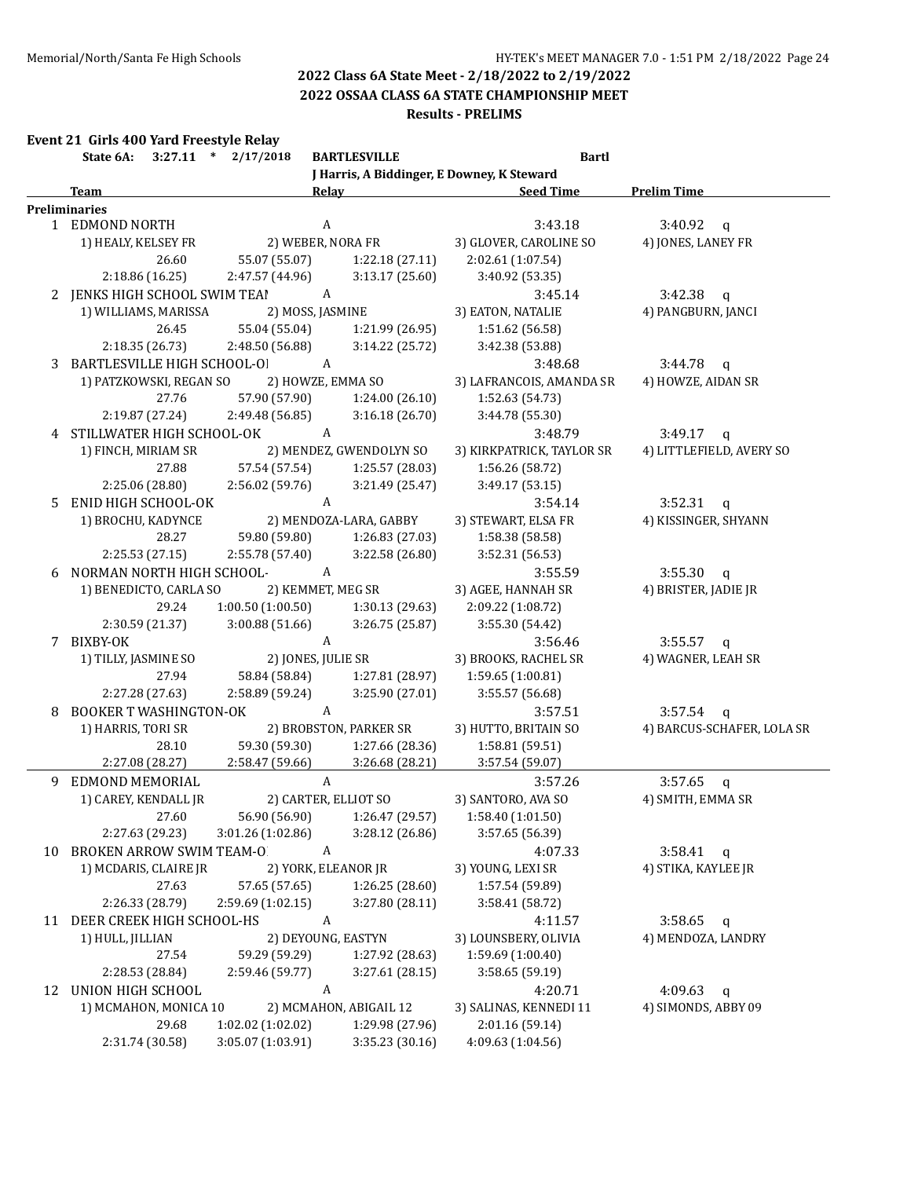**2022 OSSAA CLASS 6A STATE CHAMPIONSHIP MEET**

#### **Results - PRELIMS**

|  |  | Event 21 Girls 400 Yard Freestyle Relay |  |
|--|--|-----------------------------------------|--|
|--|--|-----------------------------------------|--|

|    | State 6A:                     | $3:27.11$ * $2/17/2018$ | <b>BARTLESVILLE</b>           | <b>Bartl</b>                               |                            |
|----|-------------------------------|-------------------------|-------------------------------|--------------------------------------------|----------------------------|
|    |                               |                         |                               | J Harris, A Biddinger, E Downey, K Steward |                            |
|    | <b>Team</b>                   | Relay                   |                               | <b>Seed Time</b>                           | <b>Prelim Time</b>         |
|    | <b>Preliminaries</b>          |                         |                               |                                            |                            |
|    | 1 EDMOND NORTH                | $\boldsymbol{A}$        |                               | 3:43.18                                    | $3:40.92$ q                |
|    | 1) HEALY, KELSEY FR           | 2) WEBER, NORA FR       |                               | 3) GLOVER, CAROLINE SO                     | 4) JONES, LANEY FR         |
|    | 26.60                         | 55.07 (55.07)           | 1:22.18(27.11)                | 2:02.61 (1:07.54)                          |                            |
|    | 2:18.86 (16.25)               | 2:47.57 (44.96)         | 3:13.17(25.60)                | 3:40.92 (53.35)                            |                            |
|    | 2 JENKS HIGH SCHOOL SWIM TEAI | $\overline{A}$          |                               | 3:45.14                                    | $3:42.38$ q                |
|    | 1) WILLIAMS, MARISSA          | 2) MOSS, JASMINE        |                               | 3) EATON, NATALIE                          | 4) PANGBURN, JANCI         |
|    | 26.45                         | 55.04 (55.04)           | 1:21.99 (26.95)               | 1:51.62 (56.58)                            |                            |
|    | 2:18.35 (26.73)               | 2:48.50 (56.88)         | 3:14.22 (25.72)               | 3:42.38 (53.88)                            |                            |
|    | 3 BARTLESVILLE HIGH SCHOOL-OI | A                       |                               | 3:48.68                                    | $3:44.78$ q                |
|    | 1) PATZKOWSKI, REGAN SO       | 2) HOWZE, EMMA SO       |                               | 3) LAFRANCOIS, AMANDA SR                   | 4) HOWZE, AIDAN SR         |
|    | 27.76                         | 57.90 (57.90)           | 1:24.00 (26.10)               | 1:52.63 (54.73)                            |                            |
|    | 2:19.87 (27.24)               | 2:49.48 (56.85)         | 3:16.18(26.70)                | 3:44.78 (55.30)                            |                            |
|    | 4 STILLWATER HIGH SCHOOL-OK   | A                       |                               | 3:48.79                                    | 3:49.17<br>$\mathbf q$     |
|    | 1) FINCH, MIRIAM SR           |                         | 2) MENDEZ, GWENDOLYN SO       | 3) KIRKPATRICK, TAYLOR SR                  | 4) LITTLEFIELD, AVERY SO   |
|    | 27.88                         | 57.54 (57.54)           | 1:25.57 (28.03)               | 1:56.26 (58.72)                            |                            |
|    | 2:25.06 (28.80)               | 2:56.02 (59.76)         | 3:21.49 (25.47)               | 3:49.17 (53.15)                            |                            |
| 5. | ENID HIGH SCHOOL-OK           | A                       |                               | 3:54.14                                    | $3:52.31$ q                |
|    | 1) BROCHU, KADYNCE            |                         | 2) MENDOZA-LARA, GABBY        | 3) STEWART, ELSA FR                        | 4) KISSINGER, SHYANN       |
|    | 28.27                         | 59.80 (59.80)           | 1:26.83 (27.03)               | 1:58.38 (58.58)                            |                            |
|    | 2:25.53 (27.15)               | 2:55.78 (57.40)         | 3:22.58 (26.80)               | 3:52.31 (56.53)                            |                            |
| 6  | NORMAN NORTH HIGH SCHOOL-     | A                       |                               | 3:55.59                                    | $3:55.30$ q                |
|    | 1) BENEDICTO, CARLA SO        | 2) KEMMET, MEG SR       |                               | 3) AGEE, HANNAH SR                         | 4) BRISTER, JADIE JR       |
|    | 29.24                         | 1:00.50(1:00.50)        | 1:30.13(29.63)                | 2:09.22 (1:08.72)                          |                            |
|    | 2:30.59 (21.37)               | 3:00.88(51.66)          | 3:26.75 (25.87)               | 3:55.30 (54.42)                            |                            |
|    | 7 BIXBY-OK                    | A                       |                               | 3:56.46                                    | $3:55.57$ q                |
|    | 1) TILLY, JASMINE SO          | 2) JONES, JULIE SR      |                               | 3) BROOKS, RACHEL SR                       | 4) WAGNER, LEAH SR         |
|    | 27.94                         | 58.84 (58.84)           | 1:27.81 (28.97)               | 1:59.65 (1:00.81)                          |                            |
|    | 2:27.28 (27.63)               | 2:58.89 (59.24)         | 3:25.90 (27.01)               | 3:55.57 (56.68)                            |                            |
| 8  | <b>BOOKER T WASHINGTON-OK</b> | A                       |                               | 3:57.51                                    | $3:57.54$ q                |
|    | 1) HARRIS, TORI SR            |                         | 2) BROBSTON, PARKER SR        | 3) HUTTO, BRITAIN SO                       | 4) BARCUS-SCHAFER, LOLA SR |
|    | 28.10                         | 59.30 (59.30)           | 1:27.66 (28.36)               | 1:58.81 (59.51)                            |                            |
|    | 2:27.08 (28.27)               | 2:58.47(59.66)          | 3:26.68 (28.21)               | 3:57.54 (59.07)                            |                            |
| 9  | EDMOND MEMORIAL               | A                       |                               | 3:57.26                                    | 3:57.65<br>$\mathbf{q}$    |
|    | 1) CAREY, KENDALL JR          | 2) CARTER, ELLIOT SO    |                               | 3) SANTORO, AVA SO                         | 4) SMITH, EMMA SR          |
|    | 27.60                         |                         | 56.90 (56.90) 1:26.47 (29.57) | 1:58.40 (1:01.50)                          |                            |
|    | 2:27.63 (29.23)               | 3:01.26 (1:02.86)       | 3:28.12 (26.86)               | 3:57.65 (56.39)                            |                            |
|    | 10 BROKEN ARROW SWIM TEAM-O   | A                       |                               | 4:07.33                                    | $3:58.41$ q                |
|    | 1) MCDARIS, CLAIRE JR         | 2) YORK, ELEANOR JR     |                               | 3) YOUNG, LEXI SR                          | 4) STIKA, KAYLEE JR        |
|    | 27.63                         | 57.65 (57.65)           | 1:26.25 (28.60)               | 1:57.54 (59.89)                            |                            |
|    | 2:26.33 (28.79)               | 2:59.69 (1:02.15)       | 3:27.80 (28.11)               | 3:58.41 (58.72)                            |                            |
|    | 11 DEER CREEK HIGH SCHOOL-HS  | A                       |                               | 4:11.57                                    | 3:58.65                    |
|    |                               | 2) DEYOUNG, EASTYN      |                               | 3) LOUNSBERY, OLIVIA                       | $\mathbf{q}$               |
|    | 1) HULL, JILLIAN              |                         |                               | 1:59.69 (1:00.40)                          | 4) MENDOZA, LANDRY         |
|    | 27.54                         | 59.29 (59.29)           | 1:27.92 (28.63)               |                                            |                            |
|    | 2:28.53 (28.84)               | 2:59.46 (59.77)         | 3:27.61 (28.15)               | 3:58.65 (59.19)                            |                            |
|    | 12 UNION HIGH SCHOOL          | A                       |                               | 4:20.71                                    | 4:09.63<br>q               |
|    | 1) MCMAHON, MONICA 10         |                         | 2) MCMAHON, ABIGAIL 12        | 3) SALINAS, KENNEDI 11                     | 4) SIMONDS, ABBY 09        |
|    | 29.68                         | 1:02.02 (1:02.02)       | 1:29.98 (27.96)               | 2:01.16 (59.14)                            |                            |
|    | 2:31.74 (30.58)               | 3:05.07 (1:03.91)       | 3:35.23 (30.16)               | 4:09.63 (1:04.56)                          |                            |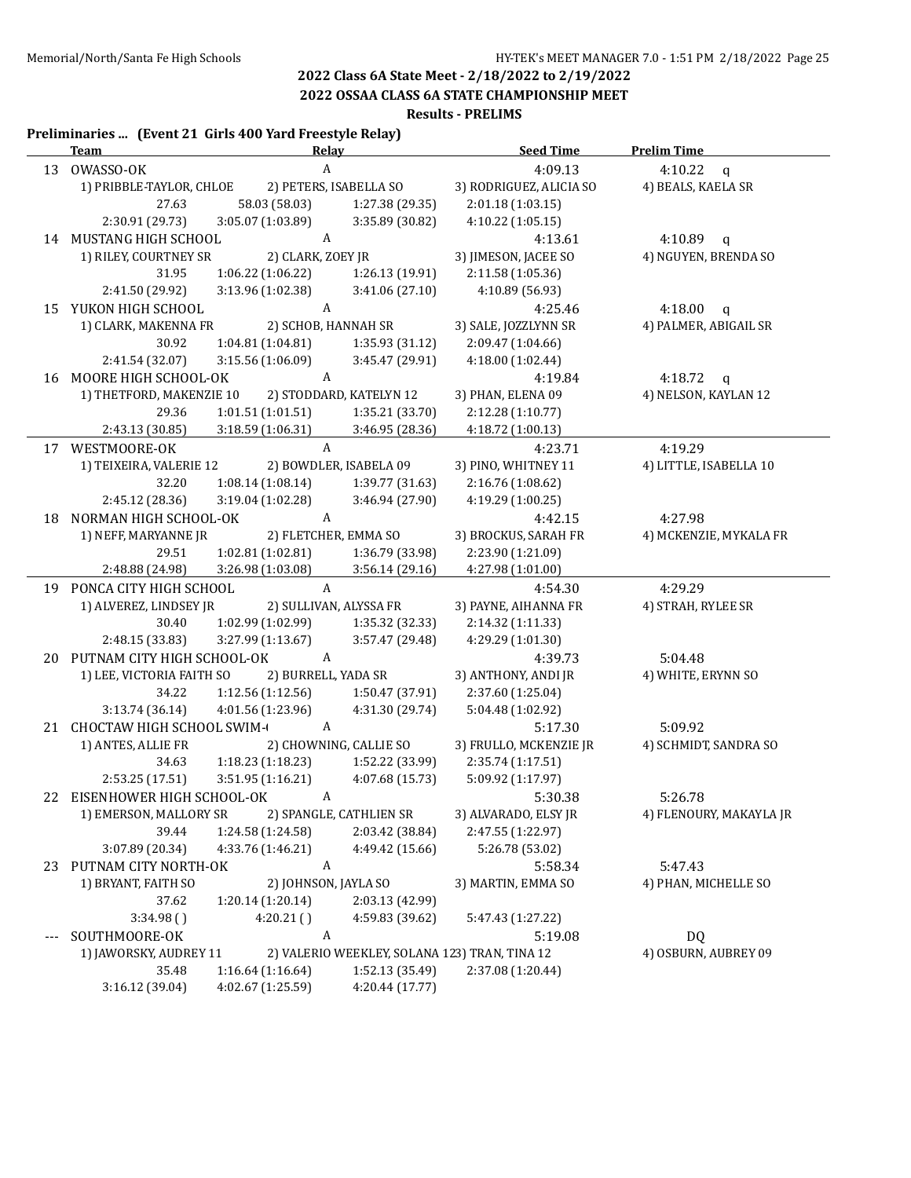**2022 OSSAA CLASS 6A STATE CHAMPIONSHIP MEET**

#### **Results - PRELIMS**

#### **Preliminaries ... (Event 21 Girls 400 Yard Freestyle Relay)**

|                          | <u>Team</u>                   | <u>Relav</u>           |                         | <b>Seed Time</b>                              | <b>Prelim Time</b>      |
|--------------------------|-------------------------------|------------------------|-------------------------|-----------------------------------------------|-------------------------|
|                          | 13 OWASSO-OK                  | $\mathbf{A}$           |                         | 4:09.13                                       | 4:10.22<br>$\mathsf{q}$ |
|                          | 1) PRIBBLE-TAYLOR, CHLOE      | 2) PETERS, ISABELLA SO |                         | 3) RODRIGUEZ, ALICIA SO                       | 4) BEALS, KAELA SR      |
|                          | 27.63                         | 58.03 (58.03)          | 1:27.38 (29.35)         | 2:01.18 (1:03.15)                             |                         |
|                          | 2:30.91 (29.73)               | 3:05.07 (1:03.89)      | 3:35.89 (30.82)         | 4:10.22(1:05.15)                              |                         |
|                          | 14 MUSTANG HIGH SCHOOL        | A                      |                         | 4:13.61                                       | 4:10.89 $q$             |
|                          | 1) RILEY, COURTNEY SR         | 2) CLARK, ZOEY JR      |                         | 3) JIMESON, JACEE SO                          | 4) NGUYEN, BRENDA SO    |
|                          | 31.95                         | 1:06.22 (1:06.22)      | 1:26.13 (19.91)         | 2:11.58 (1:05.36)                             |                         |
|                          | 2:41.50 (29.92)               | 3:13.96 (1:02.38)      | 3:41.06 (27.10)         | 4:10.89 (56.93)                               |                         |
|                          | 15 YUKON HIGH SCHOOL          | A                      |                         | 4:25.46                                       | 4:18.00 $q$             |
|                          | 1) CLARK, MAKENNA FR          | 2) SCHOB, HANNAH SR    |                         | 3) SALE, JOZZLYNN SR                          | 4) PALMER, ABIGAIL SR   |
|                          | 30.92                         | 1:04.81 (1:04.81)      | 1:35.93(31.12)          | 2:09.47 (1:04.66)                             |                         |
|                          | 2:41.54 (32.07)               | 3:15.56 (1:06.09)      | 3:45.47 (29.91)         | 4:18.00 (1:02.44)                             |                         |
|                          | 16 MOORE HIGH SCHOOL-OK       | $\mathbf{A}$           |                         | 4:19.84                                       | 4:18.72 $q$             |
|                          | 1) THETFORD, MAKENZIE 10      |                        | 2) STODDARD, KATELYN 12 | 3) PHAN, ELENA 09                             | 4) NELSON, KAYLAN 12    |
|                          | 29.36                         | 1:01.51 (1:01.51)      | 1:35.21(33.70)          | 2:12.28 (1:10.77)                             |                         |
|                          | 2:43.13 (30.85)               | 3:18.59 (1:06.31)      | 3:46.95 (28.36)         | 4:18.72 (1:00.13)                             |                         |
|                          | 17 WESTMOORE-OK               | $\mathbf{A}$           |                         | 4:23.71                                       | 4:19.29                 |
|                          | 1) TEIXEIRA, VALERIE 12       |                        | 2) BOWDLER, ISABELA 09  | 3) PINO, WHITNEY 11                           | 4) LITTLE, ISABELLA 10  |
|                          | 32.20                         | 1:08.14 (1:08.14)      | 1:39.77 (31.63)         | 2:16.76 (1:08.62)                             |                         |
|                          | 2:45.12 (28.36)               | 3:19.04 (1:02.28)      | 3:46.94 (27.90)         | 4:19.29 (1:00.25)                             |                         |
|                          | 18 NORMAN HIGH SCHOOL-OK      | $\mathbf{A}$           |                         | 4:42.15                                       | 4:27.98                 |
|                          | 1) NEFF, MARYANNE JR          | 2) FLETCHER, EMMA SO   |                         | 3) BROCKUS, SARAH FR                          | 4) MCKENZIE, MYKALA FR  |
|                          | 29.51                         | 1:02.81(1:02.81)       | 1:36.79 (33.98)         | 2:23.90 (1:21.09)                             |                         |
|                          | 2:48.88 (24.98)               | 3:26.98 (1:03.08)      | 3:56.14(29.16)          | 4:27.98 (1:01.00)                             |                         |
|                          | 19 PONCA CITY HIGH SCHOOL     | A                      |                         | 4:54.30                                       | 4:29.29                 |
|                          | 1) ALVEREZ, LINDSEY JR        | 2) SULLIVAN, ALYSSA FR |                         | 3) PAYNE, AIHANNA FR                          | 4) STRAH, RYLEE SR      |
|                          | 30.40                         | 1:02.99 (1:02.99)      | 1:35.32 (32.33)         | 2:14.32 (1:11.33)                             |                         |
|                          | 2:48.15 (33.83)               | 3:27.99 (1:13.67)      | 3:57.47 (29.48)         | 4:29.29 (1:01.30)                             |                         |
|                          | 20 PUTNAM CITY HIGH SCHOOL-OK | A                      |                         | 4:39.73                                       | 5:04.48                 |
|                          | 1) LEE, VICTORIA FAITH SO     | 2) BURRELL, YADA SR    |                         | 3) ANTHONY, ANDI JR                           | 4) WHITE, ERYNN SO      |
|                          | 34.22                         | 1:12.56 (1:12.56)      | 1:50.47 (37.91)         | 2:37.60 (1:25.04)                             |                         |
|                          | 3:13.74(36.14)                | 4:01.56 (1:23.96)      | 4:31.30 (29.74)         | 5:04.48 (1:02.92)                             |                         |
|                          | 21 CHOCTAW HIGH SCHOOL SWIM-  | $\mathbf{A}$           |                         | 5:17.30                                       | 5:09.92                 |
|                          | 1) ANTES, ALLIE FR            |                        | 2) CHOWNING, CALLIE SO  | 3) FRULLO, MCKENZIE JR                        | 4) SCHMIDT, SANDRA SO   |
|                          | 34.63                         | 1:18.23(1:18.23)       | 1:52.22 (33.99)         | 2:35.74 (1:17.51)                             |                         |
|                          | 2:53.25(17.51)                | 3:51.95 (1:16.21)      | 4:07.68 (15.73)         | 5:09.92 (1:17.97)                             |                         |
|                          | 22 EISENHOWER HIGH SCHOOL-OK  | $\boldsymbol{A}$       |                         | 5:30.38                                       | 5:26.78                 |
|                          | 1) EMERSON, MALLORY SR        |                        | 2) SPANGLE, CATHLIEN SR | 3) ALVARADO, ELSY JR                          | 4) FLENOURY, MAKAYLA JR |
|                          | 39.44                         | 1:24.58 (1:24.58)      | 2:03.42 (38.84)         | 2:47.55 (1:22.97)                             |                         |
|                          | 3:07.89 (20.34)               | 4:33.76 (1:46.21)      | 4:49.42 (15.66)         | 5:26.78 (53.02)                               |                         |
|                          | 23 PUTNAM CITY NORTH-OK       | A                      |                         | 5:58.34                                       | 5:47.43                 |
|                          | 1) BRYANT, FAITH SO           | 2) JOHNSON, JAYLA SO   |                         | 3) MARTIN, EMMA SO                            | 4) PHAN, MICHELLE SO    |
|                          | 37.62                         | 1:20.14 (1:20.14)      | 2:03.13 (42.99)         |                                               |                         |
|                          | 3:34.98()                     | 4:20.21()              | 4:59.83 (39.62)         | 5:47.43 (1:27.22)                             |                         |
| $\overline{\phantom{a}}$ | SOUTHMOORE-OK                 | A                      |                         | 5:19.08                                       | <b>DQ</b>               |
|                          | 1) JAWORSKY, AUDREY 11        |                        |                         | 2) VALERIO WEEKLEY, SOLANA 123) TRAN, TINA 12 | 4) OSBURN, AUBREY 09    |
|                          | 35.48                         | 1:16.64 (1:16.64)      | 1:52.13 (35.49)         | 2:37.08 (1:20.44)                             |                         |
|                          | 3:16.12 (39.04)               | 4:02.67 (1:25.59)      | 4:20.44 (17.77)         |                                               |                         |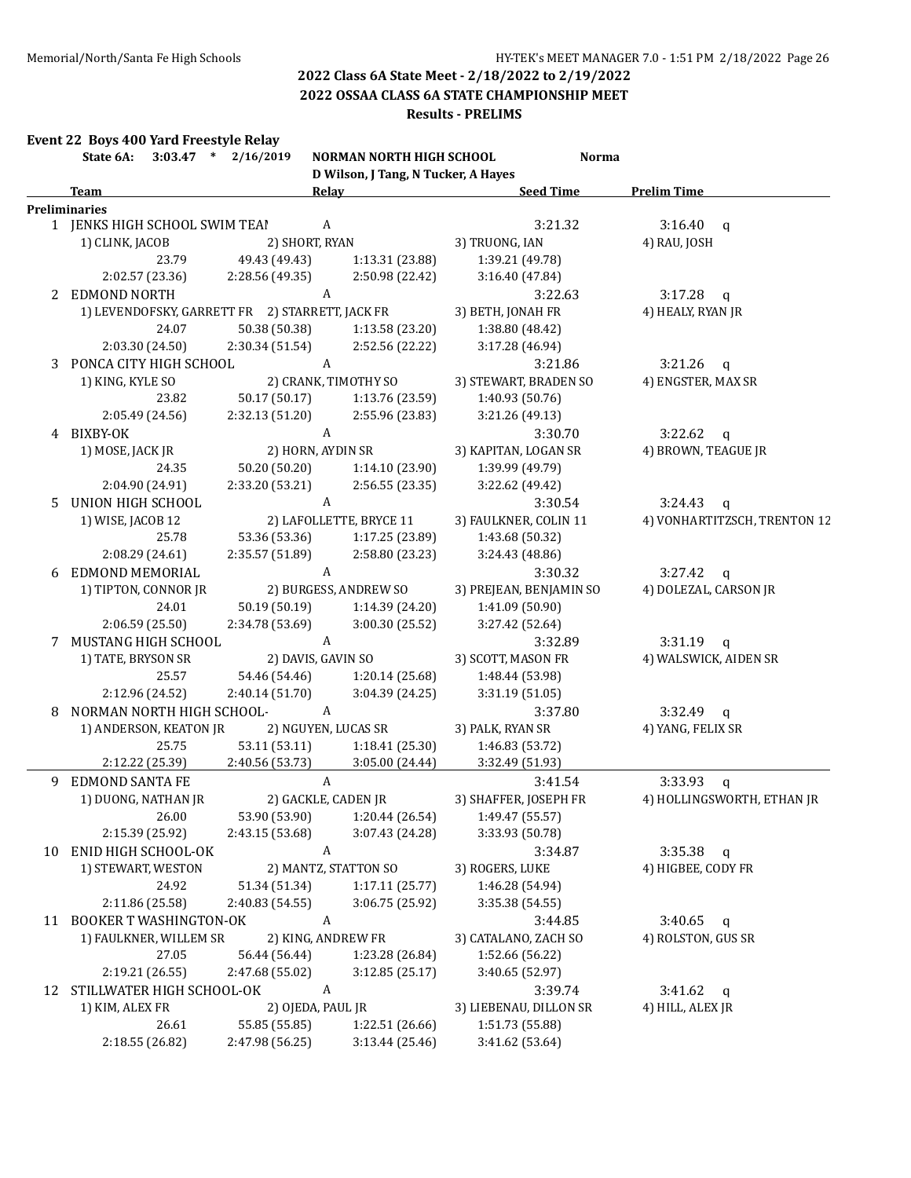**2022 OSSAA CLASS 6A STATE CHAMPIONSHIP MEET**

#### **Results - PRELIMS**

|    | Event 22 Boys 400 Yard Freestyle Relay<br>State 6A: 3:03.47 * 2/16/2019 |                                 | NORMAN NORTH HIGH SCHOOL            | <b>Norma</b>                       |                              |
|----|-------------------------------------------------------------------------|---------------------------------|-------------------------------------|------------------------------------|------------------------------|
|    |                                                                         |                                 | D Wilson, J Tang, N Tucker, A Hayes |                                    |                              |
|    | <b>Team</b>                                                             |                                 | Relay                               | <b>Seed Time</b>                   | <b>Prelim Time</b>           |
|    | <b>Preliminaries</b>                                                    |                                 |                                     |                                    |                              |
|    | 1 JENKS HIGH SCHOOL SWIM TEAI                                           |                                 | A                                   | 3:21.32                            | 3:16.40<br>$\mathbf{q}$      |
|    | 1) CLINK, JACOB<br>23.79                                                | 2) SHORT, RYAN<br>49.43 (49.43) | 1:13.31 (23.88)                     | 3) TRUONG, IAN                     | 4) RAU, JOSH                 |
|    | 2:02.57 (23.36)                                                         | 2:28.56 (49.35)                 | 2:50.98 (22.42)                     | 1:39.21 (49.78)<br>3:16.40 (47.84) |                              |
|    | <b>EDMOND NORTH</b>                                                     |                                 | A                                   | 3:22.63                            | $3:17.28$ q                  |
| 2  | 1) LEVENDOFSKY, GARRETT FR 2) STARRETT, JACK FR                         |                                 |                                     | 3) BETH, JONAH FR                  | 4) HEALY, RYAN JR            |
|    | 24.07                                                                   | 50.38 (50.38)                   | 1:13.58 (23.20)                     | 1:38.80 (48.42)                    |                              |
|    | 2:03.30 (24.50)                                                         | 2:30.34 (51.54)                 | 2:52.56 (22.22)                     | 3:17.28 (46.94)                    |                              |
| 3  | PONCA CITY HIGH SCHOOL                                                  |                                 | A                                   | 3:21.86                            | $3:21.26$ q                  |
|    | 1) KING, KYLE SO                                                        |                                 | 2) CRANK, TIMOTHY SO                | 3) STEWART, BRADEN SO              | 4) ENGSTER, MAX SR           |
|    | 23.82                                                                   | 50.17 (50.17)                   | 1:13.76 (23.59)                     | 1:40.93 (50.76)                    |                              |
|    | 2:05.49 (24.56)                                                         | 2:32.13 (51.20)                 | 2:55.96 (23.83)                     | 3:21.26 (49.13)                    |                              |
|    | 4 BIXBY-OK                                                              |                                 | A                                   | 3:30.70                            | $3:22.62$ q                  |
|    | 1) MOSE, JACK JR                                                        |                                 | 2) HORN, AYDIN SR                   | 3) KAPITAN, LOGAN SR               | 4) BROWN, TEAGUE JR          |
|    | 24.35                                                                   | 50.20 (50.20)                   | 1:14.10 (23.90)                     | 1:39.99 (49.79)                    |                              |
|    | 2:04.90 (24.91)                                                         | 2:33.20 (53.21)                 | 2:56.55 (23.35)                     | 3:22.62 (49.42)                    |                              |
| 5. | UNION HIGH SCHOOL                                                       |                                 | $\boldsymbol{A}$                    | 3:30.54                            | 3:24.43<br>$\mathbf{q}$      |
|    | 1) WISE, JACOB 12                                                       |                                 | 2) LAFOLLETTE, BRYCE 11             | 3) FAULKNER, COLIN 11              | 4) VONHARTITZSCH, TRENTON 12 |
|    | 25.78                                                                   | 53.36 (53.36)                   | 1:17.25 (23.89)                     | 1:43.68 (50.32)                    |                              |
|    | 2:08.29 (24.61)                                                         | 2:35.57 (51.89)                 | 2:58.80 (23.23)                     | 3:24.43 (48.86)                    |                              |
|    | 6 EDMOND MEMORIAL                                                       |                                 | A                                   | 3:30.32                            | $3:27.42$ q                  |
|    | 1) TIPTON, CONNOR JR                                                    |                                 | 2) BURGESS, ANDREW SO               | 3) PREJEAN, BENJAMIN SO            | 4) DOLEZAL, CARSON JR        |
|    | 24.01                                                                   | 50.19 (50.19)                   | 1:14.39 (24.20)                     | 1:41.09 (50.90)                    |                              |
|    | 2:06.59 (25.50)                                                         | 2:34.78 (53.69)                 | 3:00.30 (25.52)                     | 3:27.42 (52.64)                    |                              |
|    | 7 MUSTANG HIGH SCHOOL                                                   |                                 | A                                   | 3:32.89                            | $3:31.19$ q                  |
|    | 1) TATE, BRYSON SR                                                      |                                 | 2) DAVIS, GAVIN SO                  | 3) SCOTT, MASON FR                 | 4) WALSWICK, AIDEN SR        |
|    | 25.57                                                                   | 54.46 (54.46)                   | 1:20.14 (25.68)                     | 1:48.44 (53.98)                    |                              |
|    | 2:12.96 (24.52)                                                         | 2:40.14(51.70)                  | 3:04.39 (24.25)                     | 3:31.19 (51.05)                    |                              |
|    | 8 NORMAN NORTH HIGH SCHOOL-                                             |                                 | <b>A</b>                            | 3:37.80                            | $3:32.49$ q                  |
|    | 1) ANDERSON, KEATON JR                                                  |                                 | 2) NGUYEN, LUCAS SR                 | 3) PALK, RYAN SR                   | 4) YANG, FELIX SR            |
|    | 25.75                                                                   | 53.11 (53.11)                   | 1:18.41 (25.30)                     | 1:46.83 (53.72)                    |                              |
|    | 2:12.22 (25.39)                                                         | 2:40.56 (53.73)                 | 3:05.00 (24.44)                     | 3:32.49 (51.93)                    |                              |
| 9. | <b>EDMOND SANTA FE</b>                                                  |                                 | A                                   | 3:41.54                            | 3:33.93<br>q                 |
|    | 1) DUONG, NATHAN JR                                                     |                                 | 2) GACKLE, CADEN JR                 | 3) SHAFFER, JOSEPH FR              | 4) HOLLINGSWORTH, ETHAN JR   |
|    | 26.00                                                                   | 53.90 (53.90)                   | 1:20.44 (26.54)                     | 1:49.47 (55.57)                    |                              |
|    | 2:15.39 (25.92)                                                         | 2:43.15 (53.68)                 | 3:07.43 (24.28)                     | 3:33.93 (50.78)                    |                              |
|    | 10 ENID HIGH SCHOOL-OK                                                  |                                 | A                                   | 3:34.87                            | $3:35.38$ q                  |
|    | 1) STEWART, WESTON                                                      |                                 | 2) MANTZ, STATTON SO                | 3) ROGERS, LUKE                    | 4) HIGBEE, CODY FR           |
|    | 24.92                                                                   | 51.34 (51.34)                   | 1:17.11 (25.77)                     | 1:46.28 (54.94)                    |                              |
|    | 2:11.86 (25.58)                                                         | 2:40.83 (54.55)                 | 3:06.75 (25.92)                     | 3:35.38 (54.55)                    |                              |
|    | 11 BOOKER T WASHINGTON-OK                                               |                                 | A                                   | 3:44.85                            | 3:40.65<br>$\mathbf{q}$      |
|    | 1) FAULKNER, WILLEM SR                                                  |                                 | 2) KING, ANDREW FR                  | 3) CATALANO, ZACH SO               | 4) ROLSTON, GUS SR           |
|    | 27.05                                                                   | 56.44 (56.44)                   | 1:23.28 (26.84)                     | 1:52.66 (56.22)                    |                              |
|    | 2:19.21 (26.55)                                                         | 2:47.68 (55.02)                 | 3:12.85(25.17)                      | 3:40.65 (52.97)                    |                              |
|    | 12 STILLWATER HIGH SCHOOL-OK                                            |                                 | A                                   | 3:39.74                            | 3:41.62<br>q                 |
|    | 1) KIM, ALEX FR                                                         |                                 | 2) OJEDA, PAUL JR                   | 3) LIEBENAU, DILLON SR             | 4) HILL, ALEX JR             |
|    | 26.61                                                                   | 55.85 (55.85)                   | 1:22.51 (26.66)                     | 1:51.73 (55.88)                    |                              |
|    | 2:18.55 (26.82)                                                         | 2:47.98 (56.25)                 | 3:13.44 (25.46)                     | 3:41.62 (53.64)                    |                              |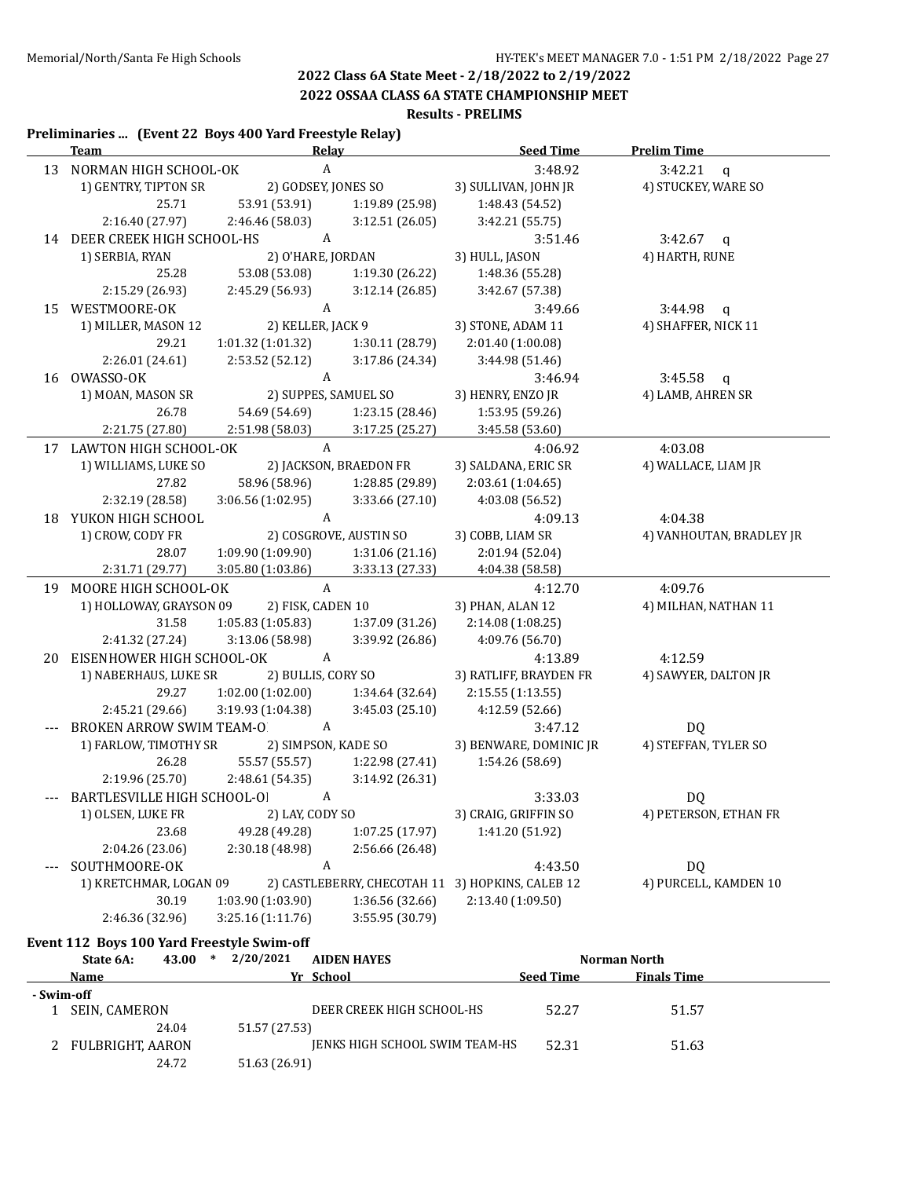**2022 OSSAA CLASS 6A STATE CHAMPIONSHIP MEET**

#### **Results - PRELIMS**

### **Preliminaries ... (Event 22 Boys 400 Yard Freestyle Relay)**

| <b>Team</b>                                  | <b>Relay</b>         |                        | <b>Seed Time</b>                                 | <b>Prelim Time</b>        |
|----------------------------------------------|----------------------|------------------------|--------------------------------------------------|---------------------------|
| 13 NORMAN HIGH SCHOOL-OK                     | $\mathbf{A}$         |                        | 3:48.92                                          | 3:42.21<br>$\mathfrak{a}$ |
| 1) GENTRY, TIPTON SR                         | 2) GODSEY, JONES SO  |                        | 3) SULLIVAN, JOHN JR                             | 4) STUCKEY, WARE SO       |
| 25.71                                        | 53.91 (53.91)        | 1:19.89 (25.98)        | 1:48.43 (54.52)                                  |                           |
| 2:16.40 (27.97)                              | 2:46.46 (58.03)      | 3:12.51(26.05)         | 3:42.21 (55.75)                                  |                           |
| $\mathbf{A}$<br>14 DEER CREEK HIGH SCHOOL-HS |                      |                        | 3:51.46                                          | $3:42.67$ q               |
| 1) SERBIA, RYAN                              | 2) O'HARE, JORDAN    |                        | 3) HULL, JASON                                   | 4) HARTH, RUNE            |
| 25.28                                        | 53.08 (53.08)        | 1:19.30 (26.22)        | 1:48.36 (55.28)                                  |                           |
| 2:15.29 (26.93)                              | 2:45.29 (56.93)      | 3:12.14(26.85)         | 3:42.67 (57.38)                                  |                           |
| 15 WESTMOORE-OK                              | $\mathbf{A}$         |                        | 3:49.66                                          | $3:44.98$ q               |
| 1) MILLER, MASON 12                          | 2) KELLER, JACK 9    |                        | 3) STONE, ADAM 11                                | 4) SHAFFER, NICK 11       |
| 29.21                                        | 1:01.32(1:01.32)     | 1:30.11 (28.79)        | 2:01.40 (1:00.08)                                |                           |
| 2:26.01 (24.61)                              | 2:53.52 (52.12)      | 3:17.86(24.34)         | 3:44.98 (51.46)                                  |                           |
| 16 OWASSO-OK                                 | A                    |                        | 3:46.94                                          | $3:45.58$ q               |
| 1) MOAN, MASON SR                            | 2) SUPPES, SAMUEL SO |                        | 3) HENRY, ENZO JR                                | 4) LAMB, AHREN SR         |
| 26.78                                        | 54.69 (54.69)        | 1:23.15 (28.46)        | 1:53.95 (59.26)                                  |                           |
| 2:21.75 (27.80)                              | 2:51.98 (58.03)      | 3:17.25(25.27)         | 3:45.58 (53.60)                                  |                           |
| 17 LAWTON HIGH SCHOOL-OK                     | A                    |                        | 4:06.92                                          | 4:03.08                   |
| 1) WILLIAMS, LUKE SO                         |                      | 2) JACKSON, BRAEDON FR | 3) SALDANA, ERIC SR                              | 4) WALLACE, LIAM JR       |
| 27.82                                        | 58.96 (58.96)        | 1:28.85 (29.89)        | 2:03.61 (1:04.65)                                |                           |
| 2:32.19 (28.58)                              | 3:06.56(1:02.95)     | 3:33.66 (27.10)        | 4:03.08 (56.52)                                  |                           |
| 18 YUKON HIGH SCHOOL                         | A                    |                        | 4:09.13                                          | 4:04.38                   |
| 1) CROW, CODY FR                             |                      | 2) COSGROVE, AUSTIN SO | 3) COBB, LIAM SR                                 | 4) VANHOUTAN, BRADLEY JR  |
| 28.07                                        | 1:09.90 (1:09.90)    | 1:31.06 (21.16)        | 2:01.94 (52.04)                                  |                           |
| 2:31.71 (29.77)                              | 3:05.80 (1:03.86)    | 3:33.13(27.33)         | 4:04.38 (58.58)                                  |                           |
| 19 MOORE HIGH SCHOOL-OK                      | $\mathbf{A}$         |                        | 4:12.70                                          | 4:09.76                   |
| 1) HOLLOWAY, GRAYSON 09                      | 2) FISK, CADEN 10    |                        | 3) PHAN, ALAN 12                                 | 4) MILHAN, NATHAN 11      |
| 31.58                                        | 1:05.83 (1:05.83)    | 1:37.09 (31.26)        | 2:14.08 (1:08.25)                                |                           |
| 2:41.32 (27.24)                              | 3:13.06 (58.98)      | 3:39.92 (26.86)        | 4:09.76 (56.70)                                  |                           |
| 20 EISENHOWER HIGH SCHOOL-OK                 | $\mathbf{A}$         |                        | 4:13.89                                          | 4:12.59                   |
| 1) NABERHAUS, LUKE SR                        | 2) BULLIS, CORY SO   |                        | 3) RATLIFF, BRAYDEN FR                           | 4) SAWYER, DALTON JR      |
| 29.27                                        | 1:02.00(1:02.00)     | 1:34.64 (32.64)        | 2:15.55 (1:13.55)                                |                           |
| 2:45.21 (29.66)                              | 3:19.93 (1:04.38)    | 3:45.03(25.10)         | 4:12.59 (52.66)                                  |                           |
| <b>BROKEN ARROW SWIM TEAM-O</b>              | A                    |                        | 3:47.12                                          | DQ                        |
| 1) FARLOW, TIMOTHY SR                        | 2) SIMPSON, KADE SO  |                        | 3) BENWARE, DOMINIC JR                           | 4) STEFFAN, TYLER SO      |
| 26.28                                        | 55.57 (55.57)        | 1:22.98 (27.41)        | 1:54.26 (58.69)                                  |                           |
| 2:19.96 (25.70)                              | 2:48.61 (54.35)      | 3:14.92 (26.31)        |                                                  |                           |
| --- BARTLESVILLE HIGH SCHOOL-OI              | A                    |                        | 3:33.03                                          | DQ                        |
| 1) OLSEN, LUKE FR                            | 2) LAY, CODY SO      |                        | 3) CRAIG, GRIFFIN SO                             | 4) PETERSON, ETHAN FR     |
| 23.68                                        | 49.28 (49.28)        | 1:07.25 (17.97)        | 1:41.20 (51.92)                                  |                           |
| 2:04.26 (23.06)                              | 2:30.18 (48.98)      | 2:56.66 (26.48)        |                                                  |                           |
| SOUTHMOORE-OK                                | $\boldsymbol{A}$     |                        | 4:43.50                                          | <b>DQ</b>                 |
| 1) KRETCHMAR, LOGAN 09                       |                      |                        | 2) CASTLEBERRY, CHECOTAH 11 3) HOPKINS, CALEB 12 | 4) PURCELL, KAMDEN 10     |
| 30.19                                        | 1:03.90 (1:03.90)    | 1:36.56 (32.66)        | 2:13.40 (1:09.50)                                |                           |
| 2:46.36 (32.96)                              | 3:25.16 (1:11.76)    | 3:55.95 (30.79)        |                                                  |                           |
|                                              |                      |                        |                                                  |                           |

#### **Event 112 Boys 100 Yard Freestyle Swim-off**

|            | State 6A:            | 43.00 | ∗ | 2/20/2021     | <b>AIDEN HAYES</b>             |                  | Norman North       |  |
|------------|----------------------|-------|---|---------------|--------------------------------|------------------|--------------------|--|
|            | Name                 |       |   |               | Yr School                      | <b>Seed Time</b> | <b>Finals Time</b> |  |
| - Swim-off |                      |       |   |               |                                |                  |                    |  |
|            | <b>SEIN, CAMERON</b> |       |   |               | DEER CREEK HIGH SCHOOL-HS      | 52.27            | 51.57              |  |
|            |                      | 24.04 |   | 51.57 (27.53) |                                |                  |                    |  |
|            | 2 FULBRIGHT, AARON   |       |   |               | JENKS HIGH SCHOOL SWIM TEAM-HS | 52.31            | 51.63              |  |
|            |                      | 24.72 |   | 51.63 (26.91) |                                |                  |                    |  |